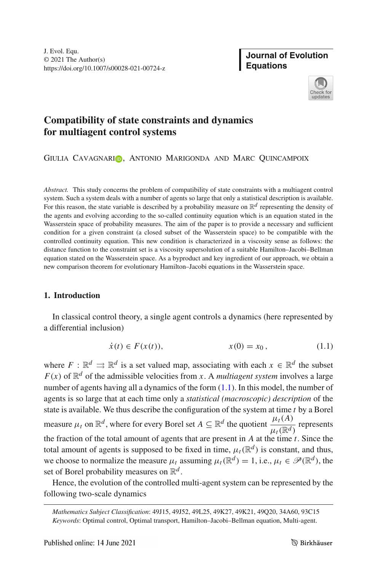**Journal of Evolution Equations**



# **Compatibility of state constraints and dynamics for multiagent control systems**

GIULIA CAVAGNARIO, ANTONIO MARIGONDA AND MARC QUINCAMPOIX

*Abstract.* This study concerns the problem of compatibility of state constraints with a multiagent control system. Such a system deals with a number of agents so large that only a statistical description is available. For this reason, the state variable is described by a probability measure on  $\mathbb{R}^d$  representing the density of the agents and evolving according to the so-called continuity equation which is an equation stated in the Wasserstein space of probability measures. The aim of the paper is to provide a necessary and sufficient condition for a given constraint (a closed subset of the Wasserstein space) to be compatible with the controlled continuity equation. This new condition is characterized in a viscosity sense as follows: the distance function to the constraint set is a viscosity supersolution of a suitable Hamilton–Jacobi–Bellman equation stated on the Wasserstein space. As a byproduct and key ingredient of our approach, we obtain a new comparison theorem for evolutionary Hamilton–Jacobi equations in the Wasserstein space.

## **1. Introduction**

In classical control theory, a single agent controls a dynamics (here represented by a differential inclusion)

<span id="page-0-0"></span>
$$
\dot{x}(t) \in F(x(t)), \qquad x(0) = x_0, \qquad (1.1)
$$

where  $F : \mathbb{R}^d \rightrightarrows \mathbb{R}^d$  is a set valued map, associating with each  $x \in \mathbb{R}^d$  the subset  $F(x)$  of  $\mathbb{R}^d$  of the admissible velocities from *x*. A *multiagent system* involves a large number of agents having all a dynamics of the form  $(1.1)$ . In this model, the number of agents is so large that at each time only a *statistical (macroscopic) description* of the state is available. We thus describe the configuration of the system at time *t* by a Borel measure  $\mu_t$  on  $\mathbb{R}^d$ , where for every Borel set  $A \subseteq \mathbb{R}^d$  the quotient  $\frac{\mu_t(A)}{\mu_t(\mathbb{R}^d)}$  represents the fraction of the total amount of agents that are present in *A* at the time *t*. Since the total amount of agents is supposed to be fixed in time,  $\mu_t(\mathbb{R}^d)$  is constant, and thus, we choose to normalize the measure  $\mu_t$  assuming  $\mu_t(\mathbb{R}^d) = 1$ , i.e.,  $\mu_t \in \mathcal{P}(\mathbb{R}^d)$ , the set of Borel probability measures on  $\mathbb{R}^d$ .

Hence, the evolution of the controlled multi-agent system can be represented by the following two-scale dynamics

*Mathematics Subject Classification*: 49J15, 49J52, 49L25, 49K27, 49K21, 49Q20, 34A60, 93C15 *Keywords*: Optimal control, Optimal transport, Hamilton–Jacobi–Bellman equation, Multi-agent.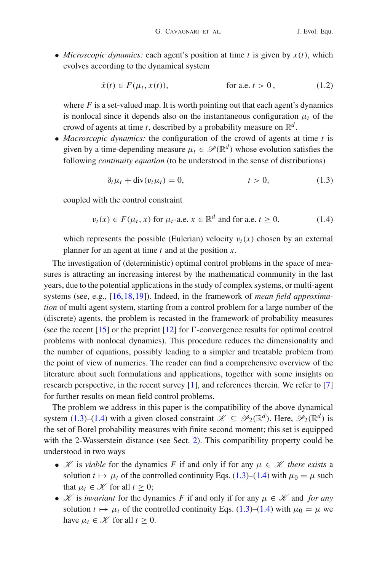• *Microscopic dynamics:* each agent's position at time  $t$  is given by  $x(t)$ , which evolves according to the dynamical system

$$
\dot{x}(t) \in F(\mu_t, x(t)), \qquad \text{for a.e. } t > 0,
$$
\n
$$
(1.2)
$$

where  $F$  is a set-valued map. It is worth pointing out that each agent's dynamics is nonlocal since it depends also on the instantaneous configuration  $\mu_t$  of the crowd of agents at time *t*, described by a probability measure on  $\mathbb{R}^d$ .

• *Macroscopic dynamics:* the configuration of the crowd of agents at time *t* is given by a time-depending measure  $\mu_t \in \mathcal{P}(\mathbb{R}^d)$  whose evolution satisfies the following *continuity equation* (to be understood in the sense of distributions)

<span id="page-1-0"></span>
$$
\partial_t \mu_t + \text{div}(v_t \mu_t) = 0, \qquad t > 0,
$$
\n(1.3)

coupled with the control constraint

<span id="page-1-1"></span>
$$
v_t(x) \in F(\mu_t, x) \text{ for } \mu_t\text{-a.e. } x \in \mathbb{R}^d \text{ and for a.e. } t \ge 0.
$$
 (1.4)

which represents the possible (Eulerian) velocity  $v_t(x)$  chosen by an external planner for an agent at time *t* and at the position *x*.

The investigation of (deterministic) optimal control problems in the space of measures is attracting an increasing interest by the mathematical community in the last years, due to the potential applications in the study of complex systems, or multi-agent systems (see, e.g., [\[16](#page-45-0)[,18](#page-45-1),[19\]](#page-45-2)). Indeed, in the framework of *mean field approximation* of multi agent system, starting from a control problem for a large number of the (discrete) agents, the problem is recasted in the framework of probability measures (see the recent  $[15]$  $[15]$  or the preprint  $[12]$  for  $\Gamma$ -convergence results for optimal control problems with nonlocal dynamics). This procedure reduces the dimensionality and the number of equations, possibly leading to a simpler and treatable problem from the point of view of numerics. The reader can find a comprehensive overview of the literature about such formulations and applications, together with some insights on research perspective, in the recent survey [\[1\]](#page-45-5), and references therein. We refer to [\[7](#page-45-6)] for further results on mean field control problems.

The problem we address in this paper is the compatibility of the above dynamical system [\(1.3\)](#page-1-0)–[\(1.4\)](#page-1-1) with a given closed constraint  $\mathcal{K} \subseteq \mathcal{P}_2(\mathbb{R}^d)$ . Here,  $\mathcal{P}_2(\mathbb{R}^d)$  is the set of Borel probability measures with finite second moment; this set is equipped with the 2-Wasserstein distance (see Sect. [2\)](#page-3-0). This compatibility property could be understood in two ways

- *K* is *viable* for the dynamics *F* if and only if for any  $\mu \in \mathcal{K}$  *there exists* a solution  $t \mapsto \mu_t$  of the controlled continuity Eqs. [\(1.3\)](#page-1-0)–[\(1.4\)](#page-1-1) with  $\mu_0 = \mu$  such that  $\mu_t \in \mathcal{K}$  for all  $t \geq 0$ ;
- *K* is *invariant* for the dynamics *F* if and only if for any  $\mu \in \mathcal{K}$  and *for any* solution  $t \mapsto \mu_t$  of the controlled continuity Eqs. [\(1.3\)](#page-1-0)–[\(1.4\)](#page-1-1) with  $\mu_0 = \mu$  we have  $\mu_t \in \mathcal{K}$  for all  $t \geq 0$ .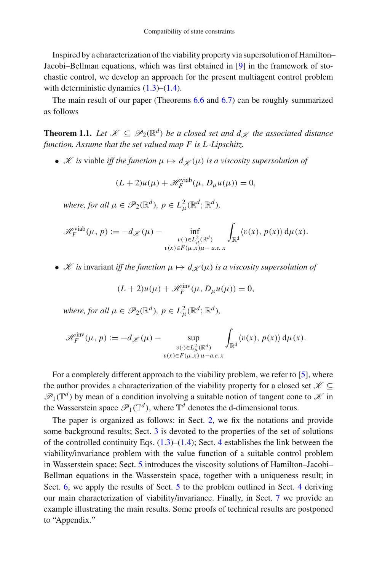Inspired by a characterization of the viability property via supersolution of Hamilton– Jacobi–Bellman equations, which was first obtained in [\[9](#page-45-7)] in the framework of stochastic control, we develop an approach for the present multiagent control problem with deterministic dynamics  $(1.3)$ – $(1.4)$ .

<span id="page-2-0"></span>The main result of our paper (Theorems [6.6](#page-23-0) and [6.7\)](#page-27-0) can be roughly summarized as follows

**Theorem 1.1.** Let  $\mathcal{K} \subseteq \mathcal{P}_2(\mathbb{R}^d)$  be a closed set and  $d_{\mathcal{K}}$  the associated distance *function. Assume that the set valued map F is L-Lipschitz.*

• *K is* viable *iff the function*  $\mu \mapsto d_{\mathcal{K}}(\mu)$  *is a viscosity supersolution of* 

$$
(L+2)u(\mu) + \mathcal{H}_F^{\text{viab}}(\mu, D_\mu u(\mu)) = 0,
$$

*where, for all*  $\mu \in \mathscr{P}_2(\mathbb{R}^d)$ *,*  $p \in L^2_\mu(\mathbb{R}^d; \mathbb{R}^d)$ *,* 

$$
\mathscr{H}_F^{\text{viab}}(\mu, p) := -d_{\mathscr{K}}(\mu) - \inf_{\substack{v(\cdot) \in L^2_{\mu}(\mathbb{R}^d) \\ v(x) \in F(\mu, x)\mu - a.e. x}} \int_{\mathbb{R}^d} \langle v(x), p(x) \rangle \, d\mu(x).
$$

• *K is* invariant *iff the function*  $\mu \mapsto d_{\mathcal{K}}(\mu)$  *is a viscosity supersolution of* 

$$
(L+2)u(\mu) + \mathcal{H}_F^{\text{inv}}(\mu, D_\mu u(\mu)) = 0,
$$

*where, for all*  $\mu \in \mathscr{P}_2(\mathbb{R}^d)$ *,*  $p \in L^2_\mu(\mathbb{R}^d; \mathbb{R}^d)$ *,* 

$$
\mathscr{H}_F^{\text{inv}}(\mu, p) := -d_{\mathscr{K}}(\mu) - \sup_{\substack{v(\cdot) \in L^2_{\mu}(\mathbb{R}^d) \\ v(x) \in F(\mu, x) \mu - a.e. x}} \int_{\mathbb{R}^d} \langle v(x), p(x) \rangle d\mu(x).
$$

For a completely different approach to the viability problem, we refer to [\[5](#page-45-8)], where the author provides a characterization of the viability property for a closed set  $\mathcal{K} \subseteq$  $\mathscr{P}_1(\mathbb{T}^d)$  by mean of a condition involving a suitable notion of tangent cone to  $\mathscr K$  in the Wasserstein space  $\mathscr{P}_1(\mathbb{T}^d)$ , where  $\mathbb{T}^d$  denotes the d-dimensional torus.

The paper is organized as follows: in Sect. [2,](#page-3-0) we fix the notations and provide some background results; Sect. [3](#page-5-0) is devoted to the properties of the set of solutions of the controlled continuity Eqs.  $(1.3)$ – $(1.4)$ ; Sect. [4](#page-7-0) establishes the link between the viability/invariance problem with the value function of a suitable control problem in Wasserstein space; Sect. [5](#page-10-0) introduces the viscosity solutions of Hamilton–Jacobi– Bellman equations in the Wasserstein space, together with a uniqueness result; in Sect. [6,](#page-17-0) we apply the results of Sect. [5](#page-10-0) to the problem outlined in Sect. [4](#page-7-0) deriving our main characterization of viability/invariance. Finally, in Sect. [7](#page-30-0) we provide an example illustrating the main results. Some proofs of technical results are postponed to "Appendix."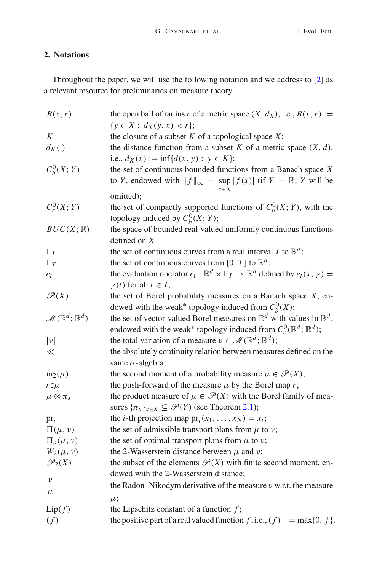## <span id="page-3-0"></span>**2. Notations**

Throughout the paper, we will use the following notation and we address to [\[2](#page-45-9)] as a relevant resource for preliminaries on measure theory.

| B(x, r)                                  | the open ball of radius r of a metric space $(X, d_X)$ , i.e., $B(x, r) :=$                                 |
|------------------------------------------|-------------------------------------------------------------------------------------------------------------|
|                                          | $\{y \in X : d_X(y, x) < r\};$                                                                              |
| $\overline{K}$                           | the closure of a subset $K$ of a topological space $X$ ;                                                    |
| $d_K(\cdot)$                             | the distance function from a subset $K$ of a metric space $(X, d)$ ,                                        |
|                                          | i.e., $d_K(x) := \inf \{ d(x, y) : y \in K \};$                                                             |
| $C_b^0(X; Y)$                            | the set of continuous bounded functions from a Banach space $X$                                             |
|                                          | to Y, endowed with $  f  _{\infty} = \sup  f(x) $ (if $Y = \mathbb{R}, Y$ will be                           |
|                                          |                                                                                                             |
| $C_c^0(X;Y)$                             | omitted);                                                                                                   |
|                                          | the set of compactly supported functions of $C_b^0(X; Y)$ , with the<br>topology induced by $C_b^0(X; Y)$ ; |
|                                          |                                                                                                             |
| $BUC(X;\mathbb{R})$                      | the space of bounded real-valued uniformly continuous functions                                             |
|                                          | defined on $X$                                                                                              |
| $\Gamma_I$                               | the set of continuous curves from a real interval I to $\mathbb{R}^d$ ;                                     |
| $\Gamma_T$                               | the set of continuous curves from [0, T] to $\mathbb{R}^d$ ;                                                |
| $e_t$                                    | the evaluation operator $e_t : \mathbb{R}^d \times \Gamma_I \to \mathbb{R}^d$ defined by $e_t(x, y) =$      |
|                                          | $\gamma(t)$ for all $t \in I$ ;                                                                             |
| $\mathscr{P}(X)$                         | the set of Borel probability measures on a Banach space $X$ , en-                                           |
|                                          | dowed with the weak* topology induced from $C_b^0(X)$ ;                                                     |
| $\mathscr{M}(\mathbb{R}^d;\mathbb{R}^d)$ | the set of vector-valued Borel measures on $\mathbb{R}^d$ with values in $\mathbb{R}^d$ ,                   |
|                                          | endowed with the weak* topology induced from $C_c^0(\mathbb{R}^d; \mathbb{R}^d)$ ;                          |
| $ \nu $                                  | the total variation of a measure $v \in \mathcal{M}(\mathbb{R}^d; \mathbb{R}^d)$ ;                          |
| $\ll$                                    | the absolutely continuity relation between measures defined on the                                          |
|                                          | same $\sigma$ -algebra;                                                                                     |
| $m_2(\mu)$                               | the second moment of a probability measure $\mu \in \mathcal{P}(X)$ ;                                       |
| $r\sharp\mu$                             | the push-forward of the measure $\mu$ by the Borel map r;                                                   |
| $\mu \otimes \pi_x$                      | the product measure of $\mu \in \mathcal{P}(X)$ with the Borel family of mea-                               |
|                                          | sures $\{\pi_x\}_{x \in X} \subseteq \mathcal{P}(Y)$ (see Theorem 2.1);                                     |
| $\operatorname{pr}_i$                    | the <i>i</i> -th projection map $pr_i(x_1,,x_N) = x_i$ ;                                                    |
| $\Pi(\mu, \nu)$                          | the set of admissible transport plans from $\mu$ to $\nu$ ;                                                 |
| $\Pi_{o}(\mu,\nu)$                       | the set of optimal transport plans from $\mu$ to $\nu$ ;                                                    |
| $W_2(\mu, \nu)$                          | the 2-Wasserstein distance between $\mu$ and $\nu$ ;                                                        |
| $\mathscr{P}_2(X)$                       | the subset of the elements $\mathcal{P}(X)$ with finite second moment, en-                                  |
| ν                                        | dowed with the 2-Wasserstein distance;                                                                      |
| $\mu$                                    | the Radon-Nikodym derivative of the measure $\nu$ w.r.t. the measure                                        |
|                                          | $\mu$ ;                                                                                                     |
| Lip(f)                                   | the Lipschitz constant of a function $f$ ;                                                                  |
| $(f)^+$                                  | the positive part of a real valued function f, i.e., $(f)^+$ = max $\{0, f\}$ .                             |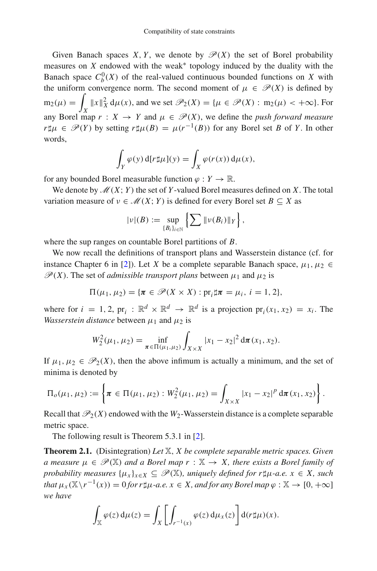Given Banach spaces *X*, *Y*, we denote by  $\mathcal{P}(X)$  the set of Borel probability measures on  $X$  endowed with the weak<sup>\*</sup> topology induced by the duality with the Banach space  $C_b^0(X)$  of the real-valued continuous bounded functions on *X* with the uniform convergence norm. The second moment of  $\mu \in \mathcal{P}(X)$  is defined by  $m_2(\mu) =$  $\int_X ||x||_X^2 d\mu(x)$ , and we set  $\mathcal{P}_2(X) = {\mu \in \mathcal{P}(X) : m_2(\mu) < +\infty}$ . For any Borel map  $r : X \to Y$  and  $\mu \in \mathcal{P}(X)$ , we define the *push forward measure r* $\sharp \mu \in \mathcal{P}(Y)$  by setting *r* $\sharp \mu(B) = \mu(r^{-1}(B))$  for any Borel set *B* of *Y*. In other words,

$$
\int_Y \varphi(y) \, d[r \sharp \mu](y) = \int_X \varphi(r(x)) \, d\mu(x),
$$

for any bounded Borel measurable function  $\varphi: Y \to \mathbb{R}$ .

We denote by  $\mathcal{M}(X; Y)$  the set of *Y*-valued Borel measures defined on *X*. The total variation measure of  $v \in \mathcal{M}(X; Y)$  is defined for every Borel set  $B \subseteq X$  as

$$
|\nu|(B) := \sup_{\{B_i\}_{i\in\mathbb{N}}} \left\{ \sum \|\nu(B_i)\|_Y \right\},\
$$

where the sup ranges on countable Borel partitions of *B*.

We now recall the definitions of transport plans and Wasserstein distance (cf. for instance Chapter 6 in [\[2](#page-45-9)]). Let *X* be a complete separable Banach space,  $\mu_1, \mu_2 \in$  $\mathscr{P}(X)$ . The set of *admissible transport plans* between  $\mu_1$  and  $\mu_2$  is

$$
\Pi(\mu_1, \mu_2) = \{ \pi \in \mathscr{P}(X \times X) : pr_i \sharp \pi = \mu_i, i = 1, 2 \},\
$$

where for  $i = 1, 2, \text{pr}_i : \mathbb{R}^d \times \mathbb{R}^d \rightarrow \mathbb{R}^d$  is a projection  $\text{pr}_i(x_1, x_2) = x_i$ . The *Wasserstein distance* between  $\mu_1$  and  $\mu_2$  is

$$
W_2^2(\mu_1, \mu_2) = \inf_{\pi \in \Pi(\mu_1, \mu_2)} \int_{X \times X} |x_1 - x_2|^2 \, \mathrm{d}\pi(x_1, x_2).
$$

If  $\mu_1, \mu_2 \in \mathcal{P}_2(X)$ , then the above infimum is actually a minimum, and the set of minima is denoted by

$$
\Pi_o(\mu_1, \mu_2) := \left\{ \pi \in \Pi(\mu_1, \mu_2) : W_2^2(\mu_1, \mu_2) = \int_{X \times X} |x_1 - x_2|^p \, \mathrm{d}\pi(x_1, x_2) \right\}.
$$

Recall that  $\mathcal{P}_2(X)$  endowed with the  $W_2$ -Wasserstein distance is a complete separable metric space.

The following result is Theorem 5.3.1 in [\[2](#page-45-9)].

**Theorem 2.1.** (Disintegration) *Let* X, *X be complete separable metric spaces. Given a* measure  $\mu \in \mathcal{P}(\mathbb{X})$  *and a Borel map*  $r : \mathbb{X} \to X$ *, there exists a Borel family of probability measures*  $\{\mu_x\}_{x \in X} \subseteq \mathcal{P}(\mathbb{X})$ *, uniquely defined for r* $\mu$ -*a.e.*  $x \in X$ *, such that*  $\mu_X(\mathbb{X}\setminus r^{-1}(x)) = 0$  *for r* $\sharp \mu$ -*a.e.*  $x \in X$ *, and for any Borel map*  $\varphi : \mathbb{X} \to [0, +\infty]$ *we have*

<span id="page-4-0"></span>
$$
\int_{\mathbb{X}} \varphi(z) d\mu(z) = \int_{X} \left[ \int_{r^{-1}(x)} \varphi(z) d\mu_x(z) \right] d(r \sharp \mu)(x).
$$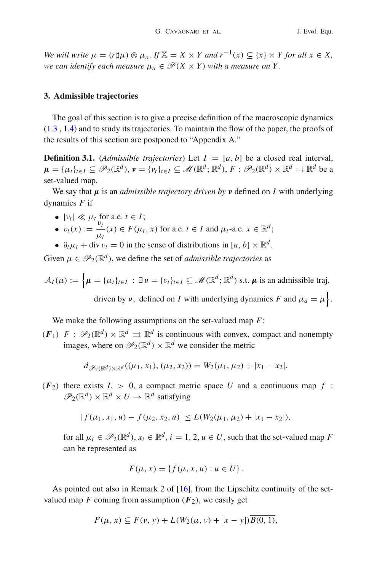*We will write*  $\mu = (r\sharp\mu) \otimes \mu_x$ . If  $X = X \times Y$  and  $r^{-1}(x) \subseteq \{x\} \times Y$  for all  $x \in X$ , *we can identify each measure*  $\mu_x \in \mathcal{P}(X \times Y)$  *with a measure on Y.* 

## <span id="page-5-0"></span>**3. Admissible trajectories**

The goal of this section is to give a precise definition of the macroscopic dynamics [\(1.3](#page-1-0) , [1.4\)](#page-1-1) and to study its trajectories. To maintain the flow of the paper, the proofs of the results of this section are postponed to "Appendix A."

**Definition 3.1.** (*Admissible trajectories*) Let  $I = [a, b]$  be a closed real interval,  $\mu = {\mu_t}_{t \in I} \subseteq \mathscr{P}_2(\mathbb{R}^d), \nu = {\nu_t}_{t \in I} \subseteq \mathscr{M}(\mathbb{R}^d; \mathbb{R}^d), F : \mathscr{P}_2(\mathbb{R}^d) \times \mathbb{R}^d \implies \mathbb{R}^d$  be a set-valued map.

We say that *μ* is an *admissible trajectory driven by ν* defined on *I* with underlying dynamics *F* if

- $|v_t| \ll \mu_t$  for a.e.  $t \in I$ ;
- $v_t(x) := \frac{v_t}{u_t}$  $\frac{\nu_t}{\mu_t}(x) \in F(\mu_t, x)$  for a.e.  $t \in I$  and  $\mu_t$ -a.e.  $x \in \mathbb{R}^d$ ;
- $\partial_t \mu_t + \text{div } \nu_t = 0$  in the sense of distributions in [*a*, *b*]  $\times \mathbb{R}^d$ .

Given  $\mu \in \mathcal{P}_2(\mathbb{R}^d)$ , we define the set of *admissible trajectories* as

$$
\mathcal{A}_I(\mu) := \left\{ \mu = \{ \mu_t \}_{t \in I} : \exists \, \nu = \{ \nu_t \}_{t \in I} \subseteq \mathcal{M}(\mathbb{R}^d; \mathbb{R}^d) \text{ s.t. } \mu \text{ is an admissible traj.} \right.
$$
\n
$$
\text{driven by } \nu, \text{ defined on } I \text{ with underlying dynamics } F \text{ and } \mu_a = \mu \right\}.
$$

We make the following assumptions on the set-valued map *F*:

 $(F_1)$   $F: \mathcal{P}_2(\mathbb{R}^d) \times \mathbb{R}^d \Rightarrow \mathbb{R}^d$  is continuous with convex, compact and nonempty images, where on  $\mathcal{P}_2(\mathbb{R}^d) \times \mathbb{R}^d$  we consider the metric

$$
d_{\mathscr{P}_2(\mathbb{R}^d)\times\mathbb{R}^d}((\mu_1,x_1),(\mu_2,x_2))=W_2(\mu_1,\mu_2)+|x_1-x_2|.
$$

 $(F_2)$  there exists  $L > 0$ , a compact metric space U and a continuous map f:  $\mathscr{P}_2(\mathbb{R}^d) \times \mathbb{R}^d \times U \to \mathbb{R}^d$  satisfying

$$
|f(\mu_1, x_1, u) - f(\mu_2, x_2, u)| \le L(W_2(\mu_1, \mu_2) + |x_1 - x_2|),
$$

for all  $\mu_i \in \mathcal{P}_2(\mathbb{R}^d)$ ,  $x_i \in \mathbb{R}^d$ ,  $i = 1, 2, u \in U$ , such that the set-valued map *F* can be represented as

$$
F(\mu, x) = \{ f(\mu, x, u) : u \in U \}.
$$

As pointed out also in Remark 2 of [\[16](#page-45-0)], from the Lipschitz continuity of the setvalued map  $F$  coming from assumption  $(F_2)$ , we easily get

$$
F(\mu, x) \subseteq F(\nu, y) + L(W_2(\mu, \nu) + |x - y|)B(0, 1),
$$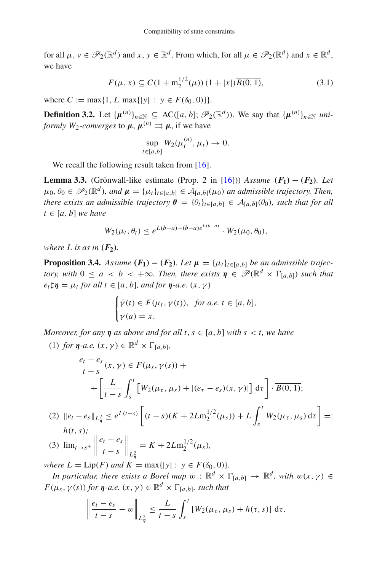for all  $\mu, \nu \in \mathcal{P}_2(\mathbb{R}^d)$  and  $x, \nu \in \mathbb{R}^d$ . From which, for all  $\mu \in \mathcal{P}_2(\mathbb{R}^d)$  and  $x \in \mathbb{R}^d$ , we have

<span id="page-6-3"></span>
$$
F(\mu, x) \subseteq C(1 + m_2^{1/2}(\mu)) (1 + |x|) \overline{B(0, 1)},
$$
\n(3.1)

where  $C := \max\{1, L \max\{|y| : y \in F(\delta_0, 0)\}\}.$ 

**Definition 3.2.** Let  $\{\mu^{(n)}\}_{n \in \mathbb{N}} \subseteq \text{AC}([a, b]; \mathscr{P}_2(\mathbb{R}^d))$ . We say that  $\{\mu^{(n)}\}_{n \in \mathbb{N}}$  *uniformly W*<sub>2</sub>*-converges* to  $\mu$ ,  $\mu^{(n)} \rightrightarrows \mu$ , if we have

<span id="page-6-2"></span><span id="page-6-0"></span>
$$
\sup_{t\in[a,b]}W_2(\mu_t^{(n)},\mu_t)\to 0.
$$

We recall the following result taken from [\[16\]](#page-45-0).

**Lemma 3.3.** (Grönwall-like estimate (Prop. 2 in [\[16\]](#page-45-0))) *Assume*  $(F_1) - (F_2)$ *. Let*  $\mu_0, \theta_0 \in \mathscr{P}_2(\mathbb{R}^d)$ , and  $\mu = {\mu_t}_{t \in [a,b]} \in \mathcal{A}_{[a,b]}(\mu_0)$  an admissible trajectory. Then, *there exists an admissible trajectory*  $\theta = {\theta_t}_{t \in [a,b]} \in A_{[a,b]}(\theta_0)$ *, such that for all*  $t \in [a, b]$  *we have* 

$$
W_2(\mu_t, \theta_t) \le e^{L(b-a) + (b-a)e^{L(b-a)}} \cdot W_2(\mu_0, \theta_0),
$$

<span id="page-6-4"></span>*where*  $L$  *is as in*  $(F_2)$ *.* 

**Proposition 3.4.** *Assume*  $(F_1) - (F_2)$ *. Let*  $\mu = {\mu_t}_{t \in [a,b]}$  *be an admissible trajectory, with*  $0 \le a < b < +\infty$ *. Then, there exists*  $\eta \in \mathscr{P}(\mathbb{R}^d \times \Gamma_{[a,b]})$  *such that*  $e_t$   $\sharp \eta = \mu_t$  *for all t*  $\in [a, b]$ *, and for*  $\eta$ *-a.e.*  $(x, \gamma)$ 

$$
\begin{cases}\n\dot{\gamma}(t) \in F(\mu_t, \gamma(t)), & \text{for a.e. } t \in [a, b], \\
\gamma(a) = x.\n\end{cases}
$$

*Moreover, for any*  $\eta$  *as above and for all t, s*  $\in$  [*a, b*] *with s* < *t, we have* 

(1) *for*  $\eta$ *-a.e.*  $(x, y) \in \mathbb{R}^d \times \Gamma_{[a, b]}$ ,

$$
\frac{e_t - e_s}{t - s}(x, \gamma) \in F(\mu_s, \gamma(s)) +
$$
  
+ 
$$
\left[ \frac{L}{t - s} \int_s^t \left[ W_2(\mu_\tau, \mu_s) + |(e_\tau - e_s)(x, \gamma)| \right] d\tau \right] \cdot \overline{B(0, 1)};
$$
  
= 
$$
e \parallel_{\mathcal{H}^2} \leq e^{L(t - s)} \left[ (t - s)(K + 2I m^{1/2}(\mu_\tau)) + I \int_t^t W_2(\mu_\tau, \mu_\tau) d\tau \right] -
$$

$$
(2) \ \ \|e_t - e_s\|_{L^2_{\eta}} \le e^{L(t-s)} \left[ (t-s)(K + 2Lm_2^{1/2}(\mu_s)) + L \int_s^{\cdot} W_2(\mu_\tau, \mu_s) \, d\tau \right] =: \\ h(t,s);
$$

(3) 
$$
\lim_{t \to s^+} \left\| \frac{e_t - e_s}{t - s} \right\|_{L^2_{\eta}} = K + 2L m_2^{1/2}(\mu_s),
$$

*where*  $L = Lip(F)$  *and*  $K = max\{|y| : y \in F(\delta_0, 0)\}.$ 

*In particular, there exists a Borel map*  $w : \mathbb{R}^d \times \Gamma_{[a,b]} \to \mathbb{R}^d$ *, with*  $w(x, \gamma) \in$  $F(\mu_s, \gamma(s))$  *for*  $\eta$ *-a.e.*  $(x, \gamma) \in \mathbb{R}^d \times \Gamma_{[a,b]}$ *, such that* 

<span id="page-6-1"></span>
$$
\left\|\frac{e_t-e_s}{t-s}-w\right\|_{L^2_{\eta}}\leq \frac{L}{t-s}\int_s^t \left[W_2(\mu_\tau,\mu_s)+h(\tau,s)\right]d\tau.
$$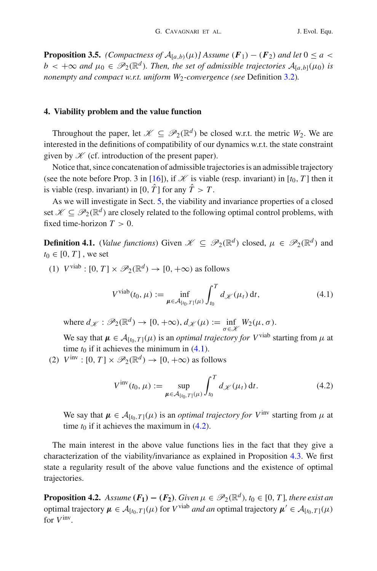**Proposition 3.5.** *(Compactness of*  $A_{[a,b)}(\mu)$ *] Assume*  $(F_1) - (F_2)$  *and let*  $0 \le a <$  $b < +\infty$  *and*  $\mu_0 \in \mathscr{P}_2(\mathbb{R}^d)$ *. Then, the set of admissible trajectories*  $\mathcal{A}_{[a,b]}(\mu_0)$  *is nonempty and compact w.r.t. uniform W<sub>2</sub>-convergence (see Definition [3.2\)](#page-6-0).* 

## <span id="page-7-0"></span>**4. Viability problem and the value function**

Throughout the paper, let  $\mathcal{K} \subseteq \mathcal{P}_2(\mathbb{R}^d)$  be closed w.r.t. the metric  $W_2$ . We are interested in the definitions of compatibility of our dynamics w.r.t. the state constraint given by  $K$  (cf. introduction of the present paper).

Notice that, since concatenation of admissible trajectories is an admissible trajectory (see the note before Prop. 3 in [\[16](#page-45-0)]), if  $\mathcal X$  is viable (resp. invariant) in [ $t_0$ , T] then it is viable (resp. invariant) in [0,  $\hat{T}$ ] for any  $\hat{T} > T$ .

As we will investigate in Sect. [5,](#page-10-0) the viability and invariance properties of a closed set  $\mathscr{K} \subset \mathscr{P}_2(\mathbb{R}^d)$  are closely related to the following optimal control problems, with fixed time-horizon  $T > 0$ .

**Definition 4.1.** (*Value functions*) Given  $\mathcal{K} \subseteq \mathcal{P}_2(\mathbb{R}^d)$  closed,  $\mu \in \mathcal{P}_2(\mathbb{R}^d)$  and  $t_0 \in [0, T]$ , we set

(1)  $V^{\text{viab}}$ :  $[0, T] \times \mathcal{P}_2(\mathbb{R}^d) \rightarrow [0, +\infty)$  as follows

<span id="page-7-3"></span><span id="page-7-1"></span>
$$
V^{\text{viab}}(t_0, \mu) := \inf_{\mu \in \mathcal{A}_{[t_0, T]}(\mu)} \int_{t_0}^T d_{\mathscr{K}}(\mu_t) dt,
$$
 (4.1)

where  $d_{\mathcal{K}} : \mathcal{P}_2(\mathbb{R}^d) \to [0, +\infty), d_{\mathcal{K}}(\mu) := \inf_{\sigma \in \mathcal{K}} W_2(\mu, \sigma).$ 

We say that  $\mu \in A_{[t_0,T]}(\mu)$  is an *optimal trajectory for V*<sup>viab</sup> starting from  $\mu$  at time  $t_0$  if it achieves the minimum in  $(4.1)$ .

(2)  $V^{\text{inv}}$ :  $[0, T] \times \mathcal{P}_2(\mathbb{R}^d) \rightarrow [0, +\infty)$  as follows

<span id="page-7-2"></span>
$$
V^{\text{inv}}(t_0, \mu) := \sup_{\mu \in \mathcal{A}_{[t_0, T]}(\mu)} \int_{t_0}^T d_{\mathcal{K}}(\mu_t) dt.
$$
 (4.2)

We say that  $\mu \in A_{[t_0,T]}(\mu)$  is an *optimal trajectory for* V<sup>inv</sup> starting from  $\mu$  at time  $t_0$  if it achieves the maximum in  $(4.2)$ .

The main interest in the above value functions lies in the fact that they give a characterization of the viability/invariance as explained in Proposition [4.3.](#page-8-0) We first state a regularity result of the above value functions and the existence of optimal trajectories.

<span id="page-7-4"></span>**Proposition 4.2.** *Assume*  $(F_1) - (F_2)$ *. Given*  $\mu \in \mathcal{P}_2(\mathbb{R}^d)$ *, t*<sub>0</sub>  $\in$  [0, *T*]*, there exist an* optimal trajectory  $\mu$  ∈  $\mathcal{A}_{[t_0,T]}(\mu)$  for *V*<sup>viab</sup> *and an* optimal trajectory  $\mu'$  ∈  $\mathcal{A}_{[t_0,T]}(\mu)$ for *V*inv*.*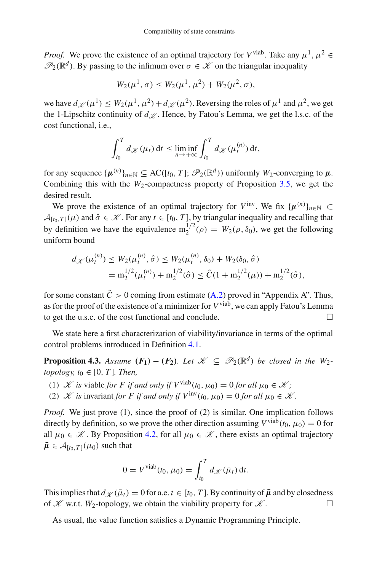*Proof.* We prove the existence of an optimal trajectory for *V*<sup>viab</sup>. Take any  $\mu^1$ ,  $\mu^2$  ∈  $\mathscr{P}_2(\mathbb{R}^d)$ . By passing to the infimum over  $\sigma \in \mathscr{K}$  on the triangular inequality

$$
W_2(\mu^1, \sigma) \le W_2(\mu^1, \mu^2) + W_2(\mu^2, \sigma),
$$

we have  $d\chi(\mu^1) \leq W_2(\mu^1, \mu^2) + d\chi(\mu^2)$ . Reversing the roles of  $\mu^1$  and  $\mu^2$ , we get the 1-Lipschitz continuity of  $d_K$ . Hence, by Fatou's Lemma, we get the l.s.c. of the cost functional, i.e.,

$$
\int_{t_0}^T d_{\mathscr{K}}(\mu_t) dt \le \liminf_{n \to +\infty} \int_{t_0}^T d_{\mathscr{K}}(\mu_t^{(n)}) dt,
$$

for any sequence  $\{\mu^{(n)}\}_{n \in \mathbb{N}} \subseteq \text{AC}([t_0, T]; \mathscr{P}_2(\mathbb{R}^d))$  uniformly  $W_2$ -converging to  $\mu$ . Combining this with the  $W_2$ -compactness property of Proposition [3.5,](#page-6-1) we get the desired result.

We prove the existence of an optimal trajectory for  $V^{\text{inv}}$ . We fix  $\{\mu^{(n)}\}_{n \in \mathbb{N}}$  ⊂  $A_{[t_0,T]}(\mu)$  and  $\hat{\sigma} \in \mathcal{K}$ . For any  $t \in [t_0,T]$ , by triangular inequality and recalling that by definition we have the equivalence  $m_2^{1/2}(\rho) = W_2(\rho, \delta_0)$ , we get the following uniform bound

$$
d_{\mathcal{K}}(\mu_t^{(n)}) \le W_2(\mu_t^{(n)}, \hat{\sigma}) \le W_2(\mu_t^{(n)}, \delta_0) + W_2(\delta_0, \hat{\sigma})
$$
  
=  $\mathbf{m}_2^{1/2}(\mu_t^{(n)}) + \mathbf{m}_2^{1/2}(\hat{\sigma}) \le \tilde{C}(1 + \mathbf{m}_2^{1/2}(\mu)) + \mathbf{m}_2^{1/2}(\hat{\sigma}),$ 

for some constant  $\tilde{C} > 0$  coming from estimate [\(A.2\)](#page-36-0) proved in "Appendix A". Thus, as for the proof of the existence of a minimizer for *V*viab, we can apply Fatou's Lemma to get the u.s.c. of the cost functional and conclude.

We state here a first characterization of viability/invariance in terms of the optimal control problems introduced in Definition [4.1.](#page-7-3)

**Proposition 4.3.** *Assume*  $(F_1) - (F_2)$ *. Let*  $\mathcal{K} \subset \mathcal{P}_2(\mathbb{R}^d)$  *be closed in the W*<sub>2</sub>*topology, t*<sub>0</sub>  $\in$  [0, *T*]*. Then,* 

- (1) *K is* viable *for F if* and only *if*  $V^{vab}(t_0, \mu_0) = 0$  *for all*  $\mu_0 \in \mathcal{K}$ ;
- (2) *K is* invariant *for F if* and only *if*  $V^{\text{inv}}(t_0, \mu_0) = 0$  *for all*  $\mu_0 \in \mathcal{K}$ .

*Proof.* We just prove (1), since the proof of (2) is similar. One implication follows directly by definition, so we prove the other direction assuming  $V^{\text{viab}}(t_0, \mu_0) = 0$  for all  $\mu_0 \in \mathcal{K}$ . By Proposition [4.2,](#page-7-4) for all  $\mu_0 \in \mathcal{K}$ , there exists an optimal trajectory  $\bar{\mu} \in A_{[t_0,T]}(\mu_0)$  such that

<span id="page-8-1"></span><span id="page-8-0"></span>
$$
0 = V^{\text{viab}}(t_0, \mu_0) = \int_{t_0}^T d\mathscr{K}(\bar{\mu}_t) dt.
$$

This implies that  $d_{\mathcal{K}}(\bar{\mu}_t) = 0$  for a.e.  $t \in [t_0, T]$ . By continuity of  $\bar{\mu}$  and by closedness of *K* w.r.t. *W*<sub>2</sub>-topology, we obtain the viability property for *K*.

As usual, the value function satisfies a Dynamic Programming Principle.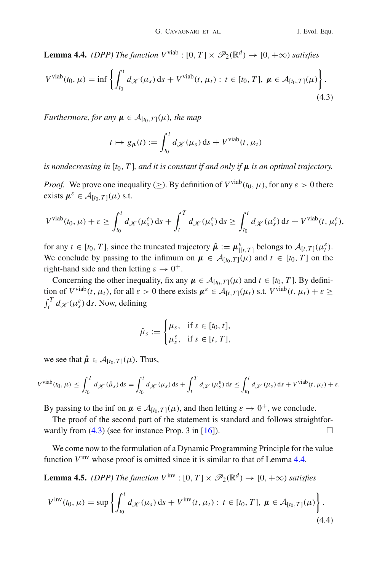**Lemma 4.4.** *(DPP)* The function  $V^{\text{viab}}$  :  $[0, T] \times \mathcal{P}_2(\mathbb{R}^d) \rightarrow [0, +\infty)$  *satisfies* 

<span id="page-9-0"></span>
$$
V^{\text{viab}}(t_0, \mu) = \inf \left\{ \int_{t_0}^t d_{\mathcal{K}}(\mu_s) \, \mathrm{d} s + V^{\text{viab}}(t, \mu_t) : t \in [t_0, T], \, \mu \in \mathcal{A}_{[t_0, T]}(\mu) \right\}.
$$
\n(4.3)

*Furthermore, for any*  $\mu \in A_{[t_0,T]}(\mu)$ *, the map* 

$$
t \mapsto g_{\mu}(t) := \int_{t_0}^t d_{\mathscr{K}}(\mu_s) \, ds + V^{\text{viab}}(t, \mu_t)
$$

*is nondecreasing in* [ $t_0$ , T], and it is constant if and only if  $\mu$  is an optimal trajectory.

*Proof.* We prove one inequality ( $\geq$ ). By definition of  $V^{\text{viab}}(t_0, \mu)$ , for any  $\varepsilon > 0$  there exists  $\mu^{\varepsilon} \in A_{[t_0,T]}(\mu)$  s.t.

$$
V^{\text{viab}}(t_0,\mu) + \varepsilon \ge \int_{t_0}^t d\chi(\mu_s^{\varepsilon}) \, \mathrm{d} s + \int_t^T d\chi(\mu_s^{\varepsilon}) \, \mathrm{d} s \ge \int_{t_0}^t d\chi(\mu_s^{\varepsilon}) \, \mathrm{d} s + V^{\text{viab}}(t,\mu_t^{\varepsilon}),
$$

for any  $t \in [t_0, T]$ , since the truncated trajectory  $\hat{\mu} := \mu_{[t, T]}^{\varepsilon}$  belongs to  $\mathcal{A}_{[t, T]}(\mu_t^{\varepsilon})$ . We conclude by passing to the infimum on  $\mu \in A_{[t_0,T]}(\mu)$  and  $t \in [t_0,T]$  on the right-hand side and then letting  $\varepsilon \to 0^+$ .

Concerning the other inequality, fix any  $\mu \in A_{[t_0,T]}(\mu)$  and  $t \in [t_0, T]$ . By definition of  $V^{\text{viab}}(t, \mu_t)$ , for all  $\varepsilon > 0$  there exists  $\mu^{\varepsilon} \in \mathcal{A}_{[t,T]}(\mu_t)$  s.t.  $V^{\text{viab}}(t, \mu_t) + \varepsilon \geq$  $\int_t^T d\mathcal{K}(\mu_s^{\varepsilon}) \, ds$ . Now, defining

$$
\hat{\mu}_s := \begin{cases} \mu_s, & \text{if } s \in [t_0, t], \\ \mu_s^{\varepsilon}, & \text{if } s \in [t, T], \end{cases}
$$

we see that  $\hat{\mu} \in A_{[t_0, T]}(\mu)$ . Thus,

$$
V^{\text{viab}}(t_0, \mu) \le \int_{t_0}^T d\chi(\hat{\mu}_s) \, ds = \int_{t_0}^t d\chi(\mu_s) \, ds + \int_t^T d\chi(\mu_s) \, ds \le \int_{t_0}^t d\chi(\mu_s) \, ds + V^{\text{viab}}(t, \mu_t) + \varepsilon.
$$

By passing to the inf on  $\mu \in A_{[t_0,T]}(\mu)$ , and then letting  $\varepsilon \to 0^+$ , we conclude.

The proof of the second part of the statement is standard and follows straightforwardly from  $(4.3)$  (see for instance Prop. 3 in [\[16](#page-45-0)]).

We come now to the formulation of a Dynamic Programming Principle for the value function  $V^{\text{inv}}$  whose proof is omitted since it is similar to that of Lemma [4.4.](#page-8-1)

**Lemma 4.5.** *(DPP)* The function  $V^{\text{inv}}$  :  $[0, T] \times \mathcal{P}_2(\mathbb{R}^d) \rightarrow [0, +\infty)$  *satisfies* 

$$
V^{\text{inv}}(t_0, \mu) = \sup \left\{ \int_{t_0}^t d\chi(\mu_s) \, \mathrm{d}s + V^{\text{inv}}(t, \mu_t) : t \in [t_0, T], \, \mu \in \mathcal{A}_{[t_0, T]}(\mu) \right\}.
$$
\n(4.4)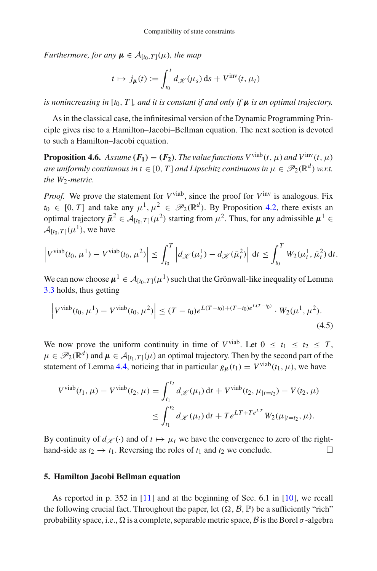*Furthermore, for any*  $\mu \in A_{[t_0,T]}(\mu)$ *, the map* 

$$
t \mapsto j_{\mu}(t) := \int_{t_0}^t d_{\mathscr{K}}(\mu_s) \, \mathrm{d} s + V^{\text{inv}}(t, \mu_t)
$$

*is nonincreasing in* [ $t_0$ , *T*], and *it is constant if and only if*  $\mu$  *is an optimal trajectory.* 

As in the classical case, the infinitesimal version of the Dynamic Programming Principle gives rise to a Hamilton–Jacobi–Bellman equation. The next section is devoted to such a Hamilton–Jacobi equation.

<span id="page-10-1"></span>**Proposition 4.6.** *Assume*  $(F_1) - (F_2)$ *. The value functions*  $V^{\text{viable}}(t, \mu)$  *and*  $V^{\text{inv}}(t, \mu)$ *are uniformly continuous in t*  $\in$  [0, *T*] *and Lipschitz continuous in*  $\mu \in \mathcal{P}_2(\mathbb{R}^d)$  *w.r.t.* the W<sub>2</sub>-metric.

*Proof.* We prove the statement for  $V^{\text{viable}}$ , since the proof for  $V^{\text{inv}}$  is analogous. Fix  $t_0 \in [0, T]$  and take any  $\mu^1, \mu^2 \in \mathcal{P}_2(\mathbb{R}^d)$ . By Proposition [4.2,](#page-7-4) there exists an optimal trajectory  $\bar{\mu}^2 \in A_{[t_0, T]}(\mu^2)$  starting from  $\mu^2$ . Thus, for any admissible  $\mu^1 \in$  $\mathcal{A}_{[t_0,T]}(\mu^1)$ , we have

$$
\left|V^{\text{viab}}(t_0,\mu^1)-V^{\text{viab}}(t_0,\mu^2)\right|\leq \int_{t_0}^T \left|d_{\mathscr{K}}(\mu_t^1)-d_{\mathscr{K}}(\bar{\mu}_t^2)\right| \, \mathrm{d}t \leq \int_{t_0}^T W_2(\mu_t^1,\bar{\mu}_t^2) \, \mathrm{d}t.
$$

We can now choose  $\mu^1 \in A_{[t_0,T]}(\mu^1)$  such that the Grönwall-like inequality of Lemma [3.3](#page-6-2) holds, thus getting

$$
\left| V^{\text{viab}}(t_0, \mu^1) - V^{\text{viab}}(t_0, \mu^2) \right| \le (T - t_0) e^{L(T - t_0) + (T - t_0)e^{L(T - t_0)}} \cdot W_2(\mu^1, \mu^2).
$$
\n(4.5)

We now prove the uniform continuity in time of  $V^{\text{viab}}$ . Let  $0 \le t_1 \le t_2 \le T$ ,  $\mu \in \mathscr{P}_2(\mathbb{R}^d)$  and  $\mu \in \mathcal{A}_{[t_1,T]}(\mu)$  an optimal trajectory. Then by the second part of the statement of Lemma [4.4,](#page-8-1) noticing that in particular  $g_{\mu}(t_1) = V^{\text{viable}}(t_1, \mu)$ , we have

$$
V^{\text{viab}}(t_1, \mu) - V^{\text{viab}}(t_2, \mu) = \int_{t_1}^{t_2} d_{\mathcal{K}}(\mu_t) dt + V^{\text{viab}}(t_2, \mu_{|t=t_2}) - V(t_2, \mu)
$$
  

$$
\leq \int_{t_1}^{t_2} d_{\mathcal{K}}(\mu_t) dt + T e^{LT + T e^{LT}} W_2(\mu_{|t=t_2}, \mu).
$$

By continuity of  $d_{\mathcal{K}}(\cdot)$  and of  $t \mapsto \mu_t$  we have the convergence to zero of the righthand-side as  $t_2 \rightarrow t_1$ . Reversing the roles of  $t_1$  and  $t_2$  we conclude.

## <span id="page-10-0"></span>**5. Hamilton Jacobi Bellman equation**

As reported in p. 352 in [\[11\]](#page-45-10) and at the beginning of Sec. 6.1 in [\[10](#page-45-11)], we recall the following crucial fact. Throughout the paper, let  $(\Omega, \mathcal{B}, \mathbb{P})$  be a sufficiently "rich" probability space, i.e.,  $\Omega$  is a complete, separable metric space,  $\beta$  is the Borel  $\sigma$ -algebra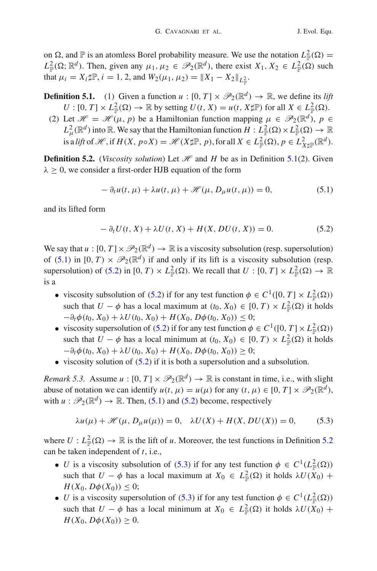on  $\Omega$ , and  $\mathbb P$  is an atomless Borel probability measure. We use the notation  $L^2_{\mathbb P}(\Omega) =$  $L^2_{\mathbb{P}}(\Omega; \mathbb{R}^d)$ . Then, given any  $\mu_1, \mu_2 \in \mathscr{P}_2(\mathbb{R}^d)$ , there exist  $X_1, X_2 \in L^2_{\mathbb{P}}(\Omega)$  such that  $\mu_i = X_i \sharp \mathbb{P}, i = 1, 2$ , and  $W_2(\mu_1, \mu_2) = ||X_1 - X_2||_{L^2_{\mathbb{P}}}$ .

**Definition 5.1.** (1) Given a function  $u : [0, T] \times \mathcal{P}_2(\mathbb{R}^d) \to \mathbb{R}$ , we define its *lift*  $U : [0, T] \times L^2_{\mathbb{P}}(\Omega) \to \mathbb{R}$  by setting  $U(t, X) = u(t, X \sharp \mathbb{P})$  for all  $X \in L^2_{\mathbb{P}}(\Omega)$ .

(2) Let  $\mathcal{H} = \mathcal{H}(\mu, p)$  be a Hamiltonian function mapping  $\mu \in \mathcal{P}_2(\mathbb{R}^d)$ ,  $p \in$  $L^2_{\mu}(\mathbb{R}^d)$  into  $\mathbb{R}$ . We say that the Hamiltonian function  $H: L^2_{\mathbb{P}}(\Omega) \times L^2_{\mathbb{P}}(\Omega) \to \mathbb{R}$ is a *lift* of  $\mathscr{H}$ , if  $H(X, p \circ X) = \mathscr{H}(X \sharp \mathbb{P}, p)$ , for all  $X \in L^2_{\mathbb{P}}(\Omega), p \in L^2_{X \sharp \mathbb{P}}(\mathbb{R}^d)$ .

<span id="page-11-3"></span>**Definition 5.2.** (*Viscosity solution*) Let  $\mathcal{H}$  and  $H$  be as in Definition [5.1\(](#page-11-0)2). Given  $\lambda \geq 0$ , we consider a first-order HJB equation of the form

<span id="page-11-1"></span><span id="page-11-0"></span>
$$
- \partial_t u(t, \mu) + \lambda u(t, \mu) + \mathcal{H}(\mu, D_\mu u(t, \mu)) = 0,
$$
\n(5.1)

and its lifted form

<span id="page-11-2"></span>
$$
- \partial_t U(t, X) + \lambda U(t, X) + H(X, DU(t, X)) = 0.
$$
 (5.2)

We say that  $u : [0, T] \times \mathcal{P}_2(\mathbb{R}^d) \to \mathbb{R}$  is a viscosity subsolution (resp. supersolution) of [\(5.1\)](#page-11-1) in  $[0, T) \times \mathcal{P}_2(\mathbb{R}^d)$  if and only if its lift is a viscosity subsolution (resp. supersolution) of [\(5.2\)](#page-11-2) in  $[0, T) \times L^2_{\mathbb{P}}(\Omega)$ . We recall that  $U : [0, T] \times L^2_{\mathbb{P}}(\Omega) \to \mathbb{R}$ is a

- viscosity subsolution of [\(5.2\)](#page-11-2) if for any test function  $\phi \in C^1([0, T] \times L^2_{\mathbb{P}}(\Omega))$ such that  $U - \phi$  has a local maximum at  $(t_0, X_0) \in [0, T) \times L^2_{\mathbb{P}}(\Omega)$  it holds  $-\partial_t \phi(t_0, X_0) + \lambda U(t_0, X_0) + H(X_0, D\phi(t_0, X_0)) \leq 0;$
- viscosity supersolution of [\(5.2\)](#page-11-2) if for any test function  $\phi \in C^1([0, T] \times L^2_{\mathbb{P}}(\Omega))$ such that  $U - \phi$  has a local minimum at  $(t_0, X_0) \in [0, T) \times L^2_{\mathbb{P}}(\Omega)$  it holds  $-\partial_t \phi(t_0, X_0) + \lambda U(t_0, X_0) + H(X_0, D\phi(t_0, X_0)) \geq 0;$
- viscosity solution of  $(5.2)$  if it is both a supersolution and a subsolution.

<span id="page-11-5"></span>*Remark 5.3.* Assume  $u : [0, T] \times \mathcal{P}_2(\mathbb{R}^d) \to \mathbb{R}$  is constant in time, i.e., with slight abuse of notation we can identify  $u(t, \mu) = u(\mu)$  for any  $(t, \mu) \in [0, T] \times \mathcal{P}_2(\mathbb{R}^d)$ , with  $u : \mathcal{P}_2(\mathbb{R}^d) \to \mathbb{R}$ . Then, [\(5.1\)](#page-11-1) and [\(5.2\)](#page-11-2) become, respectively

<span id="page-11-4"></span>
$$
\lambda u(\mu) + \mathcal{H}(\mu, D_{\mu}u(\mu)) = 0, \quad \lambda U(X) + H(X, DU(X)) = 0,
$$
 (5.3)

where  $U: L^2_{\mathbb{P}}(\Omega) \to \mathbb{R}$  is the lift of *u*. Moreover, the test functions in Definition [5.2](#page-11-3) can be taken independent of *t*, i.e.,

- *U* is a viscosity subsolution of [\(5.3\)](#page-11-4) if for any test function  $\phi \in C^1(L^2_{\mathbb{P}}(\Omega))$ such that  $U - \phi$  has a local maximum at  $X_0 \in L^2_{\mathbb{P}}(\Omega)$  it holds  $\lambda U(X_0)$  + *H*(*X*<sub>0</sub>, *D* $\phi$ (*X*<sub>0</sub>))  $\leq$  0;
- *U* is a viscosity supersolution of [\(5.3\)](#page-11-4) if for any test function  $\phi \in C^1(L^2_{\mathbb{P}}(\Omega))$ such that  $U - \phi$  has a local minimum at  $X_0 \in L^2_{\mathbb{P}}(\Omega)$  it holds  $\lambda U(X_0)$  + *H*(*X*<sub>0</sub>, *D* $\phi$ (*X*<sub>0</sub>))  $\geq$  0.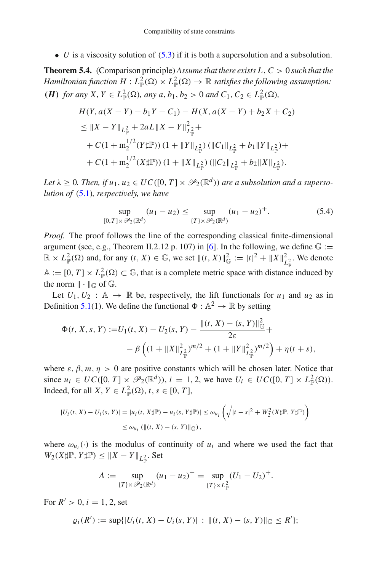<span id="page-12-1"></span>• *U* is a viscosity solution of  $(5.3)$  if it is both a supersolution and a subsolution.

**Theorem 5.4.** (Comparison principle) *Assume that there exists L*,*C* > 0 *such that the*  $H$ amiltonian function  $H: L^2_{\mathbb P}(\Omega)\times L^2_{\mathbb P}(\Omega)\to \mathbb R$  satisfies the following assumption: *(H) for any <i>X*, *Y* ∈ *L*<sub> $_{\mathbb{P}}^{2}$ (Ω)*, any a*, *b*<sub>1</sub>*, b*<sub>2</sub> > 0 *and C*<sub>1</sub>*, C*<sub>2</sub> ∈ *L*<sub> $_{\mathbb{P}}^{2}$ (Ω)*,*</sub></sub>

$$
H(Y, a(X - Y) - b_1 Y - C_1) - H(X, a(X - Y) + b_2 X + C_2)
$$
  
\n
$$
\leq \|X - Y\|_{L^2_{\mathbb{P}}} + 2aL\|X - Y\|_{L^2_{\mathbb{P}}}^2 +
$$
  
\n
$$
+ C(1 + m_2^{1/2}(Y \sharp \mathbb{P})) (1 + \|Y\|_{L^2_{\mathbb{P}}}) (\|C_1\|_{L^2_{\mathbb{P}}} + b_1 \|Y\|_{L^2_{\mathbb{P}}}) +
$$
  
\n
$$
+ C(1 + m_2^{1/2}(X \sharp \mathbb{P})) (1 + \|X\|_{L^2_{\mathbb{P}}}) (\|C_2\|_{L^2_{\mathbb{P}}} + b_2 \|X\|_{L^2_{\mathbb{P}}}).
$$

*Let*  $\lambda \geq 0$ *. Then, if*  $u_1, u_2 \in UC([0, T] \times \mathcal{P}_2(\mathbb{R}^d))$  *are a subsolution and a supersolution of* [\(5.1\)](#page-11-1)*, respectively, we have*

<span id="page-12-0"></span>
$$
\sup_{[0,T] \times \mathcal{P}_2(\mathbb{R}^d)} (u_1 - u_2) \le \sup_{\{T\} \times \mathcal{P}_2(\mathbb{R}^d)} (u_1 - u_2)^+.
$$
 (5.4)

*Proof.* The proof follows the line of the corresponding classical finite-dimensional argument (see, e.g., Theorem II.2.12 p. 107) in [\[6\]](#page-45-12). In the following, we define  $\mathbb{G}$  :=  $\mathbb{R} \times L^2_{\mathbb{P}}(\Omega)$  and, for any  $(t, X) \in \mathbb{G}$ , we set  $\|(t, X)\|_{\mathbb{G}}^2 := |t|^2 + \|X\|_{L^2_{\mathbb{P}}}^2$ . We denote  $A := [0, T] \times L^2_{\mathbb{P}}(\Omega) \subset \mathbb{G}$ , that is a complete metric space with distance induced by the norm  $\|\cdot\|_{\mathbb{G}}$  of  $\mathbb{G}$ .

Let  $U_1, U_2 : \mathbb{A} \to \mathbb{R}$  be, respectively, the lift functionals for  $u_1$  and  $u_2$  as in Definition [5.1\(](#page-11-0)1). We define the functional  $\Phi : \mathbb{A}^2 \to \mathbb{R}$  by setting

$$
\Phi(t, X, s, Y) := U_1(t, X) - U_2(s, Y) - \frac{\|(t, X) - (s, Y)\|_{\mathbb{G}}^2}{2\varepsilon} +
$$
  
 
$$
- \beta \left( (1 + \|X\|_{L^2_{\mathbb{P}}}^2)^{m/2} + (1 + \|Y\|_{L^2_{\mathbb{P}}}^2)^{m/2} \right) + \eta(t + s),
$$

where  $\varepsilon$ ,  $\beta$ ,  $m$ ,  $\eta > 0$  are positive constants which will be chosen later. Notice that since  $u_i \in UC([0, T] \times \mathcal{P}_2(\mathbb{R}^d))$ ,  $i = 1, 2$ , we have  $U_i \in UC([0, T] \times L^2_{\mathbb{P}}(\Omega))$ . Indeed, for all *X*,  $Y \in L^2_{\mathbb{P}}(\Omega)$ ,  $t, s \in [0, T]$ ,

$$
|U_i(t, X) - U_i(s, Y)| = |u_i(t, X \sharp \mathbb{P}) - u_i(s, Y \sharp \mathbb{P})| \le \omega_{u_i} \left( \sqrt{|t - s|^2 + W_2^2(X \sharp \mathbb{P}, Y \sharp \mathbb{P})} \right)
$$
  

$$
\le \omega_{u_i} \left( \| (t, X) - (s, Y) \|_{\mathbb{G}} \right),
$$

where  $\omega_{u_i}(\cdot)$  is the modulus of continuity of  $u_i$  and where we used the fact that  $W_2(X \sharp \mathbb{P}, Y \sharp \mathbb{P}) \leq \|X - Y\|_{L^2_{\mathbb{P}}}$ . Set

$$
A := \sup_{\{T\} \times \mathcal{P}_2(\mathbb{R}^d)} (u_1 - u_2)^+ = \sup_{\{T\} \times L^2_{\mathbb{P}}} (U_1 - U_2)^+.
$$

For  $R' > 0$ ,  $i = 1, 2$ , set

$$
\varrho_i(R') := \sup\{|U_i(t, X) - U_i(s, Y)| : \|(t, X) - (s, Y)\|_{\mathbb{G}} \leq R'\};
$$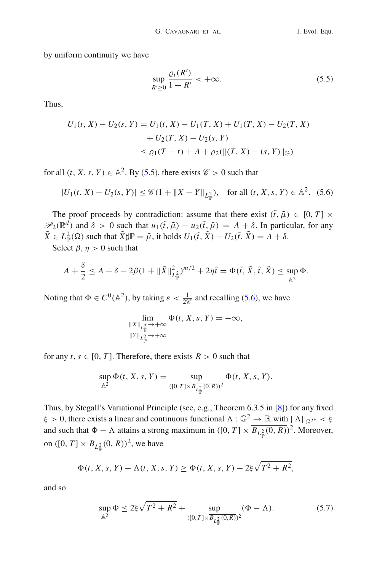by uniform continuity we have

<span id="page-13-0"></span>
$$
\sup_{R'\geq 0} \frac{\varrho_i(R')}{1+R'} < +\infty. \tag{5.5}
$$

Thus,

$$
U_1(t, X) - U_2(s, Y) = U_1(t, X) - U_1(T, X) + U_1(T, X) - U_2(T, X)
$$
  
+ 
$$
U_2(T, X) - U_2(s, Y)
$$
  

$$
\leq \varrho_1(T - t) + A + \varrho_2(\|(T, X) - (s, Y)\|_{\mathbb{G}})
$$

for all  $(t, X, s, Y) \in \mathbb{A}^2$ . By [\(5.5\)](#page-13-0), there exists  $\mathscr{C} > 0$  such that

<span id="page-13-1"></span>
$$
|U_1(t, X) - U_2(s, Y)| \le \mathcal{C}(1 + \|X - Y\|_{L^2_{\mathbb{P}}}), \quad \text{for all } (t, X, s, Y) \in \mathbb{A}^2. \tag{5.6}
$$

The proof proceeds by contradiction: assume that there exist  $(\tilde{t}, \tilde{\mu}) \in [0, T] \times$  $\mathscr{P}_2(\mathbb{R}^d)$  and  $\delta > 0$  such that  $u_1(\tilde{t}, \tilde{\mu}) - u_2(\tilde{t}, \tilde{\mu}) = A + \delta$ . In particular, for any  $\tilde{X} \in L^2_{\mathbb{P}}(\Omega)$  such that  $\tilde{X} \sharp \mathbb{P} = \tilde{\mu}$ , it holds  $U_1(\tilde{t}, \tilde{X}) - U_2(\tilde{t}, \tilde{X}) = A + \delta$ .

Select  $\beta$ ,  $\eta > 0$  such that

$$
A+\frac{\delta}{2}\leq A+\delta-2\beta(1+\|\tilde{X}\|_{L^2_{\mathbb{P}}})^{m/2}+2\eta\tilde{t}=\Phi(\tilde{t},\tilde{X},\tilde{t},\tilde{X})\leq \sup_{\mathbb{A}^2}\Phi.
$$

Noting that  $\Phi \in C^0(\mathbb{A}^2)$ , by taking  $\varepsilon < \frac{1}{2\mathscr{C}}$  and recalling [\(5.6\)](#page-13-1), we have

$$
\lim_{\substack{\|X\|_{L^2_{\mathbb{P}}} \to +\infty \\ \|Y\|_{L^2_{\mathbb{P}}} \to +\infty}} \Phi(t, X, s, Y) = -\infty,
$$

for any  $t, s \in [0, T]$ . Therefore, there exists  $R > 0$  such that

$$
\sup_{\mathbb{A}^2} \Phi(t, X, s, Y) = \sup_{([0, T] \times \overline{B_{L^2_{\mathbb{P}}}(0, R)})^2} \Phi(t, X, s, Y).
$$

Thus, by Stegall's Variational Principle (see, e.g., Theorem 6.3.5 in [\[8\]](#page-45-13)) for any fixed  $\xi > 0$ , there exists a linear and continuous functional  $\Lambda : \mathbb{G}^2 \to \mathbb{R}$  with  $\|\Lambda\|_{\mathbb{G}^2} \times \xi$ and such that  $\Phi - \Lambda$  attains a strong maximum in ([0, *T*]  $\times \overline{B_{L_{\mathbb{P}}^2}(0,R)})^2$ . Moreover, on  $([0, T] \times \overline{B_{L^2_{\mathbb{P}}}(0, R)})^2$ , we have

$$
\Phi(t, X, s, Y) - \Lambda(t, X, s, Y) \ge \Phi(t, X, s, Y) - 2\xi\sqrt{T^2 + R^2},
$$

and so

<span id="page-13-2"></span>
$$
\sup_{\mathbb{A}^2} \Phi \le 2\xi \sqrt{T^2 + R^2} + \sup_{([0,T] \times \overline{B_{L^2_{\mathbb{P}}}(0,R)})^2} (\Phi - \Lambda). \tag{5.7}
$$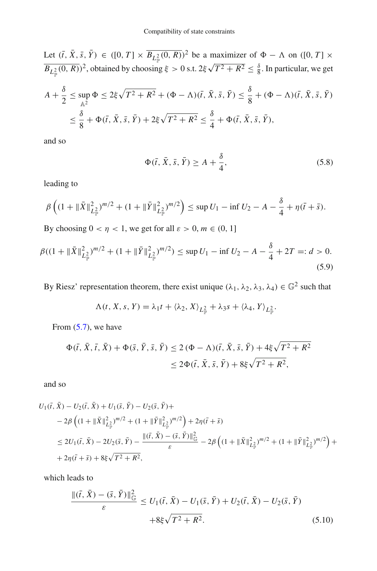Let  $(\bar{t}, \bar{X}, \bar{s}, \bar{Y}) \in ([0, T] \times \overline{B_{L_{\mathbb{P}}^2}(0, R)})^2$  be a maximizer of  $\Phi - \Lambda$  on  $([0, T] \times$  $\frac{1}{B_{L^2_{\mathbb{P}}}(0,R)})^2$ , obtained by choosing  $\xi > 0$  s.t.  $2\xi\sqrt{T^2 + R^2} \le \frac{\delta}{8}$ . In particular, we get

$$
A + \frac{\delta}{2} \le \sup_{\mathbb{A}^2} \Phi \le 2\xi\sqrt{T^2 + R^2} + (\Phi - \Lambda)(\bar{t}, \bar{X}, \bar{s}, \bar{Y}) \le \frac{\delta}{8} + (\Phi - \Lambda)(\bar{t}, \bar{X}, \bar{s}, \bar{Y})
$$
  

$$
\le \frac{\delta}{8} + \Phi(\bar{t}, \bar{X}, \bar{s}, \bar{Y}) + 2\xi\sqrt{T^2 + R^2} \le \frac{\delta}{4} + \Phi(\bar{t}, \bar{X}, \bar{s}, \bar{Y}),
$$

and so

<span id="page-14-1"></span>
$$
\Phi(\bar{t}, \bar{X}, \bar{s}, \bar{Y}) \ge A + \frac{\delta}{4},\tag{5.8}
$$

leading to

$$
\beta \left( (1 + \|\bar{X}\|_{L^2_{\mathbb{P}}}^2)^{m/2} + (1 + \|\bar{Y}\|_{L^2_{\mathbb{P}}}^2)^{m/2} \right) \le \sup U_1 - \inf U_2 - A - \frac{\delta}{4} + \eta(\bar{t} + \bar{s}).
$$

By choosing  $0 < \eta < 1$ , we get for all  $\varepsilon > 0$ ,  $m \in (0, 1]$ 

<span id="page-14-2"></span>
$$
\beta((1 + \|\bar{X}\|_{L^2_{\mathbb{P}}})^{m/2} + (1 + \|\bar{Y}\|_{L^2_{\mathbb{P}}})^{m/2}) \le \sup U_1 - \inf U_2 - A - \frac{\delta}{4} + 2T =: d > 0.
$$
\n(5.9)

By Riesz' representation theorem, there exist unique  $(\lambda_1, \lambda_2, \lambda_3, \lambda_4) \in \mathbb{G}^2$  such that

$$
\Lambda(t, X, s, Y) = \lambda_1 t + \langle \lambda_2, X \rangle_{L^2_{\mathbb{P}}} + \lambda_3 s + \langle \lambda_4, Y \rangle_{L^2_{\mathbb{P}}}.
$$

From  $(5.7)$ , we have

$$
\Phi(\bar{t}, \bar{X}, \bar{t}, \bar{X}) + \Phi(\bar{s}, \bar{Y}, \bar{s}, \bar{Y}) \le 2 (\Phi - \Lambda)(\bar{t}, \bar{X}, \bar{s}, \bar{Y}) + 4\xi\sqrt{T^2 + R^2} \le 2\Phi(\bar{t}, \bar{X}, \bar{s}, \bar{Y}) + 8\xi\sqrt{T^2 + R^2},
$$

and so

$$
U_{1}(\bar{t}, \bar{X}) - U_{2}(\bar{t}, \bar{X}) + U_{1}(\bar{s}, \bar{Y}) - U_{2}(\bar{s}, \bar{Y}) +
$$
  
\n
$$
- 2\beta \left( (1 + \|\bar{X}\|_{L_{\mathbb{P}}^{2}}^{2})^{m/2} + (1 + \|\bar{Y}\|_{L_{\mathbb{P}}^{2}}^{2})^{m/2} \right) + 2\eta(\bar{t} + \bar{s})
$$
  
\n
$$
\leq 2U_{1}(\bar{t}, \bar{X}) - 2U_{2}(\bar{s}, \bar{Y}) - \frac{\|(\bar{t}, \bar{X}) - (\bar{s}, \bar{Y})\|_{\mathbb{G}}^{2}}{\varepsilon} - 2\beta \left( (1 + \|\bar{X}\|_{L_{\mathbb{P}}^{2}}^{2})^{m/2} + (1 + \|\bar{Y}\|_{L_{\mathbb{P}}^{2}}^{2})^{m/2} \right) +
$$
  
\n
$$
+ 2\eta(\bar{t} + \bar{s}) + 8\xi\sqrt{T^{2} + R^{2}},
$$

which leads to

<span id="page-14-0"></span>
$$
\frac{\|(\bar{t}, \bar{X}) - (\bar{s}, \bar{Y})\|_{\mathbb{G}}^2}{\varepsilon} \le U_1(\bar{t}, \bar{X}) - U_1(\bar{s}, \bar{Y}) + U_2(\bar{t}, \bar{X}) - U_2(\bar{s}, \bar{Y}) + 8\xi\sqrt{T^2 + R^2}.
$$
 (5.10)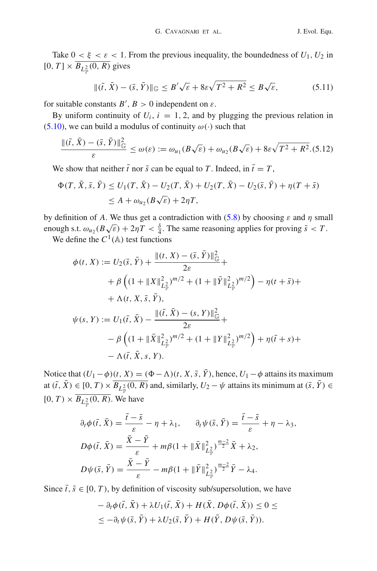Take  $0 < \xi < \varepsilon < 1$ . From the previous inequality, the boundedness of  $U_1, U_2$  in  $[0, T] \times B_{L^2_{\mathbb{P}}} (0, R)$  gives

<span id="page-15-0"></span>
$$
\|(\bar{t}, \bar{X}) - (\bar{s}, \bar{Y})\|_{\mathbb{G}} \le B'\sqrt{\varepsilon} + 8\varepsilon\sqrt{T^2 + R^2} \le B\sqrt{\varepsilon},\tag{5.11}
$$

for suitable constants  $B'$ ,  $B > 0$  independent on  $\varepsilon$ .

By uniform continuity of  $U_i$ ,  $i = 1, 2$ , and by plugging the previous relation in [\(5.10\)](#page-14-0), we can build a modulus of continuity  $\omega(\cdot)$  such that

<span id="page-15-1"></span>
$$
\frac{\|(\bar{t},\bar{X}) - (\bar{s},\bar{Y})\|^2_{\mathbb{G}}}{\varepsilon} \le \omega(\varepsilon) := \omega_{u_1}(B\sqrt{\varepsilon}) + \omega_{u_2}(B\sqrt{\varepsilon}) + 8\varepsilon\sqrt{T^2 + R^2}.
$$
(5.12)

We show that neither  $\bar{t}$  nor  $\bar{s}$  can be equal to T. Indeed, in  $\bar{t} = T$ ,

$$
\Phi(T, \bar{X}, \bar{s}, \bar{Y}) \le U_1(T, \bar{X}) - U_2(T, \bar{X}) + U_2(T, \bar{X}) - U_2(\bar{s}, \bar{Y}) + \eta(T + \bar{s})
$$
  

$$
\le A + \omega_{u_2}(B\sqrt{\varepsilon}) + 2\eta T,
$$

by definition of *A*. We thus get a contradiction with  $(5.8)$  by choosing  $\varepsilon$  and  $\eta$  small enough s.t.  $\omega_{u_2}(B\sqrt{\varepsilon}) + 2\eta T < \frac{\delta}{4}$ . The same reasoning applies for proving  $\bar{s} < T$ . We define the  $C^1$ ( $\mathbb A$ ) test functions

$$
\phi(t, X) := U_2(\bar{s}, \bar{Y}) + \frac{\|(t, X) - (\bar{s}, \bar{Y})\|_{\mathbb{G}}^2}{2\varepsilon} +
$$
  
+  $\beta \left( (1 + \|X\|_{L^2_{\mathbb{P}}})^{m/2} + (1 + \|\bar{Y}\|_{L^2_{\mathbb{P}}})^{m/2} \right) - \eta(t + \bar{s}) +$   
+  $\Lambda(t, X, \bar{s}, \bar{Y}),$   

$$
\psi(s, Y) := U_1(\bar{t}, \bar{X}) - \frac{\|(\bar{t}, \bar{X}) - (s, Y)\|_{\mathbb{G}}^2}{2\varepsilon} +
$$
  
-  $\beta \left( (1 + \|\bar{X}\|_{L^2_{\mathbb{P}}})^{m/2} + (1 + \|Y\|_{L^2_{\mathbb{P}}})^{m/2} \right) + \eta(\bar{t} + s) +$   
-  $\Lambda(\bar{t}, \bar{X}, s, Y).$ 

Notice that  $(U_1 - \phi)(t, X) = (\Phi - \Lambda)(t, X, \overline{s}, \overline{Y})$ , hence,  $U_1 - \phi$  attains its maximum at  $(\bar{t}, X) \in [0, T) \times B_{L^2_{\mathbb{P}}} (0, R)$  and, similarly,  $U_2 - \psi$  attains its minimum at  $(\bar{s}, Y) \in$  $[0, T] \times B_{L^2_{\mathbb{P}}} (0, R)$ . We have

$$
\partial_t \phi(\bar{t}, \bar{X}) = \frac{\bar{t} - \bar{s}}{\varepsilon} - \eta + \lambda_1, \qquad \partial_t \psi(\bar{s}, \bar{Y}) = \frac{\bar{t} - \bar{s}}{\varepsilon} + \eta - \lambda_3,
$$
  
\n
$$
D\phi(\bar{t}, \bar{X}) = \frac{\bar{X} - \bar{Y}}{\varepsilon} + m\beta(1 + \|\bar{X}\|_{L^2_{\mathbb{P}}}^2)^{\frac{m-2}{2}} \bar{X} + \lambda_2,
$$
  
\n
$$
D\psi(\bar{s}, \bar{Y}) = \frac{\bar{X} - \bar{Y}}{\varepsilon} - m\beta(1 + \|\bar{Y}\|_{L^2_{\mathbb{P}}}^2)^{\frac{m-2}{2}} \bar{Y} - \lambda_4.
$$

Since  $\bar{t}$ ,  $\bar{s} \in [0, T)$ , by definition of viscosity sub/supersolution, we have

$$
- \partial_t \phi(\bar{t}, \bar{X}) + \lambda U_1(\bar{t}, \bar{X}) + H(\bar{X}, D\phi(\bar{t}, \bar{X})) \le 0 \le
$$
  

$$
\le -\partial_t \psi(\bar{s}, \bar{Y}) + \lambda U_2(\bar{s}, \bar{Y}) + H(\bar{Y}, D\psi(\bar{s}, \bar{Y})).
$$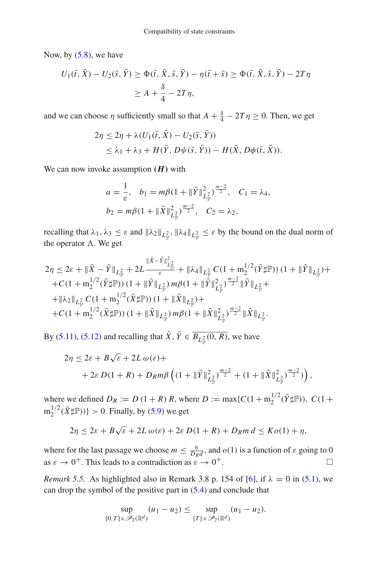Now, by [\(5.8\)](#page-14-1), we have

$$
U_1(\bar{t}, \bar{X}) - U_2(\bar{s}, \bar{Y}) \ge \Phi(\bar{t}, \bar{X}, \bar{s}, \bar{Y}) - \eta(\bar{t} + \bar{s}) \ge \Phi(\bar{t}, \bar{X}, \bar{s}, \bar{Y}) - 2T\eta
$$
  

$$
\ge A + \frac{\delta}{4} - 2T\eta,
$$

and we can choose  $\eta$  sufficiently small so that  $A + \frac{\delta}{4} - 2T\eta \ge 0$ . Then, we get

$$
2\eta \leq 2\eta + \lambda (U_1(\bar{t}, \bar{X}) - U_2(\bar{s}, \bar{Y}))
$$
  
 
$$
\leq \lambda_1 + \lambda_3 + H(\bar{Y}, D\psi(\bar{s}, \bar{Y})) - H(\bar{X}, D\phi(\bar{t}, \bar{X})).
$$

We can now invoke assumption *(H)* with

$$
a = \frac{1}{\varepsilon}, \quad b_1 = m\beta (1 + \|\bar{Y}\|_{L_{\mathbb{P}}^2}^2)^{\frac{m-2}{2}}, \quad C_1 = \lambda_4,
$$
  

$$
b_2 = m\beta (1 + \|\bar{X}\|_{L_{\mathbb{P}}^2}^2)^{\frac{m-2}{2}}, \quad C_2 = \lambda_2,
$$

recalling that  $\lambda_1, \lambda_3 \leq \varepsilon$  and  $\|\lambda_2\|_{L^2_{\mathbb{P}}}$ ,  $\|\lambda_4\|_{L^2_{\mathbb{P}}} \leq \varepsilon$  by the bound on the dual norm of the operator  $\Lambda$ . We get

$$
2\eta \leq 2\varepsilon + \|\bar{X} - \bar{Y}\|_{L^2_{\mathbb{P}}} + 2L \frac{\|\bar{X} - \bar{Y}\|_{L^2_{\mathbb{P}}}}{\varepsilon} + \|\lambda_4\|_{L^2_{\mathbb{P}}} C (1 + m_2^{1/2} (\bar{Y} \sharp \mathbb{P})) (1 + \|\bar{Y}\|_{L^2_{\mathbb{P}}}) + C (1 + m_2^{1/2} (\bar{Y} \sharp \mathbb{P})) (1 + \|\bar{Y}\|_{L^2_{\mathbb{P}}}) m\beta (1 + \|\bar{Y}\|_{L^2_{\mathbb{P}}}) \frac{m-2}{2} \|\bar{Y}\|_{L^2_{\mathbb{P}}} +
$$
  
+  $|\lambda_2\|_{L^2_{\mathbb{P}}} C (1 + m_2^{1/2} (\bar{X} \sharp \mathbb{P})) (1 + \|\bar{X}\|_{L^2_{\mathbb{P}}}) +$   
+ C (1 + m\_2^{1/2} (\bar{X} \sharp \mathbb{P})) (1 + \|\bar{X}\|\_{L^2\_{\mathbb{P}}}) m\beta (1 + \|\bar{X}\|\_{L^2\_{\mathbb{P}}}) \frac{m-2}{2} \|\bar{X}\|\_{L^2\_{\mathbb{P}}}.

By [\(5.11\)](#page-15-0), [\(5.12\)](#page-15-1) and recalling that *X*,  $Y \in B_{L^2_{\mathbb{P}}}(0, R)$ , we have

$$
2\eta \le 2\varepsilon + B\sqrt{\varepsilon} + 2L\,\omega(\varepsilon) +
$$
  
+ 2\varepsilon D(1+R) + D\_Rm\beta \left( (1 + \|\bar{Y}\|\_{L^2\_{\mathbb{P}}}^2)^{\frac{m-2}{2}} + (1 + \|\bar{X}\|\_{L^2\_{\mathbb{P}}}^2)^{\frac{m-2}{2}}) \right),

where we defined  $D_R := D(1 + R) R$ , where  $D := \max\{C(1 + m_2^{1/2}(\bar{Y} \sharp \mathbb{P}))\}$ ,  $C(1 +$  $m_2^{1/2}(\bar{X} \sharp \mathbb{P}))$ } > 0. Finally, by [\(5.9\)](#page-14-2) we get

$$
2\eta \le 2\varepsilon + B\sqrt{\varepsilon} + 2L\,\omega(\varepsilon) + 2\varepsilon\,D(1+R) + D_R m\,d \le K\,o(1) + \eta,
$$

where for the last passage we choose  $m \leq \frac{\eta}{D_R d}$ , and  $o(1)$  is a function of  $\varepsilon$  going to 0 as  $\varepsilon \to 0^+$ . This leads to a contradiction as  $\varepsilon \to 0^+$ .

*Remark 5.5.* As highlighted also in Remark 3.8 p. 154 of [\[6\]](#page-45-12), if  $\lambda = 0$  in [\(5.1\)](#page-11-1), we can drop the symbol of the positive part in [\(5.4\)](#page-12-0) and conclude that

$$
\sup_{[0,T]\times \mathscr{P}_2(\mathbb{R}^d)} (u_1 - u_2) \leq \sup_{\{T\} \times \mathscr{P}_2(\mathbb{R}^d)} (u_1 - u_2).
$$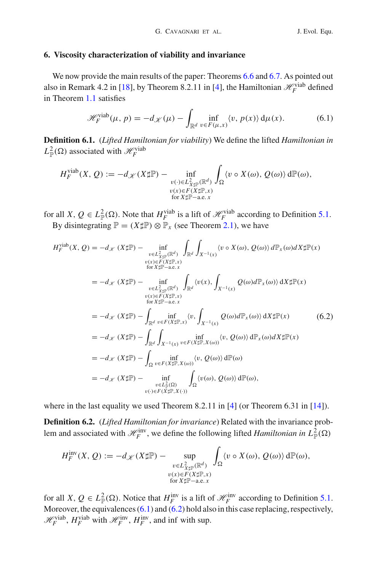## <span id="page-17-0"></span>**6. Viscosity characterization of viability and invariance**

We now provide the main results of the paper: Theorems [6.6](#page-23-0) and [6.7.](#page-27-0) As pointed out also in Remark 4.2 in [\[18\]](#page-45-1), by Theorem 8.2.11 in [\[4\]](#page-45-14), the Hamiltonian  $\mathcal{H}_F^{\text{viab}}$  defined in Theorem [1.1](#page-2-0) satisfies

<span id="page-17-1"></span>
$$
\mathcal{H}_F^{\text{vial}}(\mu, p) = -d_{\mathcal{K}}(\mu) - \int_{\mathbb{R}^d} \inf_{v \in F(\mu, x)} \langle v, p(x) \rangle \, d\mu(x). \tag{6.1}
$$

<span id="page-17-3"></span>**Definition 6.1.** (*Lifted Hamiltonian for viability*) We define the lifted *Hamiltonian in*  $L^2_{\mathbb{P}}(\Omega)$  associated with  $\mathscr{H}_F^{\text{viab}}$ 

$$
H_F^{\text{vlab}}(X, Q) := -d_{\mathscr{K}}(X \sharp \mathbb{P}) - \inf_{\substack{v(\cdot) \in L_{X \sharp \mathbb{P}}^2(\mathbb{R}^d) \\ v(x) \in F(X \sharp \mathbb{P}, x) \\ \text{for } X \sharp \mathbb{P} - a.e. x}} \int_{\Omega} \langle v \circ X(\omega), Q(\omega) \rangle d\mathbb{P}(\omega),
$$

for all *X*,  $Q \in L^2_{\mathbb{P}}(\Omega)$ . Note that  $H_F^{\text{viable}}$  is a lift of  $\mathcal{H}_F^{\text{viable}}$  according to Definition [5.1.](#page-11-0) By disintegrating  $\mathbb{P} = (X \sharp \mathbb{P}) \otimes \mathbb{P}_x$  (see Theorem [2.1\)](#page-4-0), we have

<span id="page-17-2"></span>
$$
H_{F}^{\text{viab}}(X, Q) = -d_{\mathcal{K}} (X \sharp \mathbb{P}) - \inf_{\substack{v \in L_{X \sharp \mathbb{P}}^2(\mathbb{R}^d) \\ v(x) \in F(X \sharp \mathbb{P}, x)}} \int_{\mathbb{R}^d} \int_{X^{-1}(x)} \langle v \circ X(\omega), Q(\omega) \rangle d\mathbb{P}_x(\omega) dX \sharp \mathbb{P}(x)
$$
  
\n
$$
= -d_{\mathcal{K}} (X \sharp \mathbb{P}) - \inf_{\substack{v \in L_{X \sharp \mathbb{P}}^2(\mathbb{R}^d) \\ v(x) \in F(X \sharp \mathbb{P}, x)}} \int_{\mathbb{R}^d} \langle v(x), \int_{X^{-1}(x)} Q(\omega) d\mathbb{P}_x(\omega) \rangle dX \sharp \mathbb{P}(x)
$$
  
\n
$$
= -d_{\mathcal{K}} (X \sharp \mathbb{P}) - \int_{\mathbb{R}^d} \inf_{v \in F(X \sharp \mathbb{P}, x)} \langle v, \int_{X^{-1}(x)} Q(\omega) d\mathbb{P}_x(\omega) \rangle dX \sharp \mathbb{P}(x)
$$
  
\n
$$
= -d_{\mathcal{K}} (X \sharp \mathbb{P}) - \int_{\mathbb{R}^d} \int_{X^{-1}(x)} v \in F(X \sharp \mathbb{P}, X(\omega))} \langle v, Q(\omega) \rangle d\mathbb{P}_x(\omega) dX \sharp \mathbb{P}(x)
$$
  
\n
$$
= -d_{\mathcal{K}} (X \sharp \mathbb{P}) - \int_{\Omega} \inf_{v \in F(X \sharp \mathbb{P}, X(\omega))} \langle v, Q(\omega) \rangle d\mathbb{P}(\omega)
$$
  
\n
$$
= -d_{\mathcal{K}} (X \sharp \mathbb{P}) - \inf_{v \in L_{\mathbb{R}}^2(\Omega)} \int_{\Omega} \langle v(\omega), Q(\omega) \rangle d\mathbb{P}(\omega),
$$
  
\n
$$
= -d_{\mathcal{K}} (X \sharp \mathbb{P}) - \inf_{v \in L_{\mathbb{R}}^2(\Omega)} \int_{\Omega} \langle v(\omega), Q(\omega) \rangle d\mathbb{P}(\omega),
$$

<span id="page-17-4"></span>where in the last equality we used Theorem 8.2.11 in [\[4](#page-45-14)] (or Theorem 6.31 in [\[14\]](#page-45-15)).

**Definition 6.2.** (*Lifted Hamiltonian for invariance*) Related with the invariance problem and associated with  $\mathcal{H}_F^{\text{inv}}$ , we define the following lifted *Hamiltonian in*  $L^2_{\mathbb{P}}(\Omega)$ 

$$
H_F^{\text{inv}}(X, Q) := -d_{\mathscr{K}}(X \sharp \mathbb{P}) - \sup_{\substack{v \in L^2_{X \sharp \mathbb{P}}(\mathbb{R}^d) \\ v(x) \in F(X \sharp \mathbb{P}, x) \\ \text{for } X \sharp \mathbb{P}-a.e. x}} \int_{\Omega} \langle v \circ X(\omega), Q(\omega) \rangle d\mathbb{P}(\omega),
$$

for all *X*,  $Q \in L^2_{\mathbb{P}}(\Omega)$ . Notice that  $H_F^{\text{inv}}$  is a lift of  $\mathcal{H}_F^{\text{inv}}$  according to Definition [5.1.](#page-11-0) Moreover, the equivalences [\(6.1\)](#page-17-1) and [\(6.2\)](#page-17-2) hold also in this case replacing, respectively,  $\mathcal{H}_F^{\text{viab}}$ ,  $H_F^{\text{viab}}$  with  $\mathcal{H}_F^{\text{inv}}$ ,  $H_F^{\text{inv}}$ , and inf with sup.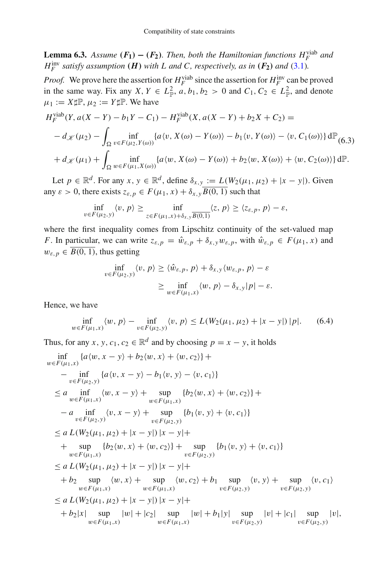<span id="page-18-1"></span>**Lemma 6.3.** *Assume*  $(F_1) - (F_2)$ *. Then, both the Hamiltonian functions*  $H_F^{\text{viable}}$  *and H*<sup><sup>Inv</sup></sup> *satisfy assumption (H) with L and C, respectively, as in (F<sub>2</sub>) and* [\(3.1\)](#page-6-3)*.* 

*Proof.* We prove here the assertion for  $H_F^{\text{via}}$  since the assertion for  $H_F^{\text{inv}}$  can be proved in the same way. Fix any  $X, Y \in L^2_{\mathbb{P}}, a, b_1, b_2 > 0$  and  $C_1, C_2 \in L^2_{\mathbb{P}},$  and denote  $\mu_1 := X \sharp \mathbb{P}, \mu_2 := Y \sharp \mathbb{P}.$  We have

<span id="page-18-0"></span>
$$
H_F^{\text{vjab}}(Y, a(X - Y) - b_1 Y - C_1) - H_F^{\text{vjab}}(X, a(X - Y) + b_2 X + C_2) =
$$
  
\n
$$
- d_{\mathcal{K}}(\mu_2) - \int_{\Omega} \inf_{v \in F(\mu_2, Y(\omega))} \{a \langle v, X(\omega) - Y(\omega) \rangle - b_1 \langle v, Y(\omega) \rangle - \langle v, C_1(\omega) \rangle\} d\mathbb{P}_{(6.3)}
$$
  
\n
$$
+ d_{\mathcal{K}}(\mu_1) + \int_{\Omega} \inf_{w \in F(\mu_1, X(\omega))} \{a \langle w, X(\omega) - Y(\omega) \rangle + b_2 \langle w, X(\omega) \rangle + \langle w, C_2(\omega) \rangle\} d\mathbb{P}.
$$

Let  $p \in \mathbb{R}^d$ . For any  $x, y \in \mathbb{R}^d$ , define  $\delta_{x,y} := L(W_2(\mu_1, \mu_2) + |x - y|)$ . Given any  $\varepsilon > 0$ , there exists  $z_{\varepsilon,p} \in F(\mu_1, x) + \delta_{x,y} \overline{B(0, 1)}$  such that

$$
\inf_{v \in F(\mu_2, y)} \langle v, p \rangle \ge \inf_{z \in F(\mu_1, x) + \delta_{x, y}} \langle z, p \rangle \ge \langle z_{\varepsilon, p}, p \rangle - \varepsilon,
$$

where the first inequality comes from Lipschitz continuity of the set-valued map *F*. In particular, we can write  $z_{\varepsilon,p} = \hat{w}_{\varepsilon,p} + \delta_{x,y} w_{\varepsilon,p}$ , with  $\hat{w}_{\varepsilon,p} \in F(\mu_1, x)$  and  $w_{\varepsilon, p} \in \overline{B(0, 1)}$ , thus getting

$$
\inf_{v \in F(\mu_2, y)} \langle v, p \rangle \ge \langle \hat{w}_{\varepsilon, p}, p \rangle + \delta_{x, y} \langle w_{\varepsilon, p}, p \rangle - \varepsilon
$$
\n
$$
\ge \inf_{w \in F(\mu_1, x)} \langle w, p \rangle - \delta_{x, y} |p| - \varepsilon.
$$

Hence, we have

$$
\inf_{w \in F(\mu_1, x)} \langle w, p \rangle - \inf_{v \in F(\mu_2, y)} \langle v, p \rangle \le L(W_2(\mu_1, \mu_2) + |x - y|) |p|. \tag{6.4}
$$

Thus, for any *x*, *y*, *c*<sub>1</sub>, *c*<sub>2</sub>  $\in \mathbb{R}^d$  and by choosing *p* = *x* − *y*, it holds

$$
\inf_{w \in F(\mu_1, x)} \{a \langle w, x - y \rangle + b_2 \langle w, x \rangle + \langle w, c_2 \rangle \} +
$$
\n
$$
- \inf_{v \in F(\mu_2, y)} \{a \langle v, x - y \rangle - b_1 \langle v, y \rangle - \langle v, c_1 \rangle \}
$$
\n
$$
\le a \inf_{w \in F(\mu_1, x)} \langle w, x - y \rangle + \sup_{w \in F(\mu_1, x)} \{b_2 \langle w, x \rangle + \langle w, c_2 \rangle \} +
$$
\n
$$
- a \inf_{v \in F(\mu_2, y)} \langle v, x - y \rangle + \sup_{w \in F(\mu_2, y)} \{b_1 \langle v, y \rangle + \langle v, c_1 \rangle \}
$$
\n
$$
\le a L(W_2(\mu_1, \mu_2) + |x - y|) |x - y| +
$$
\n
$$
+ \sup_{w \in F(\mu_1, x)} \{b_2 \langle w, x \rangle + \langle w, c_2 \rangle \} + \sup_{v \in F(\mu_2, y)} \{b_1 \langle v, y \rangle + \langle v, c_1 \rangle \}
$$
\n
$$
\le a L(W_2(\mu_1, \mu_2) + |x - y|) |x - y| +
$$
\n
$$
+ b_2 \sup_{w \in F(\mu_1, x)} \langle w, x \rangle + \sup_{w \in F(\mu_1, x)} \langle w, c_2 \rangle + b_1 \sup_{v \in F(\mu_2, y)} \langle v, y \rangle + \sup_{v \in F(\mu_2, y)} \langle v, c_1 \rangle
$$
\n
$$
\le a L(W_2(\mu_1, \mu_2) + |x - y|) |x - y| +
$$
\n
$$
+ b_2 |x| \sup_{w \in F(\mu_1, x)} |w| + |c_2| \sup_{w \in F(\mu_1, x)} |w| + b_1 |y| \sup_{v \in F(\mu_2, y)} |v| + |c_1| \sup_{w \in F(\mu_2, y)} |v|,
$$
\n
$$
+ b_2 |x| \sup_{w \in F(\mu_1, x)} |w| + |c_2| \sup_{w \in F(\mu_1, x)} |w| + b_1 |y| \sup_{v \in F(\mu_2, y)} |v| + |c_1|
$$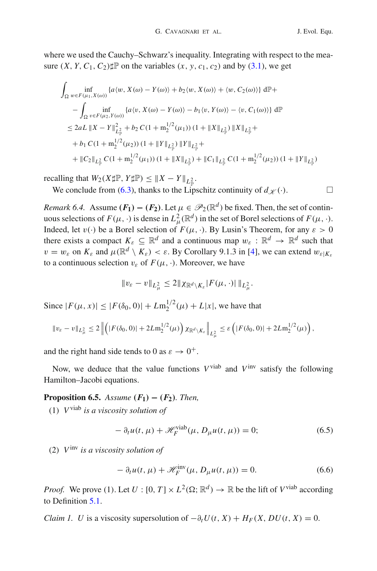where we used the Cauchy–Schwarz's inequality. Integrating with respect to the measure  $(X, Y, C_1, C_2)$   $\sharp \mathbb{P}$  on the variables  $(x, y, c_1, c_2)$  and by [\(3.1\)](#page-6-3), we get

$$
\int_{\Omega} \inf_{w \in F(\mu_1, X(\omega))} \{a \langle w, X(\omega) - Y(\omega) \rangle + b_2 \langle w, X(\omega) \rangle + \langle w, C_2(\omega) \rangle \} d\mathbb{P} +
$$
\n
$$
- \int_{\Omega} \inf_{v \in F(\mu_2, Y(\omega))} \{a \langle v, X(\omega) - Y(\omega) \rangle - b_1 \langle v, Y(\omega) \rangle - \langle v, C_1(\omega) \rangle \} d\mathbb{P}
$$
\n
$$
\leq 2aL \left\| X - Y \right\|_{L^2_{\mathbb{P}}}^2 + b_2 C (1 + m_2^{1/2}(\mu_1)) (1 + \|X\|_{L^2_{\mathbb{P}}}) \|X\|_{L^2_{\mathbb{P}}} +
$$
\n
$$
+ b_1 C (1 + m_2^{1/2}(\mu_2)) (1 + \|Y\|_{L^2_{\mathbb{P}}}) \|Y\|_{L^2_{\mathbb{P}}} +
$$
\n
$$
+ \|C_2\|_{L^2_{\mathbb{P}}} C (1 + m_2^{1/2}(\mu_1)) (1 + \|X\|_{L^2_{\mathbb{P}}}) + \|C_1\|_{L^2_{\mathbb{P}}} C (1 + m_2^{1/2}(\mu_2)) (1 + \|Y\|_{L^2_{\mathbb{P}}})
$$

recalling that  $W_2(X \sharp \mathbb{P}, Y \sharp \mathbb{P}) \leq \|X - Y\|_{L^2_{\mathbb{P}}}$ .

We conclude from [\(6.3\)](#page-18-0), thanks to the Lipschitz continuity of  $d_{\mathscr{K}}(\cdot)$ .

<span id="page-19-0"></span>*Remark 6.4.* Assume  $(F_1) - (F_2)$ . Let  $\mu \in \mathcal{P}_2(\mathbb{R}^d)$  be fixed. Then, the set of continuous selections of  $F(\mu, \cdot)$  is dense in  $L^2_{\mu}(\mathbb{R}^d)$  in the set of Borel selections of  $F(\mu, \cdot)$ . Indeed, let  $v(\cdot)$  be a Borel selection of  $F(\mu, \cdot)$ . By Lusin's Theorem, for any  $\varepsilon > 0$ there exists a compact  $K_{\varepsilon} \subseteq \mathbb{R}^d$  and a continuous map  $w_{\varepsilon} : \mathbb{R}^d \to \mathbb{R}^d$  such that  $v = w_{\varepsilon}$  on  $K_{\varepsilon}$  and  $\mu(\mathbb{R}^d \setminus K_{\varepsilon}) < \varepsilon$ . By Corollary 9.1.3 in [\[4](#page-45-14)], we can extend  $w_{\varepsilon}|_{K_{\varepsilon}}$ to a continuous selection  $v_{\varepsilon}$  of  $F(\mu, \cdot)$ . Moreover, we have

$$
||v_{\varepsilon}-v||_{L^2_{\mu}} \leq 2||\chi_{\mathbb{R}^d \setminus K_{\varepsilon}}|F(\mu,\cdot)||_{L^2_{\mu}}.
$$

Since  $|F(\mu, x)| \le |F(\delta_0, 0)| + Lm_2^{1/2}(\mu) + L|x|$ , we have that

$$
\|v_{\varepsilon}-v\|_{L^2_{\mu}}\leq 2\left\|\left(|F(\delta_0,0)|+2Lm_2^{1/2}(\mu)\right)\chi_{\mathbb{R}^d\setminus K_{\varepsilon}}\right\|_{L^2_{\mu}}\leq \varepsilon\left(|F(\delta_0,0)|+2Lm_2^{1/2}(\mu)\right),
$$

and the right hand side tends to 0 as  $\varepsilon \to 0^+$ .

<span id="page-19-1"></span>Now, we deduce that the value functions  $V^{\text{viab}}$  and  $V^{\text{inv}}$  satisfy the following Hamilton–Jacobi equations.

## **Proposition 6.5.** *Assume*  $(F_1) - (F_2)$ *. Then,*

(1) *V*viab *is a viscosity solution of*

$$
- \partial_t u(t, \mu) + \mathcal{H}_F^{\text{viab}}(\mu, D_\mu u(t, \mu)) = 0; \tag{6.5}
$$

(2) *V*inv *is a viscosity solution of*

$$
- \partial_t u(t, \mu) + \mathcal{H}_F^{\text{inv}}(\mu, D_\mu u(t, \mu)) = 0. \tag{6.6}
$$

*Proof.* We prove (1). Let  $U : [0, T] \times L^2(\Omega; \mathbb{R}^d) \to \mathbb{R}$  be the lift of  $V^{\text{vial}}$  according to Definition [5.1.](#page-11-0)

*Claim 1. U* is a viscosity supersolution of  $-\partial_t U(t, X) + H_F(X, DU(t, X)) = 0$ .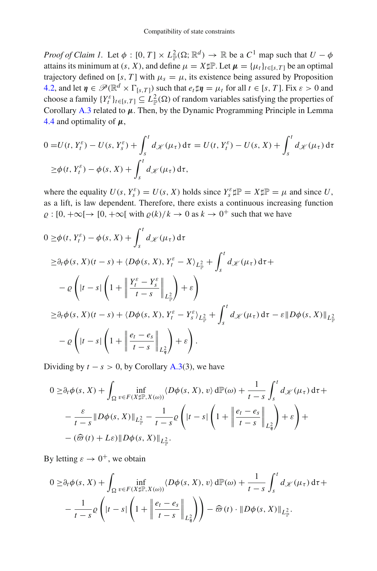*Proof of Claim 1.* Let  $\phi$ :  $[0, T] \times L^2_{\mathbb{P}}(\Omega; \mathbb{R}^d) \to \mathbb{R}$  be a  $C^1$  map such that  $U - \phi$ attains its minimum at  $(s, X)$ , and define  $\mu = X \sharp \mathbb{P}$ . Let  $\mu = {\mu_t}_{t \in [s, T]}$  be an optimal trajectory defined on [*s*, *T*] with  $\mu_s = \mu$ , its existence being assured by Proposition [4.2,](#page-7-4) and let  $\eta \in \mathcal{P}(\mathbb{R}^d \times \Gamma_{[s,T]})$  such that  $e_t \sharp \eta = \mu_t$  for all  $t \in [s,T]$ . Fix  $\varepsilon > 0$  and choose a family  $\{Y_t^{\varepsilon}\}_{t \in [s,T]} \subseteq L^2_{\mathbb{P}}(\Omega)$  of random variables satisfying the properties of Corollary [A.3](#page-39-0) related to *μ*. Then, by the Dynamic Programming Principle in Lemma [4.4](#page-8-1) and optimality of *μ*,

$$
0 = U(t, Y_t^{\varepsilon}) - U(s, Y_s^{\varepsilon}) + \int_s^t d\chi(\mu_{\tau}) d\tau = U(t, Y_t^{\varepsilon}) - U(s, X) + \int_s^t d\chi(\mu_{\tau}) d\tau
$$
  
\n
$$
\geq \phi(t, Y_t^{\varepsilon}) - \phi(s, X) + \int_s^t d\chi(\mu_{\tau}) d\tau,
$$

where the equality  $U(s, Y_s^{\varepsilon}) = U(s, X)$  holds since  $Y_s^{\varepsilon} \sharp \mathbb{P} = X \sharp \mathbb{P} = \mu$  and since U, as a lift, is law dependent. Therefore, there exists a continuous increasing function  $\rho : [0, +\infty[ \rightarrow [0, +\infty[ \text{ with } \rho(k)/k \rightarrow 0 \text{ as } k \rightarrow 0^+ \text{ such that we have}$ 

$$
0 \geq \phi(t, Y_t^{\varepsilon}) - \phi(s, X) + \int_s^t d\chi(\mu_{\tau}) d\tau
$$
  
\n
$$
\geq \partial_t \phi(s, X)(t - s) + \langle D\phi(s, X), Y_t^{\varepsilon} - X \rangle_{L_{\mathbb{P}}^2} + \int_s^t d\chi(\mu_{\tau}) d\tau +
$$
  
\n
$$
- \varrho \left( |t - s| \left( 1 + \left\| \frac{Y_t^{\varepsilon} - Y_s^{\varepsilon}}{t - s} \right\|_{L_{\mathbb{P}}^2} \right) + \varepsilon \right)
$$
  
\n
$$
\geq \partial_t \phi(s, X)(t - s) + \langle D\phi(s, X), Y_t^{\varepsilon} - Y_s^{\varepsilon} \rangle_{L_{\mathbb{P}}^2} + \int_s^t d\chi(\mu_{\tau}) d\tau - \varepsilon || D\phi(s, X) ||_{L_{\mathbb{P}}^2}
$$
  
\n
$$
- \varrho \left( |t - s| \left( 1 + \left\| \frac{e_t - e_s}{t - s} \right\|_{L_{\mathfrak{H}}^2} \right) + \varepsilon \right).
$$

Dividing by  $t - s > 0$ , by Corollary [A.3\(](#page-39-0)3), we have

$$
0 \geq \partial_t \phi(s, X) + \int_{\Omega} \inf_{v \in F(X \sharp \mathbb{P}, X(\omega))} \langle D\phi(s, X), v \rangle d\mathbb{P}(\omega) + \frac{1}{t - s} \int_s^t d\chi(\mu_\tau) d\tau +
$$
  

$$
- \frac{\varepsilon}{t - s} \| D\phi(s, X) \|_{L^2_{\mathbb{P}}} - \frac{1}{t - s} \varrho \left( |t - s| \left( 1 + \left\| \frac{e_t - e_s}{t - s} \right\|_{L^2_{\eta}} \right) + \varepsilon \right) +
$$
  

$$
- (\widehat{\varpi}(t) + L\varepsilon) \| D\phi(s, X) \|_{L^2_{\mathbb{P}}}.
$$

By letting  $\varepsilon \to 0^+$ , we obtain

$$
0 \geq \partial_t \phi(s, X) + \int_{\Omega} \inf_{v \in F(X \sharp \mathbb{P}, X(\omega))} \langle D\phi(s, X), v \rangle d\mathbb{P}(\omega) + \frac{1}{t - s} \int_s^t d\chi(\mu_\tau) d\tau +
$$

$$
- \frac{1}{t - s} \rho \left( |t - s| \left( 1 + \left\| \frac{e_t - e_s}{t - s} \right\|_{L^2_{\eta}} \right) \right) - \widehat{\varpi}(t) \cdot \| D\phi(s, X) \|_{L^2_{\mathbb{P}}}.
$$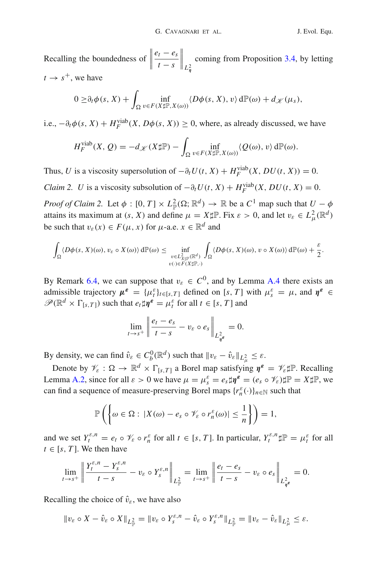Recalling the boundedness of  $\parallel$  $e_t - e_s$ *t* − *s*  $\Big\|_{L^2_\eta}$ coming from Proposition [3.4,](#page-6-4) by letting  $t \rightarrow s^+$ , we have

$$
0 \geq \partial_t \phi(s, X) + \int_{\Omega} \inf_{v \in F(X \sharp \mathbb{P}, X(\omega))} \langle D\phi(s, X), v \rangle d\mathbb{P}(\omega) + d_{\mathscr{K}}(\mu_s),
$$

i.e.,  $-\partial_t \phi(s, X) + H_F^{\text{viable}}(X, D\phi(s, X)) \ge 0$ , where, as already discussed, we have

$$
H_F^{\text{viab}}(X, Q) = -d_{\mathscr{K}}(X \sharp \mathbb{P}) - \int_{\Omega} \inf_{v \in F(X \sharp \mathbb{P}, X(\omega))} \langle Q(\omega), v \rangle d\mathbb{P}(\omega).
$$

Thus, *U* is a viscosity supersolution of  $-\partial_t U(t, X) + H_F^{\text{viab}}(X, DU(t, X)) = 0.$ 

*Claim 2. U* is a viscosity subsolution of  $-\partial_t U(t, X) + H_F^{\text{vial}}(X, DU(t, X)) = 0$ .

*Proof of Claim 2.* Let  $\phi : [0, T] \times L^2_{\mathbb{P}}(\Omega; \mathbb{R}^d) \to \mathbb{R}$  be a  $C^1$  map such that  $U - \phi$ attains its maximum at  $(s, X)$  and define  $\mu = X \sharp \mathbb{P}$ . Fix  $\varepsilon > 0$ , and let  $v_{\varepsilon} \in L^2_{\mu}(\mathbb{R}^d)$ be such that  $v_{\varepsilon}(x) \in F(\mu, x)$  for  $\mu$ -a.e.  $x \in \mathbb{R}^d$  and

$$
\int_{\Omega} \langle D\phi(s, X)(\omega), v_{\varepsilon} \circ X(\omega) \rangle d\mathbb{P}(\omega) \leq \inf_{\substack{v \in L^2_{X \sharp \mathbb{P}}(\mathbb{R}^d) \\ v(\cdot) \in F(X \sharp \mathbb{P}, \cdot)}} \int_{\Omega} \langle D\phi(s, X)(\omega), v \circ X(\omega) \rangle d\mathbb{P}(\omega) + \frac{\varepsilon}{2}.
$$

By Remark [6.4,](#page-19-0) we can suppose that  $v_{\varepsilon} \in C^0$ , and by Lemma [A.4](#page-41-0) there exists an admissible trajectory  $\mu^{\varepsilon} = {\{\mu^{\varepsilon}_t\}_{t \in [s,T]}}$  defined on [*s*, *T*] with  $\mu^{\varepsilon} = \mu$ , and  $\eta^{\varepsilon} \in$  $\mathscr{P}(\mathbb{R}^d \times \Gamma_{[s,T]})$  such that  $e_t \sharp \eta^{\epsilon} = \mu_t^{\epsilon}$  for all  $t \in [s,T]$  and

$$
\lim_{t \to s^+} \left\| \frac{e_t - e_s}{t - s} - v_\varepsilon \circ e_s \right\|_{L^2_{\eta^{\varepsilon}}} = 0.
$$

By density, we can find  $\hat{v}_{\varepsilon} \in C_b^0(\mathbb{R}^d)$  such that  $\|v_{\varepsilon} - \hat{v}_{\varepsilon}\|_{L^2_{\mu}} \leq \varepsilon$ .

Denote by  $\mathcal{V}_{\varepsilon} : \Omega \to \mathbb{R}^d \times \Gamma_{[s,T]}$  a Borel map satisfying  $\eta^{\varepsilon} = \mathcal{V}_{\varepsilon} \sharp \mathbb{P}$ . Recalling Lemma [A.2,](#page-39-1) since for all  $\varepsilon > 0$  we have  $\mu = \mu_s^{\varepsilon} = e_s \sharp \eta^{\varepsilon} = (e_s \circ \mathcal{V}_{\varepsilon}) \sharp \mathbb{P} = X \sharp \mathbb{P}$ , we can find a sequence of measure-preserving Borel maps  $\{r_n^{\varepsilon}(\cdot)\}_{n\in\mathbb{N}}$  such that

$$
\mathbb{P}\left(\left\{\omega\in\Omega:\,|X(\omega)-e_s\circ\mathscr{V}_{\varepsilon}\circ r_n^{\varepsilon}(\omega)|\leq\frac{1}{n}\right\}\right)=1,
$$

and we set  $Y_t^{\varepsilon,n} = e_t \circ \mathcal{V}_\varepsilon \circ r_n^\varepsilon$  for all  $t \in [s, T]$ . In particular,  $Y_t^{\varepsilon,n} \sharp \mathbb{P} = \mu_t^\varepsilon$  for all  $t \in [s, T]$ . We then have

$$
\lim_{t \to s^+} \left\| \frac{Y_t^{\varepsilon,n} - Y_s^{\varepsilon,n}}{t-s} - v_\varepsilon \circ Y_s^{\varepsilon,n} \right\|_{L^2_{\mathbb{P}}} = \lim_{t \to s^+} \left\| \frac{e_t - e_s}{t-s} - v_\varepsilon \circ e_s \right\|_{L^2_{\eta^\varepsilon}} = 0.
$$

Recalling the choice of  $\hat{v}_{\varepsilon}$ , we have also

$$
\|v_{\varepsilon} \circ X - \hat{v}_{\varepsilon} \circ X\|_{L^2_{\mathbb{P}}} = \|v_{\varepsilon} \circ Y^{\varepsilon,n}_s - \hat{v}_{\varepsilon} \circ Y^{\varepsilon,n}_s\|_{L^2_{\mathbb{P}}} = \|v_{\varepsilon} - \hat{v}_{\varepsilon}\|_{L^2_{\mu}} \leq \varepsilon.
$$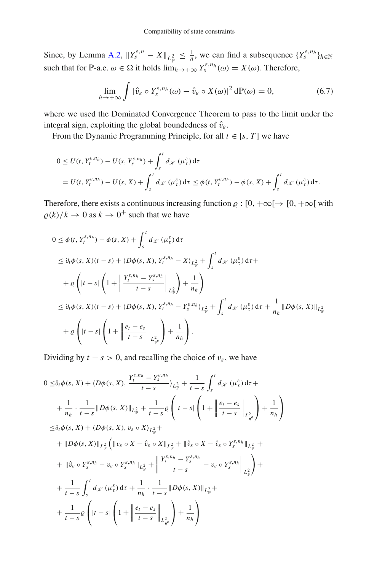Since, by Lemma [A.2,](#page-39-1)  $||Y_s^{\varepsilon,n} - X||_{L^2_{\mathbb{P}}} \le \frac{1}{n}$ , we can find a subsequence  $\{Y_s^{\varepsilon,n_h}\}_{h \in \mathbb{N}}$ such that for P-a.e.  $\omega \in \Omega$  it holds  $\lim_{h \to +\infty} Y_s^{\varepsilon, n_h}(\omega) = X(\omega)$ . Therefore,

<span id="page-22-0"></span>
$$
\lim_{h \to +\infty} \int |\hat{v}_{\varepsilon} \circ Y_{s}^{\varepsilon, n_{h}}(\omega) - \hat{v}_{\varepsilon} \circ X(\omega)|^{2} d\mathbb{P}(\omega) = 0, \tag{6.7}
$$

where we used the Dominated Convergence Theorem to pass to the limit under the integral sign, exploiting the global boundedness of  $\hat{v}_{\varepsilon}$ .

From the Dynamic Programming Principle, for all  $t \in [s, T]$  we have

$$
0 \le U(t, Y_t^{\varepsilon, n_h}) - U(s, Y_s^{\varepsilon, n_h}) + \int_s^t d\chi \left(\mu_t^{\varepsilon}\right) d\tau
$$
  
= U(t, Y\_t^{\varepsilon, n\_h}) - U(s, X) + \int\_s^t d\chi \left(\mu\_t^{\varepsilon}\right) d\tau \le \phi(t, Y\_t^{\varepsilon, n\_h}) - \phi(s, X) + \int\_s^t d\chi \left(\mu\_t^{\varepsilon}\right) d\tau.

Therefore, there exists a continuous increasing function  $\rho : [0, +\infty) \to [0, +\infty]$  with  $\rho(k)/k \to 0$  as  $k \to 0^+$  such that we have

$$
0 \leq \phi(t, Y_t^{\varepsilon, n_h}) - \phi(s, X) + \int_s^t d\chi \left(\mu_\tau^\varepsilon\right) d\tau
$$
  
\n
$$
\leq \partial_t \phi(s, X)(t - s) + \langle D\phi(s, X), Y_t^{\varepsilon, n_h} - X \rangle_{L^2_{\mathbb{P}}} + \int_s^t d\chi \left(\mu_\tau^\varepsilon\right) d\tau +
$$
  
\n
$$
+ \varrho \left( |t - s| \left( 1 + \left\| \frac{Y_t^{\varepsilon, n_h} - Y_s^{\varepsilon, n_h}}{t - s} \right\|_{L^2_{\mathbb{P}}} \right) + \frac{1}{n_h} \right)
$$
  
\n
$$
\leq \partial_t \phi(s, X)(t - s) + \langle D\phi(s, X), Y_t^{\varepsilon, n_h} - Y_s^{\varepsilon, n_h} \rangle_{L^2_{\mathbb{P}}} + \int_s^t d\chi \left(\mu_\tau^\varepsilon\right) d\tau + \frac{1}{n_h} \|D\phi(s, X)\|_{L^2_{\mathbb{P}}} + \varrho \left( |t - s| \left( 1 + \left\| \frac{e_t - e_s}{t - s} \right\|_{L^2_{\eta^\varepsilon}} \right) + \frac{1}{n_h} \right).
$$

Dividing by  $t - s > 0$ , and recalling the choice of  $v_{\varepsilon}$ , we have

$$
0 \leq \partial_t \phi(s, X) + \langle D\phi(s, X), \frac{Y_t^{\varepsilon, n_h} - Y_s^{\varepsilon, n_h}}{t - s} \rangle_{L_{\mathbb{P}}^2} + \frac{1}{t - s} \int_s^t d_{\mathcal{X}} (\mu_{\tau}^{\varepsilon}) d\tau +
$$
  
+ 
$$
\frac{1}{n_h} \cdot \frac{1}{t - s} \| D\phi(s, X) \|_{L_{\mathbb{P}}^2} + \frac{1}{t - s} \varrho \left( |t - s| \left( 1 + \left\| \frac{e_t - e_s}{t - s} \right\|_{L_{\mathbb{P}}^2} \right) + \frac{1}{n_h} \right)
$$
  

$$
\leq \partial_t \phi(s, X) + \langle D\phi(s, X), v_{\varepsilon} \circ X \rangle_{L_{\mathbb{P}}^2} +
$$
  
+ 
$$
\| D\phi(s, X) \|_{L_{\mathbb{P}}^2} \left( \| v_{\varepsilon} \circ X - \hat{v}_{\varepsilon} \circ X \|_{L_{\mathbb{P}}^2} + \| \hat{v}_{\varepsilon} \circ X - \hat{v}_{\varepsilon} \circ Y_s^{\varepsilon, n_h} \|_{L_{\mathbb{P}}^2} + \right.
$$
  
+ 
$$
\| \hat{v}_{\varepsilon} \circ Y_s^{\varepsilon, n_h} - v_{\varepsilon} \circ Y_s^{\varepsilon, n_h} \|_{L_{\mathbb{P}}^2} + \left\| \frac{Y_t^{\varepsilon, n_h} - Y_s^{\varepsilon, n_h}}{t - s} - v_{\varepsilon} \circ Y_s^{\varepsilon, n_h} \|_{L_{\mathbb{P}}^2} \right) +
$$
  
+ 
$$
\frac{1}{t - s} \int_s^t d_{\mathcal{X}} (\mu_{\tau}^{\varepsilon}) d\tau + \frac{1}{n_h} \cdot \frac{1}{t - s} \| D\phi(s, X) \|_{L_{\mathbb{P}}^2} +
$$
  
+ 
$$
\frac{1}{t - s} \varrho \left( |t - s| \left( 1 + \left\| \frac{e_t - e_s}{t - s} \right\|_{L_{\mathbb{P}}^2} \right) + \frac{1}{n_h} \right)
$$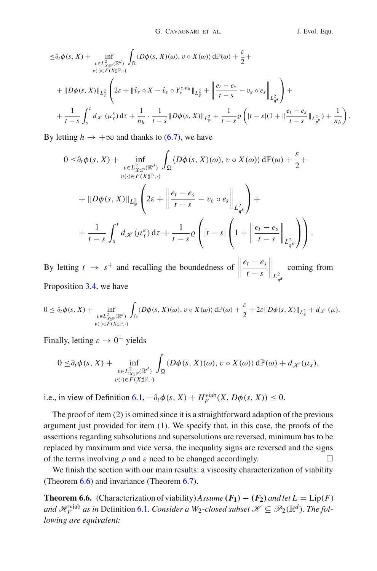$$
\leq \partial_t \phi(s, X) + \inf_{\substack{v \in L^2_{X \sharp \mathbb{P}}(\mathbb{R}^d) \\ v(\cdot) \in F(X \sharp \mathbb{P}, \cdot)}} \int_{\Omega} \langle D\phi(s, X)(\omega), v \circ X(\omega) \rangle d\mathbb{P}(\omega) + \frac{\varepsilon}{2} + \n+ \|D\phi(s, X)\|_{L^2_{\mathbb{P}}} \left( 2\varepsilon + \|\hat{v}_{\varepsilon} \circ X - \hat{v}_{\varepsilon} \circ Y_s^{\varepsilon, n_h}\|_{L^2_{\mathbb{P}}} + \left\|\frac{e_t - e_s}{t - s} - v_{\varepsilon} \circ e_s\right\|_{L^2_{\phi^{\varepsilon}}} \right) + \n+ \frac{1}{t - s} \int_s^t d\mathcal{K}(\mu^{\varepsilon}_\tau) d\tau + \frac{1}{n_h} \cdot \frac{1}{t - s} \|D\phi(s, X)\|_{L^2_{\mathbb{P}}} + \frac{1}{t - s} \varrho \left( |t - s|(1 + \|\frac{e_t - e_s}{t - s}\|_{L^2_{\phi^{\varepsilon}}}) + \frac{1}{n_h} \right).
$$

By letting  $h \to +\infty$  and thanks to [\(6.7\)](#page-22-0), we have

$$
0 \leq \partial_t \phi(s, X) + \inf_{\substack{v \in L^2_{X \sharp \mathbb{P}}(\mathbb{R}^d) \\ v(\cdot) \in F(X \sharp \mathbb{P}, \cdot)}} \int_{\Omega} \langle D\phi(s, X)(\omega), v \circ X(\omega) \rangle d\mathbb{P}(\omega) + \frac{\varepsilon}{2} +
$$
  
+ 
$$
\|D\phi(s, X)\|_{L^2_{\mathbb{P}}} \left(2\varepsilon + \left\|\frac{e_t - e_s}{t - s} - v_{\varepsilon} \circ e_s\right\|_{L^2_{\eta^{\varepsilon}}}\right) +
$$
  
+ 
$$
\frac{1}{t - s} \int_s^t d\mathscr{K}(\mu_t^{\varepsilon}) d\tau + \frac{1}{t - s} \varrho \left(|t - s| \left(1 + \left\|\frac{e_t - e_s}{t - s}\right\|_{L^2_{\eta^{\varepsilon}}}\right)\right).
$$

By letting  $t \rightarrow s^+$  and recalling the boundedness of  $e_t - e_s$ *t* − *s L*2 *ηε* coming from Proposition [3.4,](#page-6-4) we have

$$
0 \leq \partial_t \phi(s, X) + \inf_{\substack{v \in L^2_{X \sharp \mathbb{P}}(\mathbb{R}^d) \\ v(\cdot) \in F(X \sharp \mathbb{P}, \cdot)}} \int_{\Omega} \langle D\phi(s, X)(\omega), v \circ X(\omega) \rangle d\mathbb{P}(\omega) + \frac{\varepsilon}{2} + 2\varepsilon \| D\phi(s, X) \|_{L^2_{\mathbb{P}}} + d_{\mathcal{K}}(\mu).
$$

Finally, letting  $\varepsilon \to 0^+$  yields

$$
0 \leq \partial_t \phi(s, X) + \inf_{\substack{v \in L^2_{X \sharp \mathbb{P}}(\mathbb{R}^d) \\ v(\cdot) \in F(X \sharp \mathbb{P}, \cdot)}} \int_{\Omega} \langle D\phi(s, X)(\omega), v \circ X(\omega) \rangle d\mathbb{P}(\omega) + d_{\mathscr{K}}(\mu_s),
$$

i.e., in view of Definition  $6.1, -\partial_t \phi(s, X) + H_F^{\text{viab}}(X, D\phi(s, X)) \leq 0$  $6.1, -\partial_t \phi(s, X) + H_F^{\text{viab}}(X, D\phi(s, X)) \leq 0$ .

The proof of item  $(2)$  is omitted since it is a straightforward adaption of the previous argument just provided for item (1). We specify that, in this case, the proofs of the assertions regarding subsolutions and supersolutions are reversed, minimum has to be replaced by maximum and vice versa, the inequality signs are reversed and the signs of the terms involving  $\rho$  and  $\varepsilon$  need to be changed accordingly.

<span id="page-23-0"></span>We finish the section with our main results: a viscosity characterization of viability (Theorem [6.6\)](#page-23-0) and invariance (Theorem [6.7\)](#page-27-0).

**Theorem 6.6.** (Characterization of viability)*Assume*  $(F_1) - (F_2)$  *and let*  $L = \text{Lip}(F)$ *and*  $\mathscr{H}_F^{\text{viable}}$  *as in* Definition [6.1](#page-17-3)*. Consider a*  $W_2$ -closed subset  $\mathscr{K} \subseteq \mathscr{P}_2(\mathbb{R}^d)$ *. The following are equivalent:*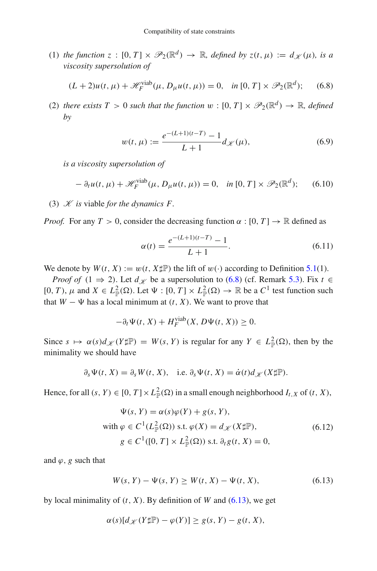(1) *the function*  $z : [0, T] \times \mathcal{P}_2(\mathbb{R}^d) \to \mathbb{R}$ *, defined by*  $z(t, \mu) := d \mathcal{V}(\mu)$ *, is a viscosity supersolution of*

<span id="page-24-0"></span>
$$
(L+2)u(t,\mu)+\mathscr{H}_F^{\text{vial}}(\mu,D_\mu u(t,\mu))=0, \quad \text{in } [0,T] \times \mathscr{P}_2(\mathbb{R}^d); \tag{6.8}
$$

(2) *there exists*  $T > 0$  *such that the function*  $w : [0, T] \times \mathcal{P}_2(\mathbb{R}^d) \to \mathbb{R}$ *, defined by*

<span id="page-24-4"></span>
$$
w(t, \mu) := \frac{e^{-(L+1)(t-T)} - 1}{L+1} d_{\mathcal{K}}(\mu),
$$
\n(6.9)

*is a viscosity supersolution of*

<span id="page-24-3"></span>
$$
- \partial_t u(t, \mu) + \mathcal{H}_F^{\text{viab}}(\mu, D_\mu u(t, \mu)) = 0, \quad \text{in } [0, T] \times \mathcal{P}_2(\mathbb{R}^d); \tag{6.10}
$$

(3)  $K$  *is* viable *for the dynamics F.* 

*Proof.* For any  $T > 0$ , consider the decreasing function  $\alpha : [0, T] \rightarrow \mathbb{R}$  defined as

<span id="page-24-5"></span>
$$
\alpha(t) = \frac{e^{-(L+1)(t-T)} - 1}{L+1}.
$$
\n(6.11)

We denote by  $W(t, X) := w(t, X \text{#})$  the lift of  $w(\cdot)$  according to Definition [5.1\(](#page-11-0)1).

*Proof of* (1  $\Rightarrow$  2). Let  $d_{\mathcal{K}}$  be a supersolution to [\(6.8\)](#page-24-0) (cf. Remark [5.3\)](#page-11-5). Fix  $t \in$  $[0, T)$ ,  $\mu$  and  $X \in L^2_{\mathbb{P}}(\Omega)$ . Let  $\Psi : [0, T] \times L^2_{\mathbb{P}}(\Omega) \to \mathbb{R}$  be a  $C^1$  test function such that  $W - \Psi$  has a local minimum at  $(t, X)$ . We want to prove that

$$
-\partial_t \Psi(t, X) + H_F^{\text{viab}}(X, D\Psi(t, X)) \ge 0.
$$

Since  $s \mapsto \alpha(s)d_{\mathscr{K}}(Y\sharp \mathbb{P}) = W(s, Y)$  is regular for any  $Y \in L^2_{\mathbb{P}}(\Omega)$ , then by the minimality we should have

$$
\partial_s \Psi(t, X) = \partial_s W(t, X),
$$
 i.e.  $\partial_s \Psi(t, X) = \dot{\alpha}(t) d_{\mathscr{K}} (X \sharp \mathbb{P}).$ 

Hence, for all  $(s, Y) \in [0, T] \times L^2_{\mathbb{P}}(\Omega)$  in a small enough neighborhood  $I_{t, X}$  of  $(t, X)$ ,

<span id="page-24-2"></span>
$$
\Psi(s, Y) = \alpha(s)\varphi(Y) + g(s, Y),
$$
  
with  $\varphi \in C^1(L^2_{\mathbb{P}}(\Omega))$  s.t.  $\varphi(X) = d_{\mathcal{K}}(X \sharp \mathbb{P}),$   
 $g \in C^1([0, T] \times L^2_{\mathbb{P}}(\Omega))$  s.t.  $\partial_t g(t, X) = 0,$  (6.12)

and  $\varphi$ , *g* such that

<span id="page-24-1"></span>
$$
W(s, Y) - \Psi(s, Y) \ge W(t, X) - \Psi(t, X), \tag{6.13}
$$

by local minimality of  $(t, X)$ . By definition of *W* and  $(6.13)$ , we get

$$
\alpha(s)[d_{\mathscr{K}}(Y\sharp\mathbb{P}) - \varphi(Y)] \ge g(s,Y) - g(t,X),
$$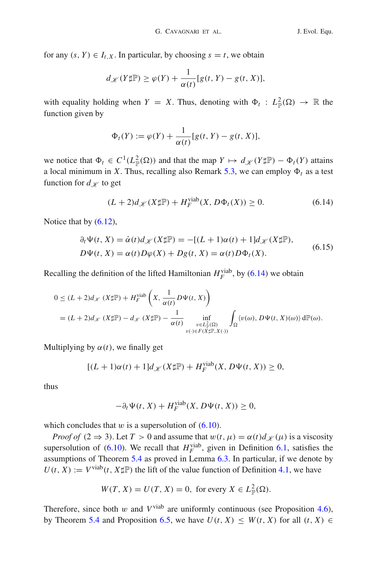for any  $(s, Y) \in I_{t,X}$ . In particular, by choosing  $s = t$ , we obtain

$$
d_{\mathscr{K}}(Y\sharp \mathbb{P}) \ge \varphi(Y) + \frac{1}{\alpha(t)}[g(t, Y) - g(t, X)],
$$

with equality holding when  $Y = X$ . Thus, denoting with  $\Phi_t : L^2_{\mathbb{P}}(\Omega) \to \mathbb{R}$  the function given by

$$
\Phi_t(Y) := \varphi(Y) + \frac{1}{\alpha(t)}[g(t, Y) - g(t, X)],
$$

we notice that  $\Phi_t \in C^1(L^2_{\mathbb{P}}(\Omega))$  and that the map  $Y \mapsto d_{\mathcal{K}}(Y \sharp \mathbb{P}) - \Phi_t(Y)$  attains a local minimum in *X*. Thus, recalling also Remark [5.3,](#page-11-5) we can employ  $\Phi_t$  as a test function for  $d_{\mathscr{K}}$  to get

<span id="page-25-0"></span>
$$
(L+2)d_{\mathcal{K}}(X\sharp\mathbb{P}) + H_F^{\text{viab}}(X, D\Phi_t(X)) \ge 0.
$$
 (6.14)

Notice that by  $(6.12)$ ,

$$
\partial_t \Psi(t, X) = \dot{\alpha}(t) d_{\mathcal{K}} (X \sharp \mathbb{P}) = -[(L+1)\alpha(t) + 1] d_{\mathcal{K}} (X \sharp \mathbb{P}),
$$
  
\n
$$
D\Psi(t, X) = \alpha(t) D\varphi(X) + Dg(t, X) = \alpha(t) D\Phi_t(X).
$$
\n(6.15)

Recalling the definition of the lifted Hamiltonian  $H_F^{\text{viab}}$ , by [\(6.14\)](#page-25-0) we obtain

$$
0 \le (L+2)d_{\mathcal{K}} (X \sharp \mathbb{P}) + H_F^{\text{viable}} \left( X, \frac{1}{\alpha(t)} D \Psi(t, X) \right)
$$
  
=  $(L+2)d_{\mathcal{K}} (X \sharp \mathbb{P}) - d_{\mathcal{K}} (X \sharp \mathbb{P}) - \frac{1}{\alpha(t)} \inf_{\substack{v \in L_{\mathbb{P}}^2(\Omega) \\ v(\cdot) \in F(X \sharp \mathbb{P}, X(\cdot))}} \int_{\Omega} \langle v(\omega), D \Psi(t, X)(\omega) \rangle d\mathbb{P}(\omega).$ 

Multiplying by  $\alpha(t)$ , we finally get

$$
[(L+1)\alpha(t)+1]d_{\mathscr{K}}(X\sharp\mathbb{P})+H_F^{\text{viab}}(X,D\Psi(t,X))\geq 0,
$$

thus

$$
-\partial_t \Psi(t, X) + H_F^{\text{viab}}(X, D\Psi(t, X)) \ge 0,
$$

which concludes that  $w$  is a supersolution of  $(6.10)$ .

*Proof of* (2  $\Rightarrow$  3). Let *T* > 0 and assume that  $w(t, \mu) = \alpha(t)d \chi(\mu)$  is a viscosity supersolution of [\(6.10\)](#page-24-3). We recall that  $H_F^{\text{viab}}$ , given in Definition [6.1,](#page-17-3) satisfies the assumptions of Theorem [5.4](#page-12-1) as proved in Lemma [6.3.](#page-18-1) In particular, if we denote by  $U(t, X) := V^{\text{vial}}(t, X \sharp \mathbb{P})$  the lift of the value function of Definition [4.1,](#page-7-3) we have

$$
W(T, X) = U(T, X) = 0, \text{ for every } X \in L^2_{\mathbb{P}}(\Omega).
$$

Therefore, since both w and  $V^{\text{v}iab}$  are uniformly continuous (see Proposition [4.6\)](#page-10-1), by Theorem [5.4](#page-12-1) and Proposition [6.5,](#page-19-1) we have  $U(t, X) \leq W(t, X)$  for all  $(t, X) \in$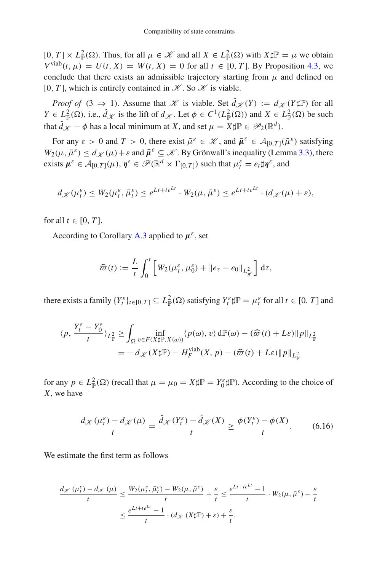$[0, T] \times L^2_{\mathbb{P}}(\Omega)$ . Thus, for all  $\mu \in \mathcal{K}$  and all  $X \in L^2_{\mathbb{P}}(\Omega)$  with  $X \sharp \mathbb{P} = \mu$  we obtain  $V^{\text{viab}}(t, \mu) = U(t, X) = W(t, X) = 0$  for all  $t \in [0, T]$ . By Proposition [4.3,](#page-8-0) we conclude that there exists an admissible trajectory starting from  $\mu$  and defined on [0, *T*], which is entirely contained in  $K$ . So  $K$  is viable.

*Proof of*  $(3 \Rightarrow 1)$ . Assume that *K* is viable. Set  $\hat{d}_{\mathcal{K}}(Y) := d_{\mathcal{K}}(Y \sharp \mathbb{P})$  for all  $Y \in L^2_{\mathbb{P}}(\Omega)$ , i.e.,  $\hat{d}_{\mathscr{K}}$  is the lift of  $d_{\mathscr{K}}$ . Let  $\phi \in C^1(L^2_{\mathbb{P}}(\Omega))$  and  $X \in L^2_{\mathbb{P}}(\Omega)$  be such that  $\hat{d}_{\mathscr{K}} - \phi$  has a local minimum at *X*, and set  $\mu = X \sharp \mathbb{P} \in \mathscr{P}_2(\mathbb{R}^d)$ .

For any  $\varepsilon > 0$  and  $T > 0$ , there exist  $\bar{\mu}^{\varepsilon} \in \mathcal{K}$ , and  $\bar{\mu}^{\varepsilon} \in \mathcal{A}_{[0,T]}(\bar{\mu}^{\varepsilon})$  satisfying  $W_2(\mu, \bar{\mu}^{\varepsilon}) \le d_{\mathcal{K}}(\mu) + \varepsilon$  and  $\bar{\mu}^{\varepsilon} \subseteq \mathcal{K}$ . By Grönwall's inequality (Lemma [3.3\)](#page-6-2), there exists  $\mu^{\varepsilon} \in \mathcal{A}_{[0,T]}(\mu)$ ,  $\eta^{\varepsilon} \in \mathcal{P}(\mathbb{R}^d \times \Gamma_{[0,T]})$  such that  $\mu_t^{\varepsilon} = e_t \sharp \eta^{\varepsilon}$ , and

$$
d_{\mathscr{K}}(\mu_t^{\varepsilon}) \leq W_2(\mu_t^{\varepsilon}, \bar{\mu}_t^{\varepsilon}) \leq e^{Lt + te^{Lt}} \cdot W_2(\mu, \bar{\mu}^{\varepsilon}) \leq e^{Lt + te^{Lt}} \cdot (d_{\mathscr{K}}(\mu) + \varepsilon),
$$

for all  $t \in [0, T]$ .

According to Corollary [A.3](#page-39-0) applied to  $\mu^{\varepsilon}$ , set

$$
\widehat{\varpi}(t) := \frac{L}{t} \int_0^t \left[ W_2(\mu_\tau^\varepsilon, \mu_0^\varepsilon) + \|e_\tau - e_0\|_{L^2_{\eta^\varepsilon}} \right] d\tau,
$$

there exists a family  $\{Y_t^{\varepsilon}\}_{t\in[0,T]} \subseteq L^2_{\mathbb{P}}(\Omega)$  satisfying  $Y_t^{\varepsilon} \sharp \mathbb{P} = \mu_t^{\varepsilon}$  for all  $t \in [0,T]$  and

$$
\langle p, \frac{Y_t^{\varepsilon} - Y_0^{\varepsilon}}{t} \rangle_{L_{\mathbb{P}}^2} \ge \int_{\Omega} \inf_{v \in F(X \sharp \mathbb{P}, X(\omega))} \langle p(\omega), v \rangle d\mathbb{P}(\omega) - (\widehat{\varpi}(t) + L\varepsilon) \| p \|_{L_{\mathbb{P}}^2}
$$
  
= 
$$
- d_{\mathcal{K}}(X \sharp \mathbb{P}) - H_F^{\text{viable}}(X, p) - (\widehat{\varpi}(t) + L\varepsilon) \| p \|_{L_{\mathbb{P}}^2}
$$

for any  $p \in L^2_{\mathbb{P}}(\Omega)$  (recall that  $\mu = \mu_0 = X \sharp \mathbb{P} = Y_0^{\varepsilon} \sharp \mathbb{P}$ ). According to the choice of *X*, we have

<span id="page-26-0"></span>
$$
\frac{d_{\mathcal{K}}(\mu_t^{\varepsilon}) - d_{\mathcal{K}}(\mu)}{t} = \frac{\hat{d}_{\mathcal{K}}(Y_t^{\varepsilon}) - \hat{d}_{\mathcal{K}}(X)}{t} \ge \frac{\phi(Y_t^{\varepsilon}) - \phi(X)}{t}.
$$
(6.16)

We estimate the first term as follows

$$
\frac{d_{\mathcal{K}}(\mu_t^{\varepsilon}) - d_{\mathcal{K}}(\mu)}{t} \le \frac{W_2(\mu_t^{\varepsilon}, \bar{\mu}_t^{\varepsilon}) - W_2(\mu, \bar{\mu}^{\varepsilon})}{t} + \frac{\varepsilon}{t} \le \frac{e^{Lt + te^{Lt}} - 1}{t} \cdot W_2(\mu, \bar{\mu}^{\varepsilon}) + \frac{\varepsilon}{t}
$$

$$
\le \frac{e^{Lt + te^{Lt}} - 1}{t} \cdot (d_{\mathcal{K}}(X \sharp \mathbb{P}) + \varepsilon) + \frac{\varepsilon}{t}.
$$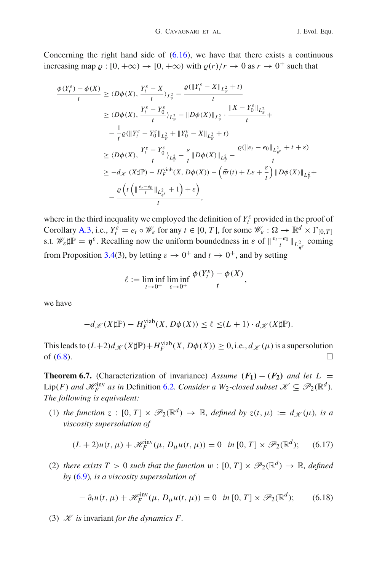Concerning the right hand side of  $(6.16)$ , we have that there exists a continuous increasing map  $\rho : [0, +\infty) \to [0, +\infty)$  with  $\rho(r)/r \to 0$  as  $r \to 0^+$  such that

$$
\frac{\phi(Y_{t}^{\varepsilon}) - \phi(X)}{t} \geq \langle D\phi(X), \frac{Y_{t}^{\varepsilon} - X}{t} \rangle_{L_{\mathbb{P}}^{2}} - \frac{\varrho(\|Y_{t}^{\varepsilon} - X\|_{L_{\mathbb{P}}^{2}} + t)}{t}
$$
\n
$$
\geq \langle D\phi(X), \frac{Y_{t}^{\varepsilon} - Y_{0}^{\varepsilon}}{t} \rangle_{L_{\mathbb{P}}^{2}} - \|D\phi(X)\|_{L_{\mathbb{P}}^{2}} \cdot \frac{\|X - Y_{0}^{\varepsilon}\|_{L_{\mathbb{P}}^{2}}}{t} +
$$
\n
$$
- \frac{1}{t}\varrho(\|Y_{t}^{\varepsilon} - Y_{0}^{\varepsilon}\|_{L_{\mathbb{P}}^{2}} + \|Y_{0}^{\varepsilon} - X\|_{L_{\mathbb{P}}^{2}} + t)
$$
\n
$$
\geq \langle D\phi(X), \frac{Y_{t}^{\varepsilon} - Y_{0}^{\varepsilon}}{t} \rangle_{L_{\mathbb{P}}^{2}} - \frac{\varepsilon}{t} \|D\phi(X)\|_{L_{\mathbb{P}}^{2}} - \frac{\varrho(\|e_{t} - e_{0}\|_{L_{\mathbb{P}}^{2}} + t + \varepsilon)}{t}
$$
\n
$$
\geq -d_{\mathcal{K}}(X\sharp\mathbb{P}) - H_{F}^{\text{vib}}(X, D\phi(X)) - \left(\widehat{\varpi}(t) + L\varepsilon + \frac{\varepsilon}{t}\right) \|D\phi(X)\|_{L_{\mathbb{P}}^{2}} +
$$
\n
$$
- \frac{\varrho\left(t\left(\|\frac{e_{t} - e_{0}}{t}\|_{L_{\mathbb{P}}^{2}} + 1\right) + \varepsilon\right)}{t},
$$

where in the third inequality we employed the definition of  $Y_t^{\varepsilon}$  provided in the proof of Corollary [A.3,](#page-39-0) i.e.,  $Y_t^{\varepsilon} = e_t \circ \mathcal{W}_{\varepsilon}$  for any  $t \in [0, T]$ , for some  $\mathcal{W}_{\varepsilon} : \Omega \to \mathbb{R}^d \times \Gamma_{[0, T]}$ s.t.  $\mathscr{W}_{\varepsilon} \sharp \mathbb{P} = \eta^{\varepsilon}$ . Recalling now the uniform boundedness in  $\varepsilon$  of  $\Vert \frac{e_t - e_0}{t} \Vert_{L^2_{\eta^{\varepsilon}}}$  coming from Proposition [3.4\(](#page-6-4)3), by letting  $\varepsilon \to 0^+$  and  $t \to 0^+$ , and by setting

$$
\ell := \liminf_{t \to 0^+} \liminf_{\varepsilon \to 0^+} \frac{\phi(Y_t^{\varepsilon}) - \phi(X)}{t},
$$

we have

$$
-d_{\mathscr{K}}(X\sharp \mathbb{P}) - H_F^{\text{viab}}(X, D\phi(X)) \le \ell \le (L+1) \cdot d_{\mathscr{K}}(X\sharp \mathbb{P}).
$$

This leads to  $(L+2)d_{\mathscr{K}}(X\sharp\mathbb{P})+H_F^{\text{vialb}}(X, D\phi(X))\geq 0$ , i.e.,  $d_{\mathscr{K}}(\mu)$  is a supersolution of  $(6.8)$ .

<span id="page-27-0"></span>**Theorem 6.7.** (Characterization of invariance) *Assume*  $(F_1) - (F_2)$  *and let*  $L =$  $Lip(F)$  *and*  $\mathscr{H}_F^{\text{inv}}$  *as in* Definition [6.2](#page-17-4)*. Consider a*  $W_2$ *-closed subset*  $\mathscr{K} \subseteq \mathscr{P}_2(\mathbb{R}^d)$ *. The following is equivalent:*

(1) *the function*  $z : [0, T] \times \mathcal{P}_2(\mathbb{R}^d) \to \mathbb{R}$ *, defined by*  $z(t, \mu) := d \mathscr{L}(\mu)$ *, is a viscosity supersolution of*

<span id="page-27-1"></span>
$$
(L+2)u(t,\mu) + \mathcal{H}_F^{\text{inv}}(\mu, D_\mu u(t,\mu)) = 0 \quad \text{in } [0,T] \times \mathcal{P}_2(\mathbb{R}^d); \tag{6.17}
$$

(2) *there exists*  $T > 0$  *such that the function*  $w : [0, T] \times \mathcal{P}_2(\mathbb{R}^d) \to \mathbb{R}$ *, defined by* [\(6.9\)](#page-24-4)*, is a viscosity supersolution of*

$$
- \partial_t u(t, \mu) + \mathcal{H}_F^{\text{inv}}(\mu, D_\mu u(t, \mu)) = 0 \quad \text{in } [0, T] \times \mathcal{P}_2(\mathbb{R}^d); \tag{6.18}
$$

(3)  $K$  *is* invariant *for the dynamics F.*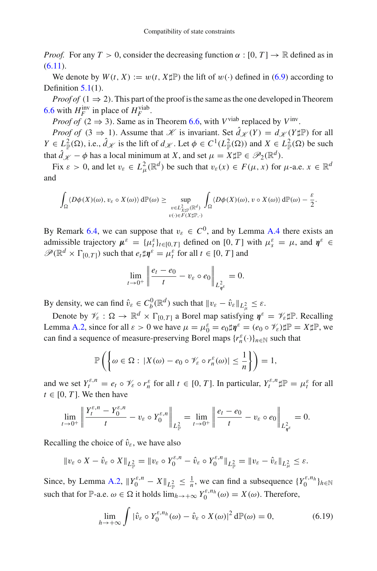*Proof.* For any  $T > 0$ , consider the decreasing function  $\alpha : [0, T] \rightarrow \mathbb{R}$  defined as in  $(6.11).$  $(6.11).$ 

We denote by  $W(t, X) := w(t, X \sharp \mathbb{P})$  the lift of  $w(\cdot)$  defined in [\(6.9\)](#page-24-4) according to Definition  $5.1(1)$  $5.1(1)$ .

*Proof of*  $(1 \Rightarrow 2)$ . This part of the proof is the same as the one developed in Theorem [6.6](#page-23-0) with  $H_F^{\text{inv}}$  in place of  $H_F^{\text{vial}}$ .

*Proof of* (2  $\Rightarrow$  3). Same as in Theorem [6.6,](#page-23-0) with *V*<sup>viab</sup> replaced by *V*<sup>inv</sup>.

*Proof of*  $(3 \Rightarrow 1)$ . Assume that *K* is invariant. Set  $\hat{d}_{\mathcal{K}}(Y) = d_{\mathcal{K}}(Y \sharp \mathbb{P})$  for all *Y*  $\in L^2_{\mathbb{P}}(\Omega)$ , i.e.,  $\hat{d}_{\mathscr{K}}$  is the lift of  $d_{\mathscr{K}}$ . Let  $\phi \in C^1(L^2_{\mathbb{P}}(\Omega))$  and  $X \in L^2_{\mathbb{P}}(\Omega)$  be such that  $\hat{d}_{\mathscr{K}} - \phi$  has a local minimum at *X*, and set  $\mu = X \sharp \mathbb{P} \in \mathscr{P}_2(\mathbb{R}^d)$ .

Fix  $\varepsilon > 0$ , and let  $v_{\varepsilon} \in L^2_{\mu}(\mathbb{R}^d)$  be such that  $v_{\varepsilon}(x) \in F(\mu, x)$  for  $\mu$ -a.e.  $x \in \mathbb{R}^d$ and

$$
\int_{\Omega} \langle D\phi(X)(\omega), v_{\varepsilon} \circ X(\omega) \rangle d\mathbb{P}(\omega) \geq \sup_{\substack{v \in L^2_{X \sharp \mathbb{P}}(\mathbb{R}^d) \\ v(\cdot) \in F(X \sharp \mathbb{P}, \cdot)}} \int_{\Omega} \langle D\phi(X)(\omega), v \circ X(\omega) \rangle d\mathbb{P}(\omega) - \frac{\varepsilon}{2}.
$$

By Remark [6.4,](#page-19-0) we can suppose that  $v_{\varepsilon} \in C^0$ , and by Lemma [A.4](#page-41-0) there exists an admissible trajectory  $\mu^{\varepsilon} = {\{\mu^{\varepsilon}_t\}_{t \in [0,T]}}$  defined on [0, *T*] with  $\mu^{\varepsilon}_s = \mu$ , and  $\eta^{\varepsilon} \in$  $\mathscr{P}(\mathbb{R}^d \times \Gamma_{[0,T]})$  such that  $e_t \sharp \eta^{\varepsilon} = \mu_t^{\varepsilon}$  for all  $t \in [0,T]$  and

$$
\lim_{t\to 0^+}\left\|\frac{e_t-e_0}{t}-v_\varepsilon\circ e_0\right\|_{L^2_{\eta\varepsilon}}=0.
$$

By density, we can find  $\hat{v}_{\varepsilon} \in C_b^0(\mathbb{R}^d)$  such that  $\|v_{\varepsilon} - \hat{v}_{\varepsilon}\|_{L^2_{\mu}} \leq \varepsilon$ .

Denote by  $\mathcal{V}_{\varepsilon} : \Omega \to \mathbb{R}^d \times \Gamma_{[0,T]}$  a Borel map satisfying  $\eta^{\varepsilon} = \mathcal{V}_{\varepsilon} \sharp \mathbb{P}$ . Recalling Lemma [A.2,](#page-39-1) since for all  $\varepsilon > 0$  we have  $\mu = \mu_0^{\varepsilon} = e_0 \sharp \eta^{\varepsilon} = (e_0 \circ \mathcal{V}_{\varepsilon}) \sharp \mathbb{P} = X \sharp \mathbb{P}$ , we can find a sequence of measure-preserving Borel maps  $\{r_n^{\varepsilon}(\cdot)\}_{n\in\mathbb{N}}$  such that

$$
\mathbb{P}\left(\left\{\omega \in \Omega : |X(\omega) - e_0 \circ \mathscr{V}_{\varepsilon} \circ r_n^{\varepsilon}(\omega)| \leq \frac{1}{n}\right\}\right) = 1,
$$

and we set  $Y_t^{\varepsilon,n} = e_t \circ \mathcal{V}_\varepsilon \circ r_n^{\varepsilon}$  for all  $t \in [0, T]$ . In particular,  $Y_t^{\varepsilon,n} \sharp \mathbb{P} = \mu_t^{\varepsilon}$  for all  $t \in [0, T]$ . We then have

$$
\lim_{t\to 0^+}\left\|\frac{Y_t^{\varepsilon,n}-Y_0^{\varepsilon,n}}{t}-v_\varepsilon\circ Y_0^{\varepsilon,n}\right\|_{L^2_{\mathbb{P}}}=\lim_{t\to 0^+}\left\|\frac{e_t-e_0}{t}-v_\varepsilon\circ e_0\right\|_{L^2_{\eta^\varepsilon}}=0.
$$

Recalling the choice of  $\hat{v}_{\varepsilon}$ , we have also

$$
\|v_{\varepsilon} \circ X - \hat{v}_{\varepsilon} \circ X\|_{L^2_{\mathbb{P}}} = \|v_{\varepsilon} \circ Y_0^{\varepsilon,n} - \hat{v}_{\varepsilon} \circ Y_0^{\varepsilon,n}\|_{L^2_{\mathbb{P}}} = \|v_{\varepsilon} - \hat{v}_{\varepsilon}\|_{L^2_{\mu}} \leq \varepsilon.
$$

Since, by Lemma [A.2,](#page-39-1)  $||Y_0^{\varepsilon,n} - X||_{L^2_{\mathbb{P}}} \le \frac{1}{n}$ , we can find a subsequence  $\{Y_0^{\varepsilon,n_h}\}_{h \in \mathbb{N}}$ such that for P-a.e.  $\omega \in \Omega$  it holds  $\lim_{h \to +\infty} Y_0^{\varepsilon, n_h}(\omega) = X(\omega)$ . Therefore,

<span id="page-28-0"></span>
$$
\lim_{h \to +\infty} \int |\hat{v}_{\varepsilon} \circ Y_0^{\varepsilon, n_h}(\omega) - \hat{v}_{\varepsilon} \circ X(\omega)|^2 d\mathbb{P}(\omega) = 0,
$$
\n(6.19)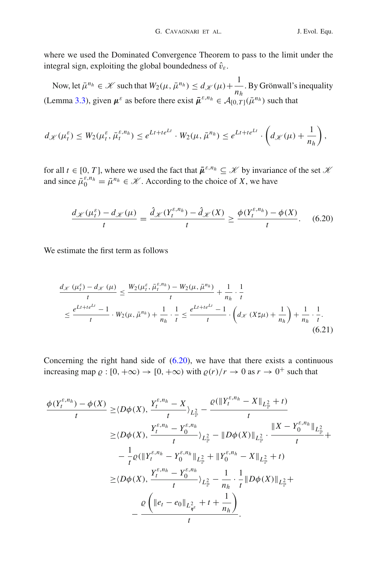where we used the Dominated Convergence Theorem to pass to the limit under the integral sign, exploiting the global boundedness of  $\hat{v}_{\varepsilon}$ .

Now, let  $\bar{\mu}^{n_h} \in \mathcal{K}$  such that  $W_2(\mu, \bar{\mu}^{n_h}) \leq d_{\mathcal{K}}(\mu) + \frac{1}{n_h}$ *nh* . By Grönwall's inequality (Lemma [3.3\)](#page-6-2), given  $\mu^{\varepsilon}$  as before there exist  $\bar{\mu}^{\varepsilon,n_h} \in A_{[0,T]}(\bar{\mu}^{n_h})$  such that

$$
d_{\mathscr{K}}(\mu_t^{\varepsilon}) \leq W_2(\mu_t^{\varepsilon}, \bar{\mu}_t^{\varepsilon, n_h}) \leq e^{Lt + te^{Lt}} \cdot W_2(\mu, \bar{\mu}^{n_h}) \leq e^{Lt + te^{Lt}} \cdot \left(d_{\mathscr{K}}(\mu) + \frac{1}{n_h}\right),
$$

for all  $t \in [0, T]$ , where we used the fact that  $\bar{\mu}^{\varepsilon, n_h} \subseteq \mathcal{K}$  by invariance of the set  $\mathcal{K}$ and since  $\bar{\mu}_0^{\varepsilon, n_h} = \bar{\mu}^{n_h} \in \mathcal{K}$ . According to the choice of *X*, we have

<span id="page-29-0"></span>
$$
\frac{d_{\mathcal{K}}(\mu_t^{\varepsilon}) - d_{\mathcal{K}}(\mu)}{t} = \frac{\hat{d}_{\mathcal{K}}(Y_t^{\varepsilon, n_h}) - \hat{d}_{\mathcal{K}}(X)}{t} \ge \frac{\phi(Y_t^{\varepsilon, n_h}) - \phi(X)}{t}.
$$
 (6.20)

We estimate the first term as follows

<span id="page-29-1"></span>
$$
\frac{d_{\mathcal{K}}(\mu_t^{\varepsilon}) - d_{\mathcal{K}}(\mu)}{t} \le \frac{W_2(\mu_t^{\varepsilon}, \bar{\mu}_t^{\varepsilon, n_h}) - W_2(\mu, \bar{\mu}^{n_h})}{t} + \frac{1}{n_h} \cdot \frac{1}{t}
$$
\n
$$
\le \frac{e^{Lt + te^{Lt}} - 1}{t} \cdot W_2(\mu, \bar{\mu}^{n_h}) + \frac{1}{n_h} \cdot \frac{1}{t} \le \frac{e^{Lt + te^{Lt}} - 1}{t} \cdot \left(d_{\mathcal{K}}(X \sharp \mu) + \frac{1}{n_h}\right) + \frac{1}{n_h} \cdot \frac{1}{t}.\tag{6.21}
$$

Concerning the right hand side of  $(6.20)$ , we have that there exists a continuous increasing map  $\rho : [0, +\infty) \to [0, +\infty)$  with  $\rho(r)/r \to 0$  as  $r \to 0^+$  such that

$$
\frac{\phi(Y_t^{\varepsilon,n_h}) - \phi(X)}{t} \ge \langle D\phi(X), \frac{Y_t^{\varepsilon,n_h} - X}{t} \rangle_{L_{\mathbb{F}}^2} - \frac{\varrho(\|Y_t^{\varepsilon,n_h} - X\|_{L_{\mathbb{F}}^2} + t)}{t}
$$
\n
$$
\ge \langle D\phi(X), \frac{Y_t^{\varepsilon,n_h} - Y_0^{\varepsilon,n_h}}{t} \rangle_{L_{\mathbb{F}}^2} - \|D\phi(X)\|_{L_{\mathbb{F}}^2} \cdot \frac{\|X - Y_0^{\varepsilon,n_h}\|_{L_{\mathbb{F}}^2}}{t} + \frac{1}{t}
$$
\n
$$
- \frac{1}{t}\varrho(\|Y_t^{\varepsilon,n_h} - Y_0^{\varepsilon,n_h}\|_{L_{\mathbb{F}}^2} + \|Y_0^{\varepsilon,n_h} - X\|_{L_{\mathbb{F}}^2} + t)
$$
\n
$$
\ge \langle D\phi(X), \frac{Y_t^{\varepsilon,n_h} - Y_0^{\varepsilon,n_h}}{t} \rangle_{L_{\mathbb{F}}^2} - \frac{1}{n_h} \cdot \frac{1}{t} \|D\phi(X)\|_{L_{\mathbb{F}}^2} + \frac{\varrho(\|e_t - e_0\|_{L_{\mathcal{W}}^2} + t + \frac{1}{n_h})}{t}.
$$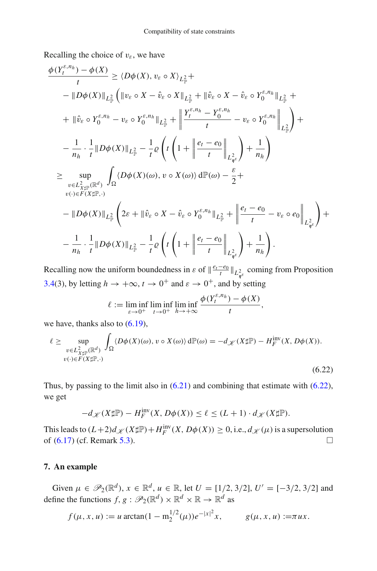Recalling the choice of  $v_{\varepsilon}$ , we have

$$
\frac{\phi(Y_t^{\varepsilon,n_h}) - \phi(X)}{t} \geq \langle D\phi(X), v_{\varepsilon} \circ X \rangle_{L_{\mathbb{P}}^2} +
$$
\n
$$
-\|D\phi(X)\|_{L_{\mathbb{P}}^2} \left( \|v_{\varepsilon} \circ X - \hat{v}_{\varepsilon} \circ X\|_{L_{\mathbb{P}}^2} + \|\hat{v}_{\varepsilon} \circ X - \hat{v}_{\varepsilon} \circ Y_0^{\varepsilon,n_h}\|_{L_{\mathbb{P}}^2} + \right.
$$
\n
$$
+\| \hat{v}_{\varepsilon} \circ Y_0^{\varepsilon,n_h} - v_{\varepsilon} \circ Y_0^{\varepsilon,n_h} \|_{L_{\mathbb{P}}^2} + \left\| \frac{Y_t^{\varepsilon,n_h} - Y_0^{\varepsilon,n_h}}{t} - v_{\varepsilon} \circ Y_0^{\varepsilon,n_h} \right\|_{L_{\mathbb{P}}^2} \right) +
$$
\n
$$
-\frac{1}{n_h} \cdot \frac{1}{t} \|D\phi(X)\|_{L_{\mathbb{P}}^2} - \frac{1}{t} \varrho \left( t \left( 1 + \left\| \frac{e_t - e_0}{t} \right\|_{L_{\mathcal{H}}^2} \right) + \frac{1}{n_h} \right)
$$
\n
$$
\geq \sup_{\substack{v \in L_{X\sharp\mathbb{P}}^2(\mathbb{R}^d) \\ v(\cdot) \in F(X\sharp\mathbb{P}, \cdot)}} \int_{\Omega} \langle D\phi(X)(\omega), v \circ X(\omega) \rangle d\mathbb{P}(\omega) - \frac{\varepsilon}{2} +
$$
\n
$$
-\|D\phi(X)\|_{L_{\mathbb{P}}^2} \left( 2\varepsilon + \|\hat{v}_{\varepsilon} \circ X - \hat{v}_{\varepsilon} \circ Y_0^{\varepsilon,n_h} \|_{L_{\mathbb{P}}^2} + \left\| \frac{e_t - e_0}{t} - v_{\varepsilon} \circ e_0 \right\|_{L_{\mathcal{H}}^2} \right) +
$$
\n
$$
-\frac{1}{n_h} \cdot \frac{1}{t} \|D\phi(X)\|_{L_{\mathbb{P}}^2} - \frac{1}{t} \varrho \left( t \left( 1 + \left\
$$

Recalling now the uniform boundedness in  $\varepsilon$  of  $\|\frac{e_t - e_0}{t}\|_{L^2_{\eta^{\varepsilon}}}$  coming from Proposition [3.4\(](#page-6-4)3), by letting  $h \to +\infty$ ,  $t \to 0^+$  and  $\varepsilon \to 0^+$ , and by setting

$$
\ell := \liminf_{\varepsilon \to 0^+} \liminf_{t \to 0^+} \liminf_{h \to +\infty} \frac{\phi(Y_t^{\varepsilon, n_h}) - \phi(X)}{t},
$$

we have, thanks also to  $(6.19)$ ,

<span id="page-30-1"></span>
$$
\ell \geq \sup_{\substack{v \in L^2_{X \sharp \mathbb{P}}(\mathbb{R}^d) \\ v(\cdot) \in F(X \sharp \mathbb{P}, \cdot)}} \int_{\Omega} \langle D\phi(X)(\omega), v \circ X(\omega) \rangle d\mathbb{P}(\omega) = -d_{\mathscr{K}}(X \sharp \mathbb{P}) - H_F^{\text{inv}}(X, D\phi(X)).
$$
\n
$$
(6.22)
$$

Thus, by passing to the limit also in [\(6.21\)](#page-29-1) and combining that estimate with [\(6.22\)](#page-30-1), we get

$$
-d_{\mathscr{K}}(X\sharp \mathbb{P}) - H_F^{\text{inv}}(X, D\phi(X)) \le \ell \le (L+1) \cdot d_{\mathscr{K}}(X\sharp \mathbb{P}).
$$

This leads to  $(L+2)d_{\mathscr{K}}(X\sharp\mathbb{P})+H_F^{\text{inv}}(X, D\phi(X))\geq 0$ , i.e.,  $d_{\mathscr{K}}(\mu)$  is a supersolution of  $(6.17)$  (cf. Remark [5.3\)](#page-11-5).

## <span id="page-30-0"></span>**7. An example**

Given  $\mu \in \mathcal{P}_2(\mathbb{R}^d)$ ,  $x \in \mathbb{R}^d$ ,  $u \in \mathbb{R}$ , let  $U = [1/2, 3/2]$ ,  $U' = [-3/2, 3/2]$  and define the functions  $f, g : \mathscr{P}_2(\mathbb{R}^d) \times \mathbb{R}^d \times \mathbb{R} \to \mathbb{R}^d$  as

$$
f(\mu, x, u) := u \arctan(1 - m_2^{1/2}(\mu))e^{-|x|^2}x
$$
,  $g(\mu, x, u) := \pi ux$ .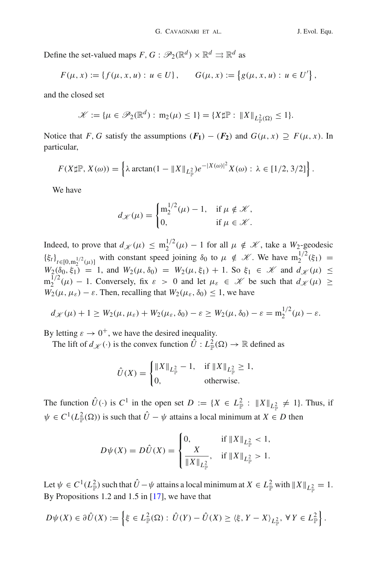Define the set-valued maps  $F, G : \mathscr{P}_2(\mathbb{R}^d) \times \mathbb{R}^d \rightrightarrows \mathbb{R}^d$  as

$$
F(\mu, x) := \{ f(\mu, x, u) : u \in U \}, \qquad G(\mu, x) := \{ g(\mu, x, u) : u \in U' \},
$$

and the closed set

$$
\mathscr{K} := \{ \mu \in \mathscr{P}_2(\mathbb{R}^d) : m_2(\mu) \leq 1 \} = \{ X \sharp \mathbb{P} : ||X||_{L^2_{\mathbb{P}}(\Omega)} \leq 1 \}.
$$

Notice that *F*, *G* satisfy the assumptions  $(F_1) - (F_2)$  and  $G(\mu, x) \supseteq F(\mu, x)$ . In particular,

$$
F(X\sharp \mathbb{P}, X(\omega)) = \left\{\lambda \arctan(1 - \|X\|_{L^2_{\mathbb{P}}})e^{-|X(\omega)|^2}X(\omega) : \lambda \in [1/2, 3/2]\right\}.
$$

We have

$$
d_{\mathscr{K}}(\mu) = \begin{cases} \mathrm{m}_2^{1/2}(\mu) - 1, & \text{if } \mu \notin \mathscr{K}, \\ 0, & \text{if } \mu \in \mathscr{K}. \end{cases}
$$

Indeed, to prove that  $d_{\mathcal{K}}(\mu) \leq m_2^{1/2}(\mu) - 1$  for all  $\mu \notin \mathcal{K}$ , take a  $W_2$ -geodesic  ${\{\xi_t\}}_{t \in [0, m_2^{1/2}(\mu)]}$  with constant speed joining  $\delta_0$  to  $\mu \notin \mathcal{K}$ . We have  $m_2^{1/2}(\xi_1) =$  $W_2(\delta_0, \xi_1) = 1$ , and  $W_2(\mu, \delta_0) = W_2(\mu, \xi_1) + 1$ . So  $\xi_1 \in \mathcal{K}$  and  $d_{\mathcal{K}}(\mu) \leq$  $m_2^{1/2}(\mu) - 1$ . Conversely, fix  $\varepsilon > 0$  and let  $\mu_{\varepsilon} \in \mathcal{K}$  be such that  $d_{\mathcal{K}}(\mu) \geq$  $W_2(\mu, \mu_\varepsilon) - \varepsilon$ . Then, recalling that  $W_2(\mu_\varepsilon, \delta_0) \leq 1$ , we have

$$
d_{\mathscr{K}}(\mu)+1\geq W_2(\mu,\mu_{\varepsilon})+W_2(\mu_{\varepsilon},\delta_0)-\varepsilon\geq W_2(\mu,\delta_0)-\varepsilon=\mathbf{m}_2^{1/2}(\mu)-\varepsilon.
$$

By letting  $\varepsilon \to 0^+$ , we have the desired inequality.

The lift of  $d_{\mathscr{K}}(\cdot)$  is the convex function  $\hat{U}: L^2_{\mathbb{P}}(\Omega) \to \mathbb{R}$  defined as

$$
\hat{U}(X) = \begin{cases} \|X\|_{L_{\mathbb{P}}^2} - 1, & \text{if } \|X\|_{L_{\mathbb{P}}^2} \ge 1, \\ 0, & \text{otherwise.} \end{cases}
$$

The function  $\hat{U}(\cdot)$  is  $C^1$  in the open set  $D := \{X \in L^2_{\mathbb{P}} : ||X||_{L^2_{\mathbb{P}}} \neq 1\}$ . Thus, if  $\psi \in C^1(L^2_{\mathbb{P}}(\Omega))$  is such that  $\hat{U} - \psi$  attains a local minimum at  $X \in D$  then

$$
D\psi(X) = D\hat{U}(X) = \begin{cases} 0, & \text{if } \|X\|_{L^2_{\mathbb{P}}} < 1, \\ \frac{X}{\|X\|_{L^2_{\mathbb{P}}}}, & \text{if } \|X\|_{L^2_{\mathbb{P}}} > 1. \end{cases}
$$

Let  $\psi \in C^1(L^2_{\mathbb{P}})$  such that  $\hat{U} - \psi$  attains a local minimum at  $X \in L^2_{\mathbb{P}}$  with  $\|X\|_{L^2_{\mathbb{P}}} = 1$ . By Propositions 1.2 and 1.5 in [\[17\]](#page-45-16), we have that

$$
D\psi(X) \in \partial \hat{U}(X) := \left\{ \xi \in L^2_{\mathbb{P}}(\Omega) : \hat{U}(Y) - \hat{U}(X) \geq \langle \xi, Y - X \rangle_{L^2_{\mathbb{P}}}, \forall Y \in L^2_{\mathbb{P}} \right\}.
$$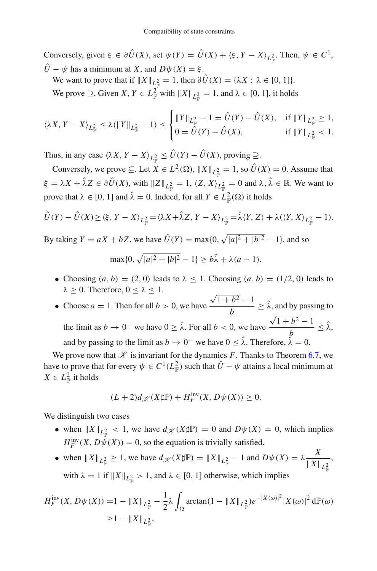Conversely, given  $\xi \in \partial \hat{U}(X)$ , set  $\psi(Y) = \hat{U}(X) + \langle \xi, Y - X \rangle_{L^2_{\mathbb{P}}}$ . Then,  $\psi \in C^1$ ,  $\hat{U} - \psi$  has a minimum at *X*, and  $D\psi(X) = \xi$ .

We want to prove that if  $||X||_{L^2_{\mathbb{P}}} = 1$ , then  $\partial U(X) = {\lambda X : \lambda \in [0, 1]}$ . We prove  $\supseteq$ . Given *X*,  $Y \in L^2_{\mathbb{P}}$  with  $||X||_{L^2_{\mathbb{P}}} = 1$ , and  $\lambda \in [0, 1]$ , it holds

$$
\langle \lambda X, Y - X \rangle_{L^2_{\mathbb{P}}} \le \lambda (\|Y\|_{L^2_{\mathbb{P}}} - 1) \le \begin{cases} \|Y\|_{L^2_{\mathbb{P}}} - 1 = \hat{U}(Y) - \hat{U}(X), & \text{if } \|Y\|_{L^2_{\mathbb{P}}} \ge 1, \\ 0 = \hat{U}(Y) - \hat{U}(X), & \text{if } \|Y\|_{L^2_{\mathbb{P}}} < 1. \end{cases}
$$

Thus, in any case  $\langle \lambda X, Y - X \rangle_{L^2_{\mathbb{P}}} \le U(Y) - U(X)$ , proving  $\supseteq$ .

Conversely, we prove  $\subseteq$ . Let  $X \in L^2_{\mathbb{P}}(\Omega)$ ,  $||X||_{L^2_{\mathbb{P}}} = 1$ , so  $\hat{U}(X) = 0$ . Assume that  $\xi = \lambda X + \hat{\lambda} Z \in \partial \hat{U}(X)$ , with  $||Z||_{L^2_{\mathbb{P}}} = 1$ ,  $\langle Z, X \rangle_{L^2_{\mathbb{P}}} = 0$  and  $\lambda, \hat{\lambda} \in \mathbb{R}$ . We want to prove that  $\lambda \in [0, 1]$  and  $\hat{\lambda} = 0$ . Indeed, for all  $Y \in L^2_{\mathbb{P}}(\Omega)$  it holds

$$
\hat{U}(Y) - \hat{U}(X) \ge \langle \xi, Y - X \rangle_{L^2_{\mathbb{P}}} = \langle \lambda X + \hat{\lambda} Z, Y - X \rangle_{L^2_{\mathbb{P}}} = \hat{\lambda} \langle Y, Z \rangle + \lambda (\langle Y, X \rangle_{L^2_{\mathbb{P}}} - 1).
$$

By taking  $Y = aX + bZ$ , we have  $\hat{U}(Y) = \max\{0, \sqrt{|a|^2 + |b|^2 - 1}\}$ , and so

$$
\max\{0, \sqrt{|a|^2 + |b|^2} - 1\} \ge b\hat{\lambda} + \lambda(a - 1).
$$

- Choosing  $(a, b) = (2, 0)$  leads to  $\lambda \leq 1$ . Choosing  $(a, b) = (1/2, 0)$  leads to  $\lambda \geq 0$ . Therefore,  $0 \leq \lambda \leq 1$ .
- Choose  $a = 1$ . Then for all  $b > 0$ , we have  $\sqrt{1+b^2}-1$  $\frac{1}{b}$   $\geq \lambda$ , and by passing to the limit as  $b \to 0^+$  we have  $0 \ge \lambda$ . For all  $b < 0$ , we have  $\sqrt{1+b^2}-1$  $\frac{b}{b} \leq \lambda$ , and by passing to the limit as  $b \to 0^-$  we have  $0 \le \hat{\lambda}$ . Therefore,  $\hat{\lambda} = 0$ .

We prove now that  $K$  is invariant for the dynamics F. Thanks to Theorem [6.7,](#page-27-0) we have to prove that for every  $\psi \in C^1(L^2_{\mathbb{P}})$  such that  $\hat{U} - \psi$  attains a local minimum at  $X \in L^2_{\mathbb{P}}$  it holds

$$
(L+2)d_{\mathscr{K}}(X\sharp \mathbb{P}) + H_F^{\text{inv}}(X, D\psi(X)) \ge 0.
$$

We distinguish two cases

- when  $||X||_{L^2_{\mathbb{P}}} < 1$ , we have  $d_{\mathscr{K}}(X \sharp \mathbb{P}) = 0$  and  $D\psi(X) = 0$ , which implies  $H_F^{\text{inv}}(X, D\psi(X)) = 0$ , so the equation is trivially satisfied.
- when  $||X||_{L^2_{\mathbb{P}}} \ge 1$ , we have  $d_{\mathscr{K}}(X \sharp \mathbb{P}) = ||X||_{L^2_{\mathbb{P}}} 1$  and  $D\psi(X) = \lambda \frac{X}{||X||}$  $\|X\|_{L^2_{\mathbb P}}$ , with  $\lambda = 1$  if  $||X||_{L^2_{\mathbb{P}}} > 1$ , and  $\lambda \in [0, 1]$  otherwise, which implies

$$
H_F^{\text{inv}}(X, D\psi(X)) = 1 - \|X\|_{L^2_{\mathbb{P}}} - \frac{1}{2}\lambda \int_{\Omega} \arctan(1 - \|X\|_{L^2_{\mathbb{P}}})e^{-|X(\omega)|^2} |X(\omega)|^2 d\mathbb{P}(\omega)
$$
  
 
$$
\geq 1 - \|X\|_{L^2_{\mathbb{P}}},
$$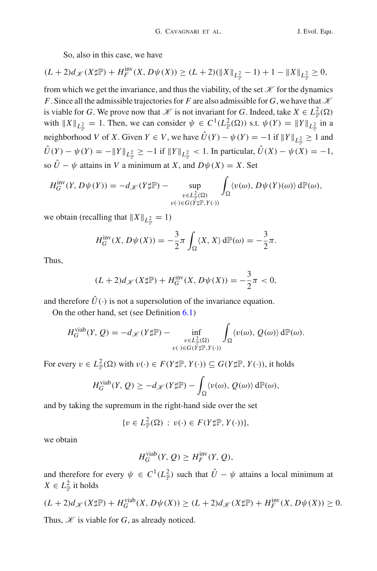So, also in this case, we have

$$
(L+2)d_{\mathcal{K}}(X\sharp \mathbb{P}) + H_F^{\text{inv}}(X, D\psi(X)) \ge (L+2)(\|X\|_{L^2_{\mathbb{P}}} - 1) + 1 - \|X\|_{L^2_{\mathbb{P}}} \ge 0,
$$

from which we get the invariance, and thus the viability, of the set  $\mathcal K$  for the dynamics *F*. Since all the admissible trajectories for *F* are also admissible for *G*, we have that  $K$ is viable for *G*. We prove now that  $K$  is not invariant for *G*. Indeed, take  $X \in L^2_{\mathbb{P}}(\Omega)$ with  $||X||_{L^2_{\mathbb{P}}} = 1$ . Then, we can consider  $\psi \in C^1(L^2_{\mathbb{P}}(\Omega))$  s.t.  $\psi(Y) = ||Y||_{L^2_{\mathbb{P}}}$  in a neighborhood *V* of *X*. Given  $Y \in V$ , we have  $U(Y) - \psi(Y) = -1$  if  $||Y||_{L^2_{\mathbb{P}}} \ge 1$  and *U*(*Y*) −  $\psi$ (*Y*) = − ||*Y* ||<sub>*L*2</sub></sub> ≥ −1 if ||*Y*||<sub>*L*2</sub></sub> < 1. In particular, *U*(*X*) −  $\psi$ (*X*) = −1, so  $\hat{U} - \psi$  attains in *V* a minimum at *X*, and  $D\psi(X) = X$ . Set

$$
H_G^{\text{inv}}(Y, D\psi(Y)) = -d_{\mathscr{K}}(Y\sharp \mathbb{P}) - \sup_{\substack{v \in L_{\mathbb{P}}^2(\Omega) \\ v(\cdot) \in G(Y\sharp \mathbb{P}, Y(\cdot))}} \int_{\Omega} \langle v(\omega), D\psi(Y)(\omega) \rangle d\mathbb{P}(\omega),
$$

we obtain (recalling that  $||X||_{L^2_{\mathbb{P}}} = 1$ )

$$
H_G^{\text{inv}}(X, D\psi(X)) = -\frac{3}{2}\pi \int_{\Omega} \langle X, X \rangle d\mathbb{P}(\omega) = -\frac{3}{2}\pi.
$$

Thus,

$$
(L+2)d_{\mathscr{K}}(X\sharp \mathbb{P}) + H_G^{\text{inv}}(X, D\psi(X)) = -\frac{3}{2}\pi < 0,
$$

and therefore  $\hat{U}(\cdot)$  is not a supersolution of the invariance equation.

On the other hand, set (see Definition [6.1\)](#page-17-3)

$$
H_G^{\text{viab}}(Y, Q) = -d_{\mathscr{K}}(Y \sharp \mathbb{P}) - \inf_{\substack{v \in L^2_{\mathbb{P}}(\Omega) \\ v(\cdot) \in G(Y \sharp \mathbb{P}, Y(\cdot))}} \int_{\Omega} \langle v(\omega), Q(\omega) \rangle d\mathbb{P}(\omega).
$$

For every  $v \in L^2_{\mathbb{P}}(\Omega)$  with  $v(\cdot) \in F(Y \sharp \mathbb{P}, Y(\cdot)) \subseteq G(Y \sharp \mathbb{P}, Y(\cdot))$ , it holds

$$
H_G^{\text{viab}}(Y, Q) \ge -d_{\mathscr{K}}(Y \sharp \mathbb{P}) - \int_{\Omega} \langle v(\omega), Q(\omega) \rangle d\mathbb{P}(\omega),
$$

and by taking the supremum in the right-hand side over the set

$$
\{v \in L^2_{\mathbb{P}}(\Omega) : v(\cdot) \in F(Y \sharp \mathbb{P}, Y(\cdot))\},\
$$

we obtain

$$
H_G^{\text{viab}}(Y, Q) \ge H_F^{\text{inv}}(Y, Q),
$$

and therefore for every  $\psi \in C^1(L^2_{\mathbb{P}})$  such that  $\hat{U} - \psi$  attains a local minimum at  $X \in L^2_{\mathbb{P}}$  it holds

$$
(L+2)d_{\mathscr{K}}(X\sharp \mathbb{P}) + H_G^{\text{viab}}(X, D\psi(X)) \ge (L+2)d_{\mathscr{K}}(X\sharp \mathbb{P}) + H_F^{\text{inv}}(X, D\psi(X)) \ge 0.
$$

Thus,  $\mathcal{K}$  is viable for *G*, as already noticed.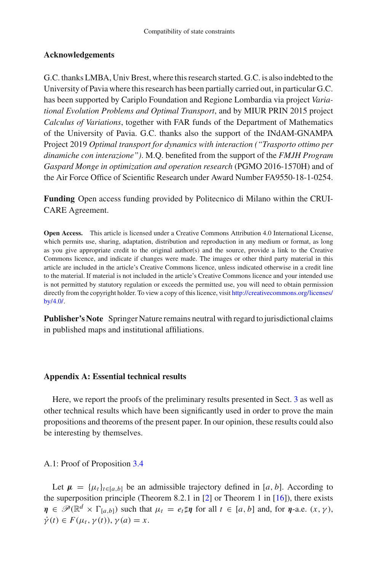## **Acknowledgements**

G.C. thanks LMBA, Univ Brest, where this research started. G.C. is also indebted to the University of Pavia where this research has been partially carried out, in particular G.C. has been supported by Cariplo Foundation and Regione Lombardia via project *Variational Evolution Problems and Optimal Transport*, and by MIUR PRIN 2015 project *Calculus of Variations*, together with FAR funds of the Department of Mathematics of the University of Pavia. G.C. thanks also the support of the INdAM-GNAMPA Project 2019 *Optimal transport for dynamics with interaction ("Trasporto ottimo per dinamiche con interazione")*. M.Q. benefited from the support of the *FMJH Program Gaspard Monge in optimization and operation research* (PGMO 2016-1570H) and of the Air Force Office of Scientific Research under Award Number FA9550-18-1-0254.

**Funding** Open access funding provided by Politecnico di Milano within the CRUI-CARE Agreement.

**Open Access.** This article is licensed under a Creative Commons Attribution 4.0 International License, which permits use, sharing, adaptation, distribution and reproduction in any medium or format, as long as you give appropriate credit to the original author(s) and the source, provide a link to the Creative Commons licence, and indicate if changes were made. The images or other third party material in this article are included in the article's Creative Commons licence, unless indicated otherwise in a credit line to the material. If material is not included in the article's Creative Commons licence and your intended use is not permitted by statutory regulation or exceeds the permitted use, you will need to obtain permission directly from the copyright holder. To view a copy of this licence, visit [http://creativecommons.org/licenses/](http://creativecommons.org/licenses/by/4.0/) [by/4.0/.](http://creativecommons.org/licenses/by/4.0/)

**Publisher's Note** Springer Nature remains neutral with regard to jurisdictional claims in published maps and institutional affiliations.

## **Appendix A: Essential technical results**

Here, we report the proofs of the preliminary results presented in Sect. [3](#page-5-0) as well as other technical results which have been significantly used in order to prove the main propositions and theorems of the present paper. In our opinion, these results could also be interesting by themselves.

## A.1: Proof of Proposition [3.4](#page-6-4)

Let  $\mu = {\mu_t}_{t \in [a,b]}$  be an admissible trajectory defined in [*a*, *b*]. According to the superposition principle (Theorem 8.2.1 in  $[2]$  $[2]$  or Theorem 1 in  $[16]$  $[16]$ ), there exists  $\eta \in \mathscr{P}(\mathbb{R}^d \times \Gamma_{[a,b]})$  such that  $\mu_t = e_t \sharp \eta$  for all  $t \in [a,b]$  and, for  $\eta$ -a.e.  $(x, \gamma)$ ,  $\dot{\gamma}(t) \in F(\mu_t, \gamma(t)), \gamma(a) = x.$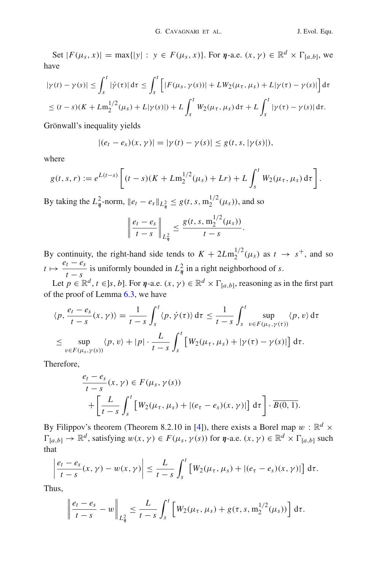Set  $|F(\mu_s, x)| = \max\{|y| : y \in F(\mu_s, x)\}\$ . For  $\eta$ -a.e.  $(x, \gamma) \in \mathbb{R}^d \times \Gamma_{[a, b]}$ , we have

$$
|\gamma(t) - \gamma(s)| \le \int_s^t |\dot{\gamma}(\tau)| d\tau \le \int_s^t \left[ |F(\mu_s, \gamma(s))| + L W_2(\mu_\tau, \mu_s) + L |\gamma(\tau) - \gamma(s)| \right] d\tau
$$
  

$$
\le (t - s)(K + L m_2^{1/2}(\mu_s) + L |\gamma(s)|) + L \int_s^t W_2(\mu_\tau, \mu_s) d\tau + L \int_s^t |\gamma(\tau) - \gamma(s)| d\tau.
$$

Grönwall's inequality yields

$$
|(e_t - e_s)(x, \gamma)| = |\gamma(t) - \gamma(s)| \le g(t, s, |\gamma(s)|),
$$

where

$$
g(t,s,r) := e^{L(t-s)} \left[ (t-s)(K + Lm_2^{1/2}(\mu_s) + Lr) + L \int_s^t W_2(\mu_\tau, \mu_s) d\tau \right].
$$

By taking the  $L^2_{\eta}$ -norm,  $||e_t - e_s||_{L^2_{\eta}} \le g(t, s, m_2^{1/2}(\mu_s))$ , and so

$$
\left\|\frac{e_t-e_s}{t-s}\right\|_{L^2_{\eta}}\leq \frac{g(t,s,\mathrm{m}_2^{1/2}(\mu_s))}{t-s}.
$$

By continuity, the right-hand side tends to  $K + 2Lm_2^{1/2}(\mu_s)$  as  $t \to s^+$ , and so  $t \mapsto \frac{e_t - e_s}{t - s}$ is uniformly bounded in  $L^2_{\eta}$  in a right neighborhood of *s*.

Let  $p \in \mathbb{R}^d$ ,  $t \in$  *s*, *b*]. For *η*-a.e.  $(x, \gamma) \in \mathbb{R}^d \times \Gamma_{[a,b]}$ , reasoning as in the first part of the proof of Lemma [6.3,](#page-18-1) we have

$$
\langle p, \frac{e_t - e_s}{t - s}(x, \gamma) \rangle = \frac{1}{t - s} \int_s^t \langle p, \dot{\gamma}(\tau) \rangle d\tau \le \frac{1}{t - s} \int_s^t \sup_{v \in F(\mu_\tau, \gamma(\tau))} \langle p, v \rangle d\tau
$$
  

$$
\le \sup_{v \in F(\mu_s, \gamma(s))} \langle p, v \rangle + |p| \cdot \frac{L}{t - s} \int_s^t \left[ W_2(\mu_\tau, \mu_s) + |\gamma(\tau) - \gamma(s)| \right] d\tau.
$$

Therefore,

$$
\frac{e_t - e_s}{t - s}(x, \gamma) \in F(\mu_s, \gamma(s))
$$
  
+ 
$$
\left[ \frac{L}{t - s} \int_s^t \left[ W_2(\mu_\tau, \mu_s) + |(e_\tau - e_s)(x, \gamma)| \right] d\tau \right] \cdot \overline{B(0, 1)}.
$$

By Filippov's theorem (Theorem 8.2.10 in [\[4](#page-45-14)]), there exists a Borel map  $w : \mathbb{R}^d \times$  $\Gamma_{[a,b]} \to \mathbb{R}^d$ , satisfying  $w(x, \gamma) \in F(\mu_s, \gamma(s))$  for  $\eta$ -a.e.  $(x, \gamma) \in \mathbb{R}^d \times \Gamma_{[a,b]}$  such that

$$
\left|\frac{e_t-e_s}{t-s}(x,\gamma)-w(x,\gamma)\right|\leq \frac{L}{t-s}\int_s^t\left[W_2(\mu_\tau,\mu_s)+|(e_\tau-e_s)(x,\gamma)|\right]d\tau.
$$

Thus,

$$
\left\|\frac{e_t-e_s}{t-s}-w\right\|_{L^2_{\eta}}\leq \frac{L}{t-s}\int_s^t\left[W_2(\mu_\tau,\mu_s)+g(\tau,s,\mathbf{m}_2^{1/2}(\mu_s))\right]d\tau.
$$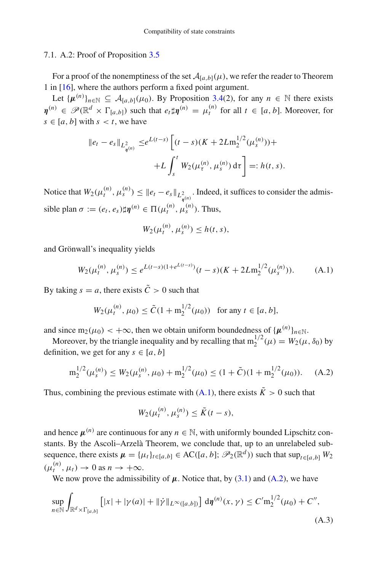#### 7.1. A.2: Proof of Proposition [3.5](#page-6-1)

For a proof of the nonemptiness of the set  $A_{[a,b]}(\mu)$ , we refer the reader to Theorem 1 in [\[16](#page-45-0)], where the authors perform a fixed point argument.

Let  $\{\mu^{(n)}\}_{n \in \mathbb{N}} \subseteq A_{[a,b]}(\mu_0)$ . By Proposition [3.4\(](#page-6-4)2), for any  $n \in \mathbb{N}$  there exists  $\eta^{(n)} \in \mathscr{P}(\mathbb{R}^d \times \Gamma_{[a,b]})$  such that  $e_t \sharp \eta^{(n)} = \mu_t^{(n)}$  for all  $t \in [a,b]$ . Moreover, for  $s \in [a, b]$  with  $s \le t$ , we have

$$
\|e_t - e_s\|_{L_{\eta^{(n)}}^2} \leq e^{L(t-s)} \left[ (t-s)(K + 2Lm_2^{1/2}(\mu_s^{(n)})) + L \int_s^t W_2(\mu_\tau^{(n)}, \mu_s^{(n)}) d\tau \right] =: h(t, s).
$$

Notice that  $W_2(\mu_t^{(n)}, \mu_s^{(n)}) \leq ||e_t - e_s||_{L^2_{\eta^{(n)}}}$ . Indeed, it suffices to consider the admissible plan  $\sigma := (e_t, e_s) \sharp \eta^{(n)} \in \Pi(\mu_t^{(n)}, \mu_s^{(n)})$ . Thus,

$$
W_2(\mu_t^{(n)}, \mu_s^{(n)}) \le h(t, s),
$$

and Grönwall's inequality yields

<span id="page-36-1"></span>
$$
W_2(\mu_t^{(n)}, \mu_s^{(n)}) \le e^{L(t-s)(1+e^{L(t-s)})}(t-s)(K+2Lm_2^{1/2}(\mu_s^{(n)})). \tag{A.1}
$$

By taking  $s = a$ , there exists  $\tilde{C} > 0$  such that

$$
W_2(\mu_t^{(n)}, \mu_0) \le \tilde{C} (1 + m_2^{1/2}(\mu_0)) \text{ for any } t \in [a, b],
$$

and since  $m_2(\mu_0) < +\infty$ , then we obtain uniform boundedness of  $\{\mu^{(n)}\}_{n\in\mathbb{N}}$ .

Moreover, by the triangle inequality and by recalling that  $m_2^{1/2}(\mu) = W_2(\mu, \delta_0)$  by definition, we get for any  $s \in [a, b]$ 

<span id="page-36-0"></span>
$$
m_2^{1/2}(\mu_s^{(n)}) \le W_2(\mu_s^{(n)}, \mu_0) + m_2^{1/2}(\mu_0) \le (1 + \tilde{C})(1 + m_2^{1/2}(\mu_0)). \tag{A.2}
$$

Thus, combining the previous estimate with  $(A.1)$ , there exists  $\tilde{K} > 0$  such that

$$
W_2(\mu_t^{(n)}, \mu_s^{(n)}) \leq \tilde{K}(t-s),
$$

and hence  $\mu^{(n)}$  are continuous for any  $n \in \mathbb{N}$ , with uniformly bounded Lipschitz constants. By the Ascoli–Arzelà Theorem, we conclude that, up to an unrelabeled subsequence, there exists  $\mu = {\mu_t}_{t \in [a,b]} \in AC([a, b]; \mathscr{P}_2(\mathbb{R}^d))$  such that  $\sup_{t \in [a, b]} W_2$  $(\mu_t^{(n)}, \mu_t) \to 0$  as  $n \to +\infty$ .

We now prove the admissibility of  $\mu$ . Notice that, by [\(3.1\)](#page-6-3) and [\(A.2\)](#page-36-0), we have

<span id="page-36-2"></span>
$$
\sup_{n \in \mathbb{N}} \int_{\mathbb{R}^d \times \Gamma_{[a,b]}} \left[ |x| + |\gamma(a)| + ||\dot{\gamma}||_{L^{\infty}([a,b])} \right] d\eta^{(n)}(x,\gamma) \le C' m_2^{1/2}(\mu_0) + C'',
$$
\n(A.3)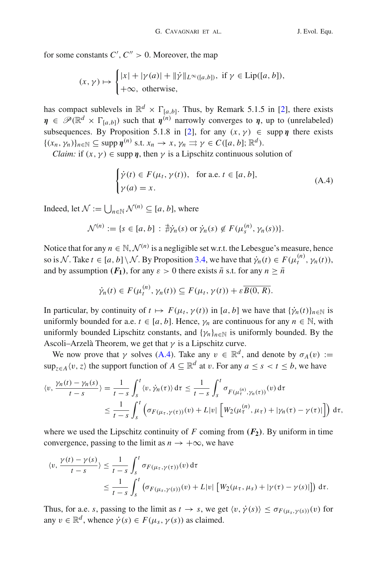for some constants  $C', C'' > 0$ . Moreover, the map

$$
(x, \gamma) \mapsto \begin{cases} |x| + |\gamma(a)| + ||\dot{\gamma}||_{L^{\infty}([a,b])}, \text{ if } \gamma \in \text{Lip}([a,b]),\\ +\infty, \text{ otherwise}, \end{cases}
$$

has compact sublevels in  $\mathbb{R}^d \times \Gamma_{[a,b]}$ . Thus, by Remark 5.1.5 in [\[2](#page-45-9)], there exists  $\eta \in \mathscr{P}(\mathbb{R}^d \times \Gamma_{[a,b]})$  such that  $\eta^{(n)}$  narrowly converges to  $\eta$ , up to (unrelabeled) subsequences. By Proposition 5.1.8 in [\[2](#page-45-9)], for any  $(x, y) \in \text{supp } \eta$  there exists  $\{(x_n, y_n)\}_{n \in \mathbb{N}} \subseteq \text{supp } \eta^{(n)} \text{ s.t. } x_n \to x, y_n \rightrightarrows \gamma \in C([a, b]; \mathbb{R}^d).$ 

*Claim:* if  $(x, y) \in \text{supp } \eta$ , then  $\gamma$  is a Lipschitz continuous solution of

<span id="page-37-0"></span>
$$
\begin{cases} \dot{\gamma}(t) \in F(\mu_t, \gamma(t)), & \text{for a.e. } t \in [a, b], \\ \gamma(a) = x. \end{cases}
$$
 (A.4)

Indeed, let  $\mathcal{N} := \bigcup_{n \in \mathbb{N}} \mathcal{N}^{(n)} \subseteq [a, b]$ , where

$$
\mathcal{N}^{(n)} := \{s \in [a, b] : \nexists \dot{\gamma}_n(s) \text{ or } \dot{\gamma}_n(s) \notin F(\mu_s^{(n)}, \gamma_n(s))\}.
$$

Notice that for any  $n \in \mathbb{N}, \mathcal{N}^{(n)}$  is a negligible set w.r.t. the Lebesgue's measure, hence so is *N*. Take  $t \in [a, b] \setminus N$ . By Proposition [3.4,](#page-6-4) we have that  $\dot{\gamma}_n(t) \in F(\mu_t^{(n)}, \gamma_n(t)),$ and by assumption  $(F_1)$ , for any  $\varepsilon > 0$  there exists  $\bar{n}$  s.t. for any  $n \geq \bar{n}$ 

$$
\dot{\gamma}_n(t) \in F(\mu_t^{(n)}, \gamma_n(t)) \subseteq F(\mu_t, \gamma(t)) + \varepsilon \overline{B(0, R)}.
$$

In particular, by continuity of  $t \mapsto F(\mu_t, \gamma(t))$  in [*a*, *b*] we have that  $\{\dot{\gamma}_n(t)\}_{n \in \mathbb{N}}$  is uniformly bounded for a.e.  $t \in [a, b]$ . Hence,  $\gamma_n$  are continuous for any  $n \in \mathbb{N}$ , with uniformly bounded Lipschitz constants, and  $\{\gamma_n\}_{n\in\mathbb{N}}$  is uniformly bounded. By the Ascoli–Arzelà Theorem, we get that  $\gamma$  is a Lipschitz curve.

We now prove that  $\gamma$  solves [\(A.4\)](#page-37-0). Take any  $v \in \mathbb{R}^d$ , and denote by  $\sigma_A(v) :=$ sup<sub>z∈*A*</sub> $\langle v, z \rangle$  the support function of  $A \subseteq \mathbb{R}^d$  at v. For any  $a \leq s < t \leq b$ , we have

$$
\langle v, \frac{\gamma_n(t) - \gamma_n(s)}{t - s} \rangle = \frac{1}{t - s} \int_s^t \langle v, \dot{\gamma}_n(\tau) \rangle d\tau \le \frac{1}{t - s} \int_s^t \sigma_{F(\mu_\tau^{(n)}, \gamma_n(\tau))}(v) d\tau
$$
  

$$
\le \frac{1}{t - s} \int_s^t \left( \sigma_{F(\mu_\tau, \gamma(\tau))}(v) + L|v| \left[ W_2(\mu_\tau^{(n)}, \mu_\tau) + |\gamma_n(\tau) - \gamma(\tau)| \right] \right) d\tau,
$$

where we used the Lipschitz continuity of  $F$  coming from  $(F_2)$ . By uniform in time convergence, passing to the limit as  $n \to +\infty$ , we have

$$
\langle v, \frac{\gamma(t) - \gamma(s)}{t - s} \rangle \leq \frac{1}{t - s} \int_{s}^{t} \sigma_{F(\mu_{\tau}, \gamma(\tau))}(v) d\tau
$$
  

$$
\leq \frac{1}{t - s} \int_{s}^{t} \left( \sigma_{F(\mu_{s}, \gamma(s))}(v) + L|v| \left[ W_{2}(\mu_{\tau}, \mu_{s}) + |\gamma(\tau) - \gamma(s)| \right] \right) d\tau.
$$

Thus, for a.e. *s*, passing to the limit as  $t \to s$ , we get  $\langle v, \dot{\gamma}(s) \rangle \leq \sigma_{F(\mu_s, \gamma(s))}(v)$  for any  $v \in \mathbb{R}^d$ , whence  $\dot{\gamma}(s) \in F(\mu_s, \gamma(s))$  as claimed.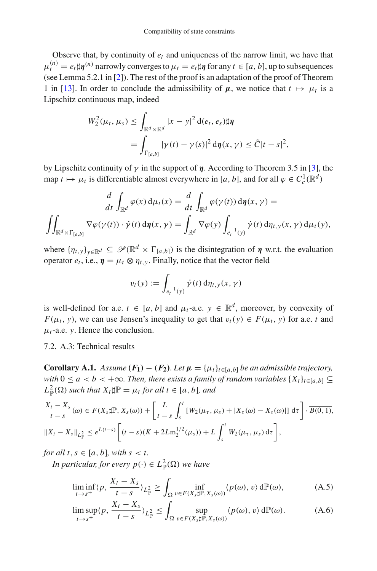Observe that, by continuity of  $e_t$  and uniqueness of the narrow limit, we have that  $\mu_t^{(n)} = e_t \sharp \eta^{(n)}$  narrowly converges to  $\mu_t = e_t \sharp \eta$  for any  $t \in [a, b]$ , up to subsequences (see Lemma 5.2.1 in [\[2\]](#page-45-9)). The rest of the proof is an adaptation of the proof of Theorem 1 in [\[13](#page-45-17)]. In order to conclude the admissibility of  $\mu$ , we notice that  $t \mapsto \mu_t$  is a Lipschitz continuous map, indeed

$$
W_2^2(\mu_t, \mu_s) \leq \int_{\mathbb{R}^d \times \mathbb{R}^d} |x - y|^2 d(e_t, e_s) \sharp \eta
$$
  
= 
$$
\int_{\Gamma[a,b]} |\gamma(t) - \gamma(s)|^2 d\eta(x, \gamma) \leq \tilde{C}|t - s|^2,
$$

by Lipschitz continuity of  $\gamma$  in the support of  $\eta$ . According to Theorem 3.5 in [\[3](#page-45-18)], the map  $t \mapsto \mu_t$  is differentiable almost everywhere in [*a*, *b*], and for all  $\varphi \in C_c^1(\mathbb{R}^d)$ 

$$
\frac{d}{dt} \int_{\mathbb{R}^d} \varphi(x) d\mu_t(x) = \frac{d}{dt} \int_{\mathbb{R}^d} \varphi(\gamma(t)) d\eta(x, \gamma) =
$$
  

$$
\iint_{\mathbb{R}^d \times \Gamma_{[a,b]}} \nabla \varphi(\gamma(t)) \cdot \dot{\gamma}(t) d\eta(x, \gamma) = \int_{\mathbb{R}^d} \nabla \varphi(y) \int_{e_t^{-1}(y)} \dot{\gamma}(t) d\eta_{t,y}(x, \gamma) d\mu_t(y),
$$

where  $\{\eta_{t,y}\}_{y\in\mathbb{R}^d} \subseteq \mathscr{P}(\mathbb{R}^d \times \Gamma_{[a,b]})$  is the disintegration of *η* w.r.t. the evaluation operator  $e_t$ , i.e.,  $\eta = \mu_t \otimes \eta_{t,y}$ . Finally, notice that the vector field

$$
v_t(y) := \int_{e_t^{-1}(y)} \dot{\gamma}(t) d\eta_{t,y}(x,\gamma)
$$

is well-defined for a.e.  $t \in [a, b]$  and  $\mu_t$ -a.e.  $y \in \mathbb{R}^d$ , moreover, by convexity of *F*( $\mu_t$ , *y*), we can use Jensen's inequality to get that  $v_t(y) \in F(\mu_t, y)$  for a.e. *t* and  $\mu_t$ -a.e. *y*. Hence the conclusion.

<span id="page-38-0"></span>7.2. A.3: Technical results

**Corollary A.1.** *Assume*  $(F_1) - (F_2)$ *. Let*  $\mu = {\mu_t}_{t \in [a,b]}$  *be an admissible trajectory, with*  $0 \le a < b < +\infty$ . Then, there exists a family of random variables  $\{X_t\}_{t \in [a,b]} \subseteq$  $L^2_{\mathbb{P}}(\Omega)$  *such that*  $X_t \sharp \mathbb{P} = \mu_t$  *for all*  $t \in [a, b]$ *, and* 

$$
\frac{X_t - X_s}{t - s}(\omega) \in F(X_s \sharp \mathbb{P}, X_s(\omega)) + \left[ \frac{L}{t - s} \int_s^t \left[ W_2(\mu_\tau, \mu_s) + |X_\tau(\omega) - X_s(\omega)| \right] d\tau \right] \cdot \overline{B(0, 1)},
$$
  

$$
\|X_t - X_s\|_{L^2_{\mathbb{P}}} \le e^{L(t - s)} \left[ (t - s)(K + 2Lm_2^{1/2}(\mu_s)) + L \int_s^t W_2(\mu_\tau, \mu_s) d\tau \right],
$$

*for all t*,  $s \in [a, b]$ *, with*  $s < t$ *.* 

*In particular, for every*  $p(\cdot) \in L^2_{\mathbb{P}}(\Omega)$  *we have* 

$$
\liminf_{t \to s^+} \langle p, \frac{X_t - X_s}{t - s} \rangle_{L^2_{\mathbb{P}}} \ge \int_{\Omega} \inf_{v \in F(X_s \sharp \mathbb{P}, X_s(\omega))} \langle p(\omega), v \rangle d\mathbb{P}(\omega), \tag{A.5}
$$

$$
\limsup_{t \to s^+} \langle p, \frac{X_t - X_s}{t - s} \rangle_{L^2_{\mathbb{P}}} \le \int_{\Omega} \sup_{v \in F(X_s \sharp \mathbb{P}, X_s(\omega))} \langle p(\omega), v \rangle d\mathbb{P}(\omega). \tag{A.6}
$$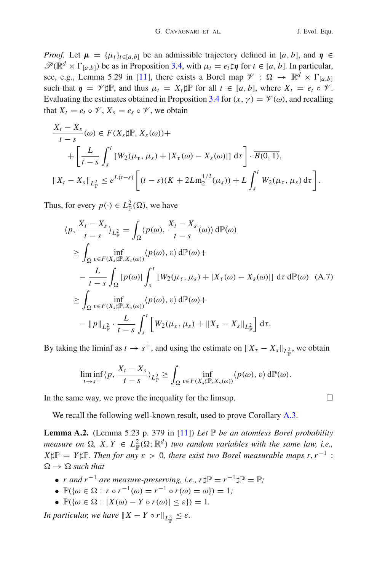*Proof.* Let  $\mu = {\mu_t}_{t \in [a,b]}$  be an admissible trajectory defined in [*a*, *b*], and  $\eta \in$  $\mathscr{P}(\mathbb{R}^d \times \Gamma_{[a,b]})$  be as in Proposition [3.4,](#page-6-4) with  $\mu_t = e_t \sharp \eta$  for  $t \in [a, b]$ . In particular, see, e.g., Lemma 5.29 in [\[11](#page-45-10)], there exists a Borel map  $\mathcal{V}: \Omega \to \mathbb{R}^d \times \Gamma_{[a,b]}$ such that  $\eta = \mathcal{V} \sharp \mathbb{P}$ , and thus  $\mu_t = X_t \sharp \mathbb{P}$  for all  $t \in [a, b]$ , where  $X_t = e_t \circ \mathcal{V}$ . Evaluating the estimates obtained in Proposition [3.4](#page-6-4) for  $(x, \gamma) = \mathcal{V}(\omega)$ , and recalling that  $X_t = e_t \circ \mathcal{V}, X_s = e_s \circ \mathcal{V}$ , we obtain

$$
\frac{X_t - X_s}{t - s}(\omega) \in F(X_s \sharp \mathbb{P}, X_s(\omega)) +
$$
\n
$$
+ \left[ \frac{L}{t - s} \int_s^t \left[ W_2(\mu_\tau, \mu_s) + |X_\tau(\omega) - X_s(\omega)| \right] d\tau \right] \cdot \overline{B(0, 1)},
$$
\n
$$
||X_t - X_s||_{L^2_{\mathbb{P}}} \le e^{L(t - s)} \left[ (t - s)(K + 2Lm_2^{1/2}(\mu_s)) + L \int_s^t W_2(\mu_\tau, \mu_s) d\tau \right].
$$

Thus, for every  $p(\cdot) \in L^2_{\mathbb{P}}(\Omega)$ , we have

$$
\langle p, \frac{X_t - X_s}{t - s} \rangle_{L_{\mathbb{P}}^2} = \int_{\Omega} \langle p(\omega), \frac{X_t - X_s}{t - s}(\omega) \rangle d\mathbb{P}(\omega)
$$
  
\n
$$
\geq \int_{\Omega} \inf_{v \in F(X_s \sharp \mathbb{P}, X_s(\omega))} \langle p(\omega), v \rangle d\mathbb{P}(\omega) +
$$
  
\n
$$
- \frac{L}{t - s} \int_{\Omega} |p(\omega)| \int_s^t [W_2(\mu_{\tau}, \mu_s) + |X_{\tau}(\omega) - X_s(\omega)|] d\tau d\mathbb{P}(\omega) \quad (A.7)
$$
  
\n
$$
\geq \int_{\Omega} \inf_{v \in F(X_s \sharp \mathbb{P}, X_s(\omega))} \langle p(\omega), v \rangle d\mathbb{P}(\omega) +
$$
  
\n
$$
- \|p\|_{L_{\mathbb{P}}^2} \cdot \frac{L}{t - s} \int_s^t [W_2(\mu_{\tau}, \mu_s) + \|X_{\tau} - X_s\|_{L_{\mathbb{P}}^2}] d\tau.
$$

By taking the liminf as  $t \to s^+$ , and using the estimate on  $||X_\tau - X_s||_{L^2_{\mathbb{P}}}$ , we obtain

$$
\liminf_{t\to s^+}\langle p,\frac{X_t-X_s}{t-s}\rangle_{L^2_{\mathbb{P}}}\geq \int_{\Omega} \inf_{v\in F(X_s\sharp \mathbb{P},X_s(\omega))}\langle p(\omega),v\rangle d\mathbb{P}(\omega).
$$

In the same way, we prove the inequality for the limsup.  $\Box$ 

<span id="page-39-1"></span>We recall the following well-known result, used to prove Corollary [A.3.](#page-39-0)

**Lemma A.2.** (Lemma 5.23 p. 379 in [\[11\]](#page-45-10)) *Let*  $\mathbb P$  *be an atomless Borel probability measure on*  $\Omega$ ,  $X, Y \in L^2_{\mathbb{P}}(\Omega; \mathbb{R}^d)$  *two random variables with the same law, i.e.,*  $X\sharp\mathbb{P} = Y\sharp\mathbb{P}$ *. Then for any*  $\varepsilon > 0$ *, there exist two Borel measurable maps r, r*<sup>-1</sup> :  $\Omega \rightarrow \Omega$  *such that* 

- *r* and  $r^{-1}$  are measure-preserving, i.e.,  $r \sharp \mathbb{P} = r^{-1} \sharp \mathbb{P} = \mathbb{P}$ ;
- $\mathbb{P}(\{\omega \in \Omega : r \circ r^{-1}(\omega) = r^{-1} \circ r(\omega) = \omega\}) = 1;$
- $\mathbb{P}(\{\omega \in \Omega : |X(\omega) Y \circ r(\omega)| \leq \varepsilon\}) = 1.$

<span id="page-39-0"></span>*In particular, we have*  $\|X - Y \circ r\|_{L^2_{\mathbb{P}}} \leq \varepsilon$ .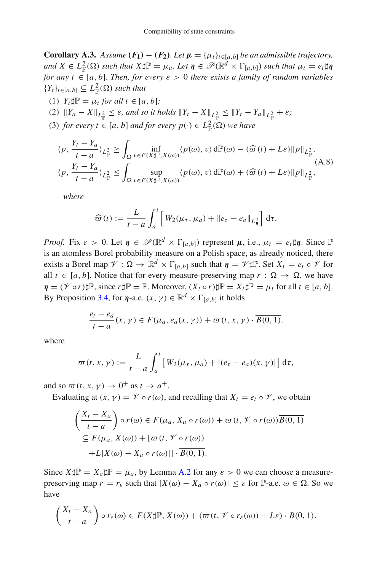**Corollary A.3.** *Assume*  $(F_1) - (F_2)$ *. Let*  $\mu = {\mu_t}_{t \in [a,b]}$  *be an admissible trajectory,*  $\mathcal{A} \in L^2_{\mathbb{P}}(\Omega)$  *such that*  $X \sharp \mathbb{P} = \mu_a$ . Let  $\eta \in \mathcal{P}(\mathbb{R}^d \times \Gamma_{[a,b]})$  *such that*  $\mu_t = e_t \sharp \eta$ *for any t*  $\in$  [*a*, *b*]*. Then, for every*  $\varepsilon > 0$  *there exists a family of random variables*  ${Y_t}_{t\in[a,b]} \subseteq L^2_{\mathbb{P}}(\Omega)$  *such that* 

- (1)  $Y_t \sharp \mathbb{P} = \mu_t$  *for all t*  $\in [a, b]$ *;*
- $(2)$   $||Y_a X||_{L^2_{\mathbb{P}}} \leq \varepsilon$ , and so it holds  $||Y_t X||_{L^2_{\mathbb{P}}} \leq ||Y_t Y_a||_{L^2_{\mathbb{P}}} + \varepsilon$ ;
- (3) *for every*  $t \in [a, b]$  *and for every*  $p(\cdot) \in L^2_{\mathbb{P}}(\Omega)$  *we have*

$$
\langle p, \frac{Y_t - Y_a}{t - a} \rangle_{L^2_{\mathbb{P}}} \ge \int_{\Omega} \inf_{v \in F(X \sharp \mathbb{P}, X(\omega))} \langle p(\omega), v \rangle d\mathbb{P}(\omega) - (\widehat{\varpi}(t) + L\varepsilon) \| p \|_{L^2_{\mathbb{P}}},
$$
  

$$
\langle p, \frac{Y_t - Y_a}{t - a} \rangle_{L^2_{\mathbb{P}}} \le \int_{\Omega} \sup_{v \in F(X \sharp \mathbb{P}, X(\omega))} \langle p(\omega), v \rangle d\mathbb{P}(\omega) + (\widehat{\varpi}(t) + L\varepsilon) \| p \|_{L^2_{\mathbb{P}}},
$$
 (A.8)

*where*

$$
\widehat{\varpi}(t) := \frac{L}{t-a} \int_a^t \left[ W_2(\mu_\tau, \mu_a) + \|e_\tau - e_a\|_{L^2_\eta} \right] d\tau.
$$

*Proof.* Fix  $\varepsilon > 0$ . Let  $\eta \in \mathcal{P}(\mathbb{R}^d \times \Gamma_{[a,b]})$  represent  $\mu$ , i.e.,  $\mu_t = e_t \sharp \eta$ . Since  $\mathbb{P}$ is an atomless Borel probability measure on a Polish space, as already noticed, there exists a Borel map  $\mathcal{V}: \Omega \to \mathbb{R}^d \times \Gamma_{[a,b]}$  such that  $\eta = \mathcal{V} \sharp \mathbb{P}$ . Set  $X_t = e_t \circ \mathcal{V}$  for all  $t \in [a, b]$ . Notice that for every measure-preserving map  $r : \Omega \to \Omega$ , we have  $\eta = (\mathcal{V} \circ r) \sharp \mathbb{P}$ , since  $r \sharp \mathbb{P} = \mathbb{P}$ . Moreover,  $(X_t \circ r) \sharp \mathbb{P} = X_t \sharp \mathbb{P} = \mu_t$  for all  $t \in [a, b]$ . By Proposition [3.4,](#page-6-4) for  $\eta$ -a.e.  $(x, \gamma) \in \mathbb{R}^d \times \Gamma_{[a, b]}$  it holds

$$
\frac{e_t - e_a}{t - a}(x, \gamma) \in F(\mu_a, e_a(x, \gamma)) + \varpi(t, x, \gamma) \cdot \overline{B(0, 1)}.
$$

where

$$
\varpi(t,x,\gamma) := \frac{L}{t-a} \int_a^t \left[ W_2(\mu_\tau,\mu_a) + |(e_\tau - e_a)(x,\gamma)| \right] d\tau,
$$

and so  $\varpi(t, x, \gamma) \to 0^+$  as  $t \to a^+$ .

Evaluating at  $(x, y) = \mathcal{V} \circ r(\omega)$ , and recalling that  $X_t = e_t \circ \mathcal{V}$ , we obtain

$$
\left(\frac{X_t - X_a}{t - a}\right) \circ r(\omega) \in F(\mu_a, X_a \circ r(\omega)) + \varpi(t, \mathcal{V} \circ r(\omega))\overline{B(0, 1)}
$$

$$
\subseteq F(\mu_a, X(\omega)) + [\varpi(t, \mathcal{V} \circ r(\omega))
$$

$$
+ L|X(\omega) - X_a \circ r(\omega)|] \cdot \overline{B(0, 1)}.
$$

Since  $X \sharp \mathbb{P} = X_a \sharp \mathbb{P} = \mu_a$ , by Lemma [A.2](#page-39-1) for any  $\varepsilon > 0$  we can choose a measurepreserving map  $r = r_{\varepsilon}$  such that  $|X(\omega) - X_a \circ r(\omega)| \leq \varepsilon$  for  $\mathbb{P}\text{-a.e. } \omega \in \Omega$ . So we have

$$
\left(\frac{X_t - X_a}{t - a}\right) \circ r_{\varepsilon}(\omega) \in F(X \sharp \mathbb{P}, X(\omega)) + (\varpi(t, \mathscr{V} \circ r_{\varepsilon}(\omega)) + L\varepsilon) \cdot \overline{B(0, 1)}.
$$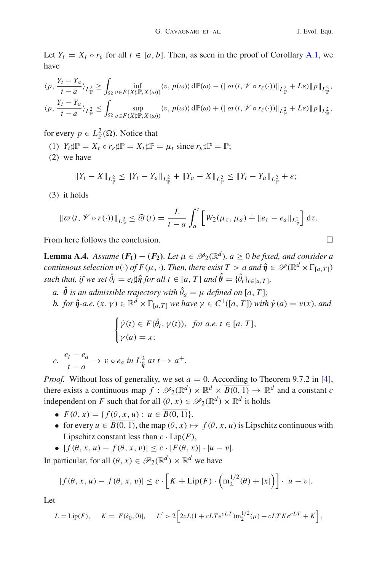Let  $Y_t = X_t \circ r_\varepsilon$  for all  $t \in [a, b]$ . Then, as seen in the proof of Corollary [A.1,](#page-38-0) we have

$$
\langle p, \frac{Y_t - Y_a}{t - a} \rangle_{L^2_{\mathbb{P}}} \ge \int_{\Omega} \inf_{v \in F(X \sharp \mathbb{P}, X(\omega))} \langle v, p(\omega) \rangle d\mathbb{P}(\omega) - (\|\varpi(t, \mathcal{V} \circ r_{\varepsilon}(\cdot))\|_{L^2_{\mathbb{P}}} + L\varepsilon) \|p\|_{L^2_{\mathbb{P}}},
$$
  

$$
\langle p, \frac{Y_t - Y_a}{t - a} \rangle_{L^2_{\mathbb{P}}} \le \int_{\Omega} \sup_{v \in F(X \sharp \mathbb{P}, X(\omega))} \langle v, p(\omega) \rangle d\mathbb{P}(\omega) + (\|\varpi(t, \mathcal{V} \circ r_{\varepsilon}(\cdot))\|_{L^2_{\mathbb{P}}} + L\varepsilon) \|p\|_{L^2_{\mathbb{P}}},
$$

for every  $p \in L^2_{\mathbb{P}}(\Omega)$ . Notice that

- (1)  $Y_t \sharp \mathbb{P} = X_t \circ r_{\varepsilon} \sharp \mathbb{P} = X_t \sharp \mathbb{P} = \mu_t \text{ since } r_{\varepsilon} \sharp \mathbb{P} = \mathbb{P};$
- (2) we have

$$
||Y_t - X||_{L^2_{\mathbb{P}}} \le ||Y_t - Y_a||_{L^2_{\mathbb{P}}} + ||Y_a - X||_{L^2_{\mathbb{P}}} \le ||Y_t - Y_a||_{L^2_{\mathbb{P}}} + \varepsilon;
$$

(3) it holds

$$
\|\varpi(t,\mathscr{V}\circ r(\cdot))\|_{L^2_{\mathbb{F}}} \leq \widehat{\varpi}(t) = \frac{L}{t-a}\int_a^t \left[W_2(\mu_\tau,\mu_a) + \|e_\tau - e_a\|_{L^2_{\eta}}\right] d\tau.
$$

<span id="page-41-0"></span>From here follows the conclusion.

**Lemma A.4.** *Assume*  $(F_1) - (F_2)$ *. Let*  $\mu \in \mathcal{P}_2(\mathbb{R}^d)$ *, a*  $\geq 0$  *be fixed, and consider a continuous selection*  $v(\cdot)$  *of*  $F(\mu, \cdot)$ *. Then, there exist*  $T > a$  *and*  $\hat{\eta} \in \mathcal{P}(\mathbb{R}^d \times \Gamma_{[a,T]})$ *such that, if we set*  $\theta_t = e_t \sharp \hat{\eta}$  *for all t*  $\in [a, T]$  *and*  $\theta = \{\theta_t\}_{t \in [a, T]},$ 

- *a*.  $\theta$  *is an admissible trajectory with*  $\theta_a = \mu$  *defined on [a, T];*
- *b.* for  $\hat{\eta}$ -a.e.  $(x, y) \in \mathbb{R}^d \times \Gamma_{[a,T]}$  we have  $y \in C^1([a,T])$  with  $\dot{\gamma}(a) = v(x)$ *, and*

$$
\begin{cases}\n\dot{\gamma}(t) \in F(\hat{\theta}_t, \gamma(t)), & \text{for a.e. } t \in [a, T], \\
\gamma(a) = x;\n\end{cases}
$$

*c.*  $\frac{e_t - e_a}{t - a} \to v \circ e_a$  *in*  $L_{\hat{\eta}}^2$  *as*  $t \to a^+$ .

*Proof.* Without loss of generality, we set  $a = 0$ . According to Theorem 9.7.2 in [\[4\]](#page-45-14), there exists a continuous map  $f : \mathcal{P}_2(\mathbb{R}^d) \times \mathbb{R}^d \times \overline{B(0, 1)} \to \mathbb{R}^d$  and a constant *c* independent on *F* such that for all  $(\theta, x) \in \mathcal{P}_2(\mathbb{R}^d) \times \mathbb{R}^d$  it holds

- $F(\theta, x) = \{ f(\theta, x, u) : u \in \overline{B(0, 1)} \}.$
- for every  $u \in \overline{B(0, 1)}$ , the map  $(\theta, x) \mapsto f(\theta, x, u)$  is Lipschitz continuous with Lipschitz constant less than  $c \cdot Lip(F)$ ,
- $| f (θ, x, u) f (θ, x, v)| ≤ c ⋅ |F(θ, x)| ⋅ |u v|$ .

In particular, for all  $(\theta, x) \in \mathcal{P}_2(\mathbb{R}^d) \times \mathbb{R}^d$  we have

$$
|f(\theta, x, u) - f(\theta, x, v)| \le c \cdot \left[ K + \text{Lip}(F) \cdot \left( m_2^{1/2}(\theta) + |x| \right) \right] \cdot |u - v|.
$$

Let

$$
L = \text{Lip}(F), \quad K = |F(\delta_0, 0)|, \quad L' > 2\left[2cL(1 + cLTe^{cLT})m_2^{1/2}(\mu) + cLTKe^{cLT} + K\right],
$$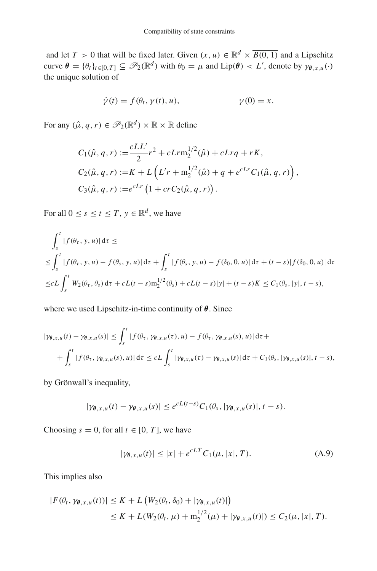and let *T* > 0 that will be fixed later. Given  $(x, u) \in \mathbb{R}^d \times \overline{B(0, 1)}$  and a Lipschitz curve  $\theta = {\theta_t}_{t\in[0,T]} \subseteq \mathscr{P}_2(\mathbb{R}^d)$  with  $\theta_0 = \mu$  and  $\text{Lip}(\theta) < L'$ , denote by  $\gamma_{\theta,x,u}(\cdot)$ the unique solution of

$$
\dot{\gamma}(t) = f(\theta_t, \gamma(t), u), \qquad \gamma(0) = x.
$$

For any  $(\hat{\mu}, q, r) \in \mathcal{P}_2(\mathbb{R}^d) \times \mathbb{R} \times \mathbb{R}$  define

$$
C_1(\hat{\mu}, q, r) := \frac{cLL'}{2}r^2 + cLrn_2^{1/2}(\hat{\mu}) + cLrq + rK,
$$
  
\n
$$
C_2(\hat{\mu}, q, r) := K + L\left(L'r + m_2^{1/2}(\hat{\mu}) + q + e^{cLr}C_1(\hat{\mu}, q, r)\right),
$$
  
\n
$$
C_3(\hat{\mu}, q, r) := e^{cLr}\left(1 + crC_2(\hat{\mu}, q, r)\right).
$$

For all  $0 \le s \le t \le T$ ,  $y \in \mathbb{R}^d$ , we have

$$
\int_{s}^{t} |f(\theta_{\tau}, y, u)| d\tau \le
$$
\n
$$
\leq \int_{s}^{t} |f(\theta_{\tau}, y, u) - f(\theta_{s}, y, u)| d\tau + \int_{s}^{t} |f(\theta_{s}, y, u) - f(\delta_{0}, 0, u)| d\tau + (t - s)| f(\delta_{0}, 0, u)| d\tau
$$
\n
$$
\leq cL \int_{s}^{t} W_{2}(\theta_{\tau}, \theta_{s}) d\tau + cL(t - s) m_{2}^{1/2}(\theta_{s}) + cL(t - s)|y| + (t - s)K \leq C_{1}(\theta_{s}, |y|, t - s),
$$

where we used Lipschitz-in-time continuity of *θ*. Since

$$
|\gamma_{\theta,x,u}(t) - \gamma_{\theta,x,u}(s)| \leq \int_s^t |f(\theta_\tau, \gamma_{\theta,x,u}(\tau), u) - f(\theta_\tau, \gamma_{\theta,x,u}(s), u)| d\tau +
$$
  
+ 
$$
\int_s^t |f(\theta_\tau, \gamma_{\theta,x,u}(s), u)| d\tau \leq cL \int_s^t |\gamma_{\theta,x,u}(\tau) - \gamma_{\theta,x,u}(s)| d\tau + C_1(\theta_s, |\gamma_{\theta,x,u}(s)|, t-s),
$$

by Grönwall's inequality,

$$
|\gamma_{\theta,x,u}(t)-\gamma_{\theta,x,u}(s)|\leq e^{cL(t-s)}C_1(\theta_s,|\gamma_{\theta,x,u}(s)|,t-s).
$$

Choosing  $s = 0$ , for all  $t \in [0, T]$ , we have

<span id="page-42-0"></span>
$$
|\gamma_{\theta,x,u}(t)| \le |x| + e^{cLT} C_1(\mu, |x|, T). \tag{A.9}
$$

This implies also

$$
|F(\theta_t, \gamma_{\theta,x,u}(t))| \le K + L \left( W_2(\theta_t, \delta_0) + |\gamma_{\theta,x,u}(t)| \right) \\ \le K + L(W_2(\theta_t, \mu) + m_2^{1/2}(\mu) + |\gamma_{\theta,x,u}(t)|) \le C_2(\mu, |x|, T).
$$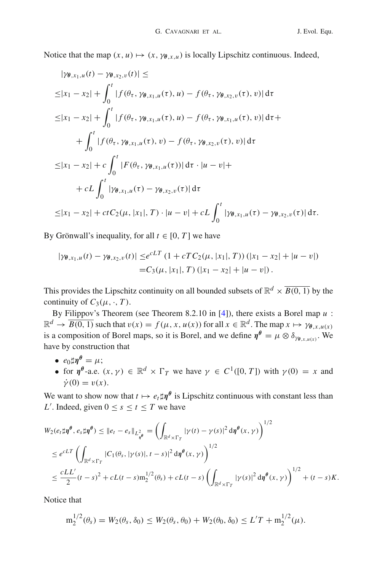Notice that the map  $(x, u) \mapsto (x, \gamma_{\theta, x, u})$  is locally Lipschitz continuous. Indeed,

$$
|\gamma_{\theta,x_1,u}(t) - \gamma_{\theta,x_2,v}(t)| \le
$$
  
\n
$$
\leq |x_1 - x_2| + \int_0^t |f(\theta_{\tau}, \gamma_{\theta,x_1,u}(\tau), u) - f(\theta_{\tau}, \gamma_{\theta,x_2,v}(\tau), v)| d\tau
$$
  
\n
$$
\leq |x_1 - x_2| + \int_0^t |f(\theta_{\tau}, \gamma_{\theta,x_1,u}(\tau), u) - f(\theta_{\tau}, \gamma_{\theta,x_1,u}(\tau), v)| d\tau +
$$
  
\n
$$
+ \int_0^t |f(\theta_{\tau}, \gamma_{\theta,x_1,u}(\tau), v) - f(\theta_{\tau}, \gamma_{\theta,x_2,v}(\tau), v)| d\tau
$$
  
\n
$$
\leq |x_1 - x_2| + c \int_0^t |F(\theta_{\tau}, \gamma_{\theta,x_1,u}(\tau))| d\tau \cdot |u - v| +
$$
  
\n
$$
+ c \int_0^t |\gamma_{\theta,x_1,u}(\tau) - \gamma_{\theta,x_2,v}(\tau)| d\tau
$$
  
\n
$$
\leq |x_1 - x_2| + ct C_2(\mu, |x_1|, T) \cdot |u - v| + c \int_0^t |\gamma_{\theta,x_1,u}(\tau) - \gamma_{\theta,x_2,v}(\tau)| d\tau.
$$

By Grönwall's inequality, for all  $t \in [0, T]$  we have

$$
|\gamma_{\theta,x_1,u}(t) - \gamma_{\theta,x_2,v}(t)| \leq e^{cLT} (1 + cTC_2(\mu, |x_1|, T)) (|x_1 - x_2| + |u - v|)
$$
  
= C<sub>3</sub>(\mu, |x\_1|, T) (|x\_1 - x\_2| + |u - v|).

This provides the Lipschitz continuity on all bounded subsets of  $\mathbb{R}^d \times \overline{B(0, 1)}$  by the continuity of  $C_3(\mu, \cdot, T)$ .

By Filippov's Theorem (see Theorem 8.2.10 in [\[4](#page-45-14)]), there exists a Borel map *u* :  $\mathbb{R}^d \to \overline{B(0, 1)}$  such that  $v(x) = f(\mu, x, u(x))$  for all  $x \in \mathbb{R}^d$ . The map  $x \mapsto \gamma_{\theta, x, u(x)}$ is a composition of Borel maps, so it is Borel, and we define  $\eta^{\theta} = \mu \otimes \delta_{\gamma_{\theta} \chi_{\mu}(x)}$ . We have by construction that

- $e_0 \text{d} \mathbf{n}^\theta = u$ ;
- for  $\eta^{\theta}$ -a.e.  $(x, \gamma) \in \mathbb{R}^d \times \Gamma_T$  we have  $\gamma \in C^1([0, T])$  with  $\gamma(0) = x$  and  $\dot{\mathcal{V}}(0) = v(x)$ .

We want to show now that  $t \mapsto e_t \sharp \eta^\theta$  is Lipschitz continuous with constant less than *L*<sup> $\prime$ </sup>. Indeed, given  $0 \leq s \leq t \leq T$  we have

$$
W_2(e_t \sharp \eta^{\theta}, e_s \sharp \eta^{\theta}) \leq ||e_t - e_s||_{L^2_{\eta^{\theta}}} = \left(\int_{\mathbb{R}^d \times \Gamma_T} |\gamma(t) - \gamma(s)|^2 d\eta^{\theta}(x, \gamma)\right)^{1/2}
$$
  
\n
$$
\leq e^{cLT} \left(\int_{\mathbb{R}^d \times \Gamma_T} |C_1(\theta_s, |\gamma(s)|, t-s)|^2 d\eta^{\theta}(x, \gamma)\right)^{1/2}
$$
  
\n
$$
\leq \frac{cLL'}{2} (t-s)^2 + cL(t-s) m_2^{1/2}(\theta_s) + cL(t-s) \left(\int_{\mathbb{R}^d \times \Gamma_T} |\gamma(s)|^2 d\eta^{\theta}(x, \gamma)\right)^{1/2} + (t-s)K.
$$

Notice that

$$
m_2^{1/2}(\theta_s) = W_2(\theta_s, \delta_0) \le W_2(\theta_s, \theta_0) + W_2(\theta_0, \delta_0) \le L'T + m_2^{1/2}(\mu).
$$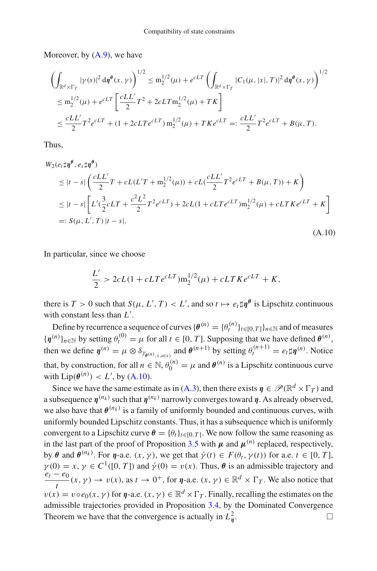Moreover, by  $(A.9)$ , we have

$$
\begin{split} & \left( \int_{\mathbb{R}^d \times \Gamma_T} |\gamma(s)|^2 \, \mathrm{d} \eta^{\theta}(x, \gamma) \right)^{1/2} \leq \mathrm{m}_2^{1/2}(\mu) + e^{cLT} \left( \int_{\mathbb{R}^d \times \Gamma_T} |C_1(\mu, |x|, T)|^2 \, \mathrm{d} \eta^{\theta}(x, \gamma) \right)^{1/2} \\ & \leq \mathrm{m}_2^{1/2}(\mu) + e^{cLT} \left[ \frac{cLL'}{2} T^2 + 2cLT \mathrm{m}_2^{1/2}(\mu) + T K \right] \\ & \leq \frac{cLL'}{2} T^2 e^{cLT} + (1 + 2cLT e^{cLT}) \, \mathrm{m}_2^{1/2}(\mu) + T K e^{cLT} =: \frac{cLL'}{2} T^2 e^{cLT} + B(\mu, T). \end{split}
$$

Thus,

<span id="page-44-0"></span>
$$
W_2(e_t \sharp \eta^{\theta}, e_s \sharp \eta^{\theta})
$$
  
\n
$$
\leq |t - s| \left( \frac{cLL'}{2} T + cL(L'T + m_2^{1/2}(\mu)) + cL(\frac{cLL'}{2} T^2 e^{cLT} + B(\mu, T)) + K \right)
$$
  
\n
$$
\leq |t - s| \left[ L'(\frac{3}{2} cLT + \frac{c^2 L^2}{2} T^2 e^{cLT}) + 2cL(1 + cLT e^{cLT}) m_2^{1/2}(\mu) + cLT K e^{cLT} + K \right]
$$
  
\n
$$
=: S(\mu, L', T) |t - s|.
$$
\n(A.10)

In particular, since we choose

$$
\frac{L'}{2} > 2cL(1 + cLT e^{cLT})m_2^{1/2}(\mu) + cLTKe^{cLT} + K,
$$

there is  $T > 0$  such that  $S(\mu, L', T) < L'$ , and so  $t \mapsto e_t \sharp \eta^{\theta}$  is Lipschitz continuous with constant less than *L* .

Define by recurrence a sequence of curves  $\{\theta^{(n)} = {\theta_t^{(n)}}\}_{t \in [0,T]}\}_{n \in \mathbb{N}}$  and of measures  ${\{\boldsymboleta}^{(n)}\}_{n\in\mathbb{N}}$  by setting  $\theta_t^{(0)} = \mu$  for all  $t \in [0, T]$ . Supposing that we have defined  $\theta^{(n)}$ , then we define  $\eta^{(n)} = \mu \otimes \delta_{\gamma_{\theta^{(n)},x,u(x)}}$  and  $\theta^{(n+1)}$  by setting  $\theta_t^{(n+1)} = e_t \sharp \eta^{(n)}$ . Notice that, by construction, for all  $n \in \mathbb{N}$ ,  $\theta_0^{(n)} = \mu$  and  $\theta^{(n)}$  is a Lipschitz continuous curve with  $Lip(\theta^{(n)}) < L'$ , by [\(A.10\)](#page-44-0).

Since we have the same estimate as in [\(A.3\)](#page-36-2), then there exists  $\eta \in \mathcal{P}(\mathbb{R}^d \times \Gamma_T)$  and a subsequence  $\eta^{(n_k)}$  such that  $\eta^{(n_k)}$  narrowly converges toward  $\eta$ . As already observed, we also have that  $\theta^{(n_k)}$  is a family of uniformly bounded and continuous curves, with uniformly bounded Lipschitz constants. Thus, it has a subsequence which is uniformly convergent to a Lipschitz curve  $\theta = {\theta_t}_{t \in [0, T]}$ . We now follow the same reasoning as in the last part of the proof of Proposition [3.5](#page-6-1) with  $\mu$  and  $\mu^{(n)}$  replaced, respectively, by  $\theta$  and  $\theta^{(n_k)}$ . For  $\eta$ -a.e.  $(x, \gamma)$ , we get that  $\dot{\gamma}(t) \in F(\theta_t, \gamma(t))$  for a.e.  $t \in [0, T]$ ,  $\gamma$ (0) = *x*,  $\gamma \in C^1([0, T])$  and  $\dot{\gamma}(0) = v(x)$ . Thus,  $\theta$  is an admissible trajectory and  $\frac{e_t - e_0}{\sqrt{2\pi}}$  (*x*,  $\gamma$ )  $\rightarrow v(x)$ , as  $t \rightarrow 0^+$ , for *η*-a.e. (*x*,  $\gamma$ )  $\in \mathbb{R}^d \times \Gamma_T$ . We also notice that  $v(x) = v \circ e_0(x, y)$  for *η*-a.e.  $(x, y) \in \mathbb{R}^d \times \Gamma_T$ . Finally, recalling the estimates on the admissible trajectories provided in Proposition [3.4,](#page-6-4) by the Dominated Convergence Theorem we have that the convergence is actually in  $L<sub>n</sub><sup>2</sup>$ . *<sup>η</sup>*.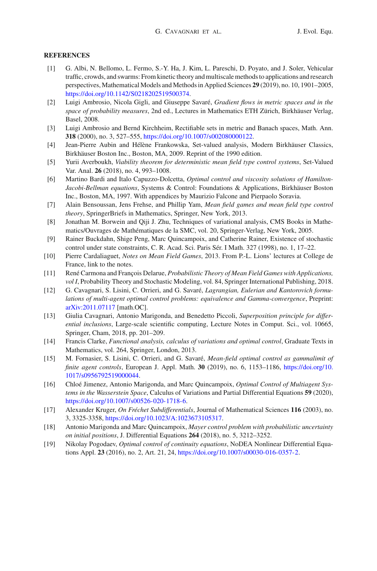#### **REFERENCES**

- <span id="page-45-5"></span>[1] G. Albi, N. Bellomo, L. Fermo, S.-Y. Ha, J. Kim, L. Pareschi, D. Poyato, and J. Soler, Vehicular traffic, crowds, and swarms: From kinetic theory and multiscale methods to applications and research perspectives, Mathematical Models and Methods in Applied Sciences **29** (2019), no. 10, 1901–2005, [https://doi.org/10.1142/S0218202519500374.](https://doi.org/10.1142/S0218202519500374)
- <span id="page-45-9"></span>[2] Luigi Ambrosio, Nicola Gigli, and Giuseppe Savaré, *Gradient flows in metric spaces and in the space of probability measures*, 2nd ed., Lectures in Mathematics ETH Zürich, Birkhäuser Verlag, Basel, 2008.
- <span id="page-45-18"></span>[3] Luigi Ambrosio and Bernd Kirchheim, Rectifiable sets in metric and Banach spaces, Math. Ann. **318** (2000), no. 3, 527–555, [https://doi.org/10.1007/s002080000122.](https://doi.org/10.1007/s002080000122)
- <span id="page-45-14"></span>[4] Jean-Pierre Aubin and Hélène Frankowska, Set-valued analysis, Modern Birkhäuser Classics, Birkhäuser Boston Inc., Boston, MA, 2009. Reprint of the 1990 edition.
- <span id="page-45-8"></span>[5] Yurii Averboukh, *Viability theorem for deterministic mean field type control systems*, Set-Valued Var. Anal. **26** (2018), no. 4, 993–1008.
- <span id="page-45-12"></span>[6] Martino Bardi and Italo Capuzzo-Dolcetta, *Optimal control and viscosity solutions of Hamilton-Jacobi-Bellman equations*, Systems & Control: Foundations & Applications, Birkhäuser Boston Inc., Boston, MA, 1997. With appendices by Maurizio Falcone and Pierpaolo Soravia.
- <span id="page-45-6"></span>[7] Alain Bensoussan, Jens Frehse, and Phillip Yam, *Mean field games and mean field type control theory*, SpringerBriefs in Mathematics, Springer, New York, 2013.
- <span id="page-45-13"></span>[8] Jonathan M. Borwein and Qiji J. Zhu, Techniques of variational analysis, CMS Books in Mathematics/Ouvrages de Mathématiques de la SMC, vol. 20, Springer-Verlag, New York, 2005.
- <span id="page-45-7"></span>[9] Rainer Buckdahn, Shige Peng, Marc Quincampoix, and Catherine Rainer, Existence of stochastic control under state constraints, C. R. Acad. Sci. Paris Sér. I Math. 327 (1998), no. 1, 17–22.
- <span id="page-45-11"></span>[10] Pierre Cardaliaguet, *Notes on Mean Field Games*, 2013. From P.-L. Lions' lectures at College de France, link to the notes.
- <span id="page-45-10"></span>[11] René Carmona and François Delarue, *Probabilistic Theory of Mean Field Games with Applications, vol I*, Probability Theory and Stochastic Modeling, vol. 84, Springer International Publishing, 2018.
- <span id="page-45-4"></span>[12] G. Cavagnari, S. Lisini, C. Orrieri, and G. Savaré, *Lagrangian, Eulerian and Kantorovich formulations of multi-agent optimal control problems: equivalence and Gamma-convergence*, Preprint: [arXiv:2011.07117](http://arxiv.org/abs/2011.07117) [math.OC].
- <span id="page-45-17"></span>[13] Giulia Cavagnari, Antonio Marigonda, and Benedetto Piccoli, *Superposition principle for differential inclusions*, Large-scale scientific computing, Lecture Notes in Comput. Sci., vol. 10665, Springer, Cham, 2018, pp. 201–209.
- <span id="page-45-15"></span>[14] Francis Clarke, *Functional analysis, calculus of variations and optimal control*, Graduate Texts in Mathematics, vol. 264, Springer, London, 2013.
- <span id="page-45-3"></span>[15] M. Fornasier, S. Lisini, C. Orrieri, and G. Savaré, *Mean-field optimal control as gammalimit of finite agent controls*, European J. Appl. Math. **30** (2019), no. 6, 1153–1186, [https://doi.org/10.](https://doi.org/10.1017/s0956792519000044) [1017/s0956792519000044.](https://doi.org/10.1017/s0956792519000044)
- <span id="page-45-0"></span>[16] Chloé Jimenez, Antonio Marigonda, and Marc Quincampoix, *Optimal Control of Multiagent Systems in the Wasserstein Space*, Calculus of Variations and Partial Differential Equations **59** (2020), [https://doi.org/10.1007/s00526-020-1718-6.](https://doi.org/10.1007/s00526-020-1718-6)
- <span id="page-45-16"></span>[17] Alexander Kruger, *On Fréchet Subdifferentials*, Journal of Mathematical Sciences **116** (2003), no. 3, 3325-3358, [https://doi.org/10.1023/A:1023673105317.](https://doi.org/10.1023/A:1023673105317)
- <span id="page-45-1"></span>[18] Antonio Marigonda and Marc Quincampoix, *Mayer control problem with probabilistic uncertainty on initial positions*, J. Differential Equations **264** (2018), no. 5, 3212–3252.
- <span id="page-45-2"></span>[19] Nikolay Pogodaev, *Optimal control of continuity equations*, NoDEA Nonlinear Differential Equations Appl. **23** (2016), no. 2, Art. 21, 24, [https://doi.org/10.1007/s00030-016-0357-2.](https://doi.org/10.1007/s00030-016-0357-2)